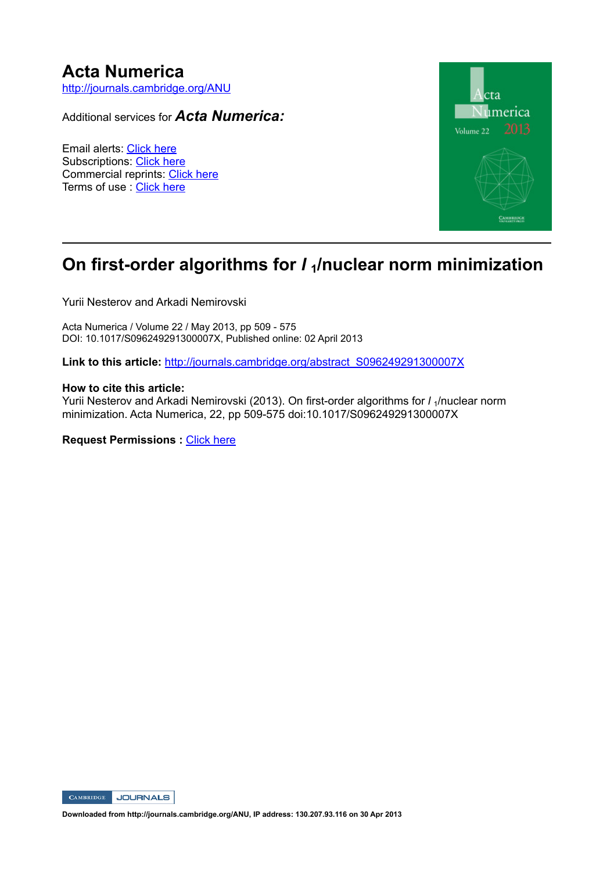# **Acta Numerica**

http://journals.cambridge.org/ANU

Additional services for *Acta Numerica:*

Email alerts: Click here Subscriptions: Click here Commercial reprints: Click here Terms of use : Click here



## **On first-order algorithms for** *l***<sub>1</sub>/nuclear norm minimization**

Yurii Nesterov and Arkadi Nemirovski

Acta Numerica / Volume 22 / May 2013, pp 509 - 575 DOI: 10.1017/S096249291300007X, Published online: 02 April 2013

**Link to this article:** http://journals.cambridge.org/abstract\_S096249291300007X

#### **How to cite this article:**

Yurii Nesterov and Arkadi Nemirovski (2013). On first-order algorithms for *l*<sub>1</sub>/nuclear norm minimization. Acta Numerica, 22, pp 509-575 doi:10.1017/S096249291300007X

**Request Permissions : Click here** 



**Downloaded from http://journals.cambridge.org/ANU, IP address: 130.207.93.116 on 30 Apr 2013**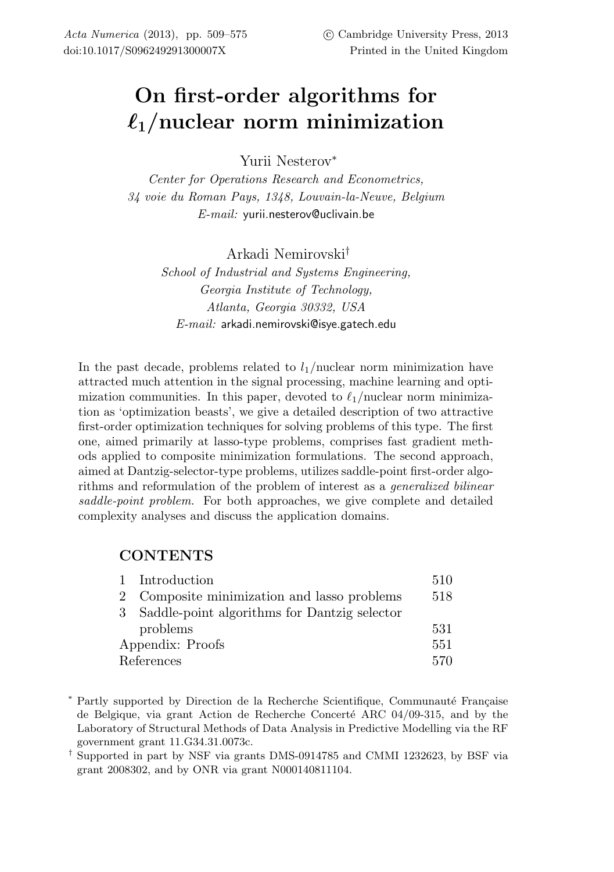# **On first-order algorithms for 1/nuclear norm minimization**

Yurii Nesterov<sup>∗</sup>

*Center for Operations Research and Econometrics, 34 voie du Roman Pays, 1348, Louvain-la-Neuve, Belgium E-mail:* yurii.nesterov@uclivain.be

Arkadi Nemirovski†

*School of Industrial and Systems Engineering, Georgia Institute of Technology, Atlanta, Georgia 30332, USA E-mail:* arkadi.nemirovski@isye.gatech.edu

In the past decade, problems related to  $l_1$ /nuclear norm minimization have attracted much attention in the signal processing, machine learning and optimization communities. In this paper, devoted to  $\ell_1$ /nuclear norm minimization as 'optimization beasts', we give a detailed description of two attractive first-order optimization techniques for solving problems of this type. The first one, aimed primarily at lasso-type problems, comprises fast gradient methods applied to composite minimization formulations. The second approach, aimed at Dantzig-selector-type problems, utilizes saddle-point first-order algorithms and reformulation of the problem of interest as a *generalized bilinear saddle-point problem.* For both approaches, we give complete and detailed complexity analyses and discuss the application domains.

## **CONTENTS**

|                  | 1 Introduction                                 | 510 |
|------------------|------------------------------------------------|-----|
|                  | 2 Composite minimization and lasso problems    | 518 |
|                  | 3 Saddle-point algorithms for Dantzig selector |     |
|                  | problems                                       | 531 |
| Appendix: Proofs |                                                | 551 |
|                  | References                                     | 570 |
|                  |                                                |     |

\* Partly supported by Direction de la Recherche Scientifique, Communauté Française de Belgique, via grant Action de Recherche Concerté ARC  $04/09-315$ , and by the Laboratory of Structural Methods of Data Analysis in Predictive Modelling via the RF government grant 11.G34.31.0073c.

† Supported in part by NSF via grants DMS-0914785 and CMMI 1232623, by BSF via grant 2008302, and by ONR via grant N000140811104.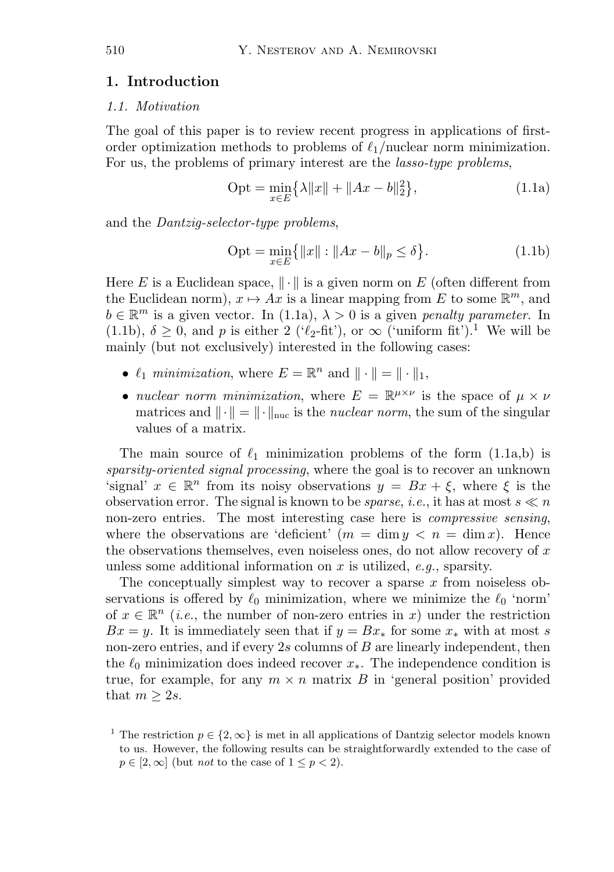## **1. Introduction**

#### *1.1. Motivation*

The goal of this paper is to review recent progress in applications of firstorder optimization methods to problems of  $\ell_1$ /nuclear norm minimization. For us, the problems of primary interest are the *lasso-type problems*,

$$
Opt = \min_{x \in E} \{ \lambda \|x\| + \|Ax - b\|_2^2 \},
$$
\n(1.1a)

and the *Dantzig-selector-type problems*,

$$
Opt = \min_{x \in E} \{ ||x|| : ||Ax - b||_p \le \delta \}. \tag{1.1b}
$$

Here E is a Euclidean space,  $\|\cdot\|$  is a given norm on E (often different from the Euclidean norm),  $x \mapsto Ax$  is a linear mapping from E to some  $\mathbb{R}^m$ , and  $b \in \mathbb{R}^m$  is a given vector. In (1.1a),  $\lambda > 0$  is a given *penalty parameter*. In (1.1b),  $\delta \geq 0$ , and p is either 2 (' $\ell_2$ -fit'), or  $\infty$  ('uniform fit').<sup>1</sup> We will be mainly (but not exclusively) interested in the following cases:

- $\ell_1$  *minimization*, where  $E = \mathbb{R}^n$  and  $\|\cdot\| = \|\cdot\|_1$ ,
- *nuclear norm minimization*, where  $E = \mathbb{R}^{\mu \times \nu}$  is the space of  $\mu \times \nu$ matrices and  $\|\cdot\| = \|\cdot\|_{\text{nuc}}$  is the *nuclear norm*, the sum of the singular values of a matrix.

The main source of  $\ell_1$  minimization problems of the form  $(1.1a,b)$  is *sparsity-oriented signal processing*, where the goal is to recover an unknown 'signal'  $x \in \mathbb{R}^n$  from its noisy observations  $y = Bx + \xi$ , where  $\xi$  is the observation error. The signal is known to be *sparse*, *i.e.*, it has at most  $s \ll n$ non-zero entries. The most interesting case here is *compressive sensing*, where the observations are 'deficient'  $(m = \dim y < n = \dim x)$ . Hence the observations themselves, even noiseless ones, do not allow recovery of  $x$ unless some additional information on x is utilized, *e.g.*, sparsity.

The conceptually simplest way to recover a sparse  $x$  from noiseless observations is offered by  $\ell_0$  minimization, where we minimize the  $\ell_0$  'norm' of  $x \in \mathbb{R}^n$  (*i.e.*, the number of non-zero entries in x) under the restriction  $Bx = y$ . It is immediately seen that if  $y = Bx_*$  for some  $x_*$  with at most s non-zero entries, and if every  $2s$  columns of  $B$  are linearly independent, then the  $\ell_0$  minimization does indeed recover  $x_*$ . The independence condition is true, for example, for any  $m \times n$  matrix B in 'general position' provided that  $m \geq 2s$ .

<sup>&</sup>lt;sup>1</sup> The restriction  $p \in \{2, \infty\}$  is met in all applications of Dantzig selector models known to us. However, the following results can be straightforwardly extended to the case of  $p \in [2,\infty]$  (but *not* to the case of  $1 \leq p < 2$ ).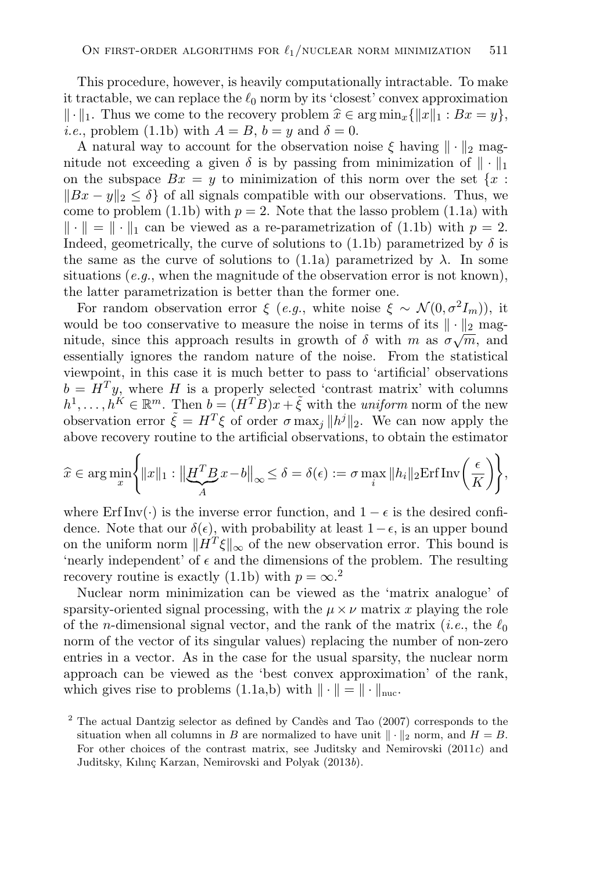This procedure, however, is heavily computationally intractable. To make it tractable, we can replace the  $\ell_0$  norm by its 'closest' convex approximation  $\|\cdot\|_1$ . Thus we come to the recovery problem  $\hat{x} \in \arg\min_{x} {\|x\|_1 : Bx = y\},$ *i.e.*, problem (1.1b) with  $A = B$ ,  $b = y$  and  $\delta = 0$ .

A natural way to account for the observation noise  $\xi$  having  $\|\cdot\|_2$  magnitude not exceeding a given  $\delta$  is by passing from minimization of  $\|\cdot\|_1$ on the subspace  $Bx = y$  to minimization of this norm over the set  $\{x :$  $||Bx - y||_2 < \delta$  of all signals compatible with our observations. Thus, we come to problem (1.1b) with  $p = 2$ . Note that the lasso problem (1.1a) with  $\|\cdot\| = \|\cdot\|_1$  can be viewed as a re-parametrization of (1.1b) with  $p = 2$ . Indeed, geometrically, the curve of solutions to (1.1b) parametrized by  $\delta$  is the same as the curve of solutions to  $(1.1a)$  parametrized by  $\lambda$ . In some situations  $(e.g.,$  when the magnitude of the observation error is not known), the latter parametrization is better than the former one.

For random observation error  $\xi$  (*e.g.*, white noise  $\xi \sim \mathcal{N}(0, \sigma^2 I_m)$ ), it would be too conservative to measure the noise in terms of its  $\|\cdot\|_2$  magwould be too conservative to measure the holse in terms of its  $\|\cdot\|_2^2$  magnitude, since this approach results in growth of  $\delta$  with m as  $\sigma\sqrt{m}$ , and essentially ignores the random nature of the noise. From the statistical viewpoint, in this case it is much better to pass to 'artificial' observations  $b = H<sup>T</sup>y$ , where H is a properly selected 'contrast matrix' with columns  $h^1,\ldots,h^K \in \mathbb{R}^m$ . Then  $b = (H^T B)x + \tilde{\xi}$  with the *uniform* norm of the new observation error  $\tilde{\xi} = H^T \xi$  of order  $\sigma$  max<sub>i</sub>  $||h^j||_2$ . We can now apply the above recovery routine to the artificial observations, to obtain the estimator

$$
\widehat{x} \in \arg\min_{x} \left\{ ||x||_1 : \left\| \underline{H}^T \underline{B} x - b \right\|_{\infty} \le \delta = \delta(\epsilon) := \sigma \max_{i} \|h_i\|_2 \mathrm{Erf} \mathrm{Inv}\left(\frac{\epsilon}{K}\right) \right\},\
$$

where Erf Inv(·) is the inverse error function, and  $1 - \epsilon$  is the desired confidence. Note that our  $\delta(\epsilon)$ , with probability at least  $1-\epsilon$ , is an upper bound on the uniform norm  $\|\hat{H}^T\xi\|_{\infty}$  of the new observation error. This bound is 'nearly independent' of  $\epsilon$  and the dimensions of the problem. The resulting recovery routine is exactly (1.1b) with  $p = \infty$ .<sup>2</sup>

Nuclear norm minimization can be viewed as the 'matrix analogue' of sparsity-oriented signal processing, with the  $\mu \times \nu$  matrix x playing the role of the *n*-dimensional signal vector, and the rank of the matrix (*i.e.*, the  $\ell_0$ norm of the vector of its singular values) replacing the number of non-zero entries in a vector. As in the case for the usual sparsity, the nuclear norm approach can be viewed as the 'best convex approximation' of the rank, which gives rise to problems  $(1.1a,b)$  with  $\|\cdot\| = \|\cdot\|_{\text{nuc}}$ .

<sup>&</sup>lt;sup>2</sup> The actual Dantzig selector as defined by Candès and Tao (2007) corresponds to the situation when all columns in B are normalized to have unit  $\|\cdot\|_2$  norm, and  $H = B$ . For other choices of the contrast matrix, see Juditsky and Nemirovski (2011*c*) and Juditsky, Kılın¸c Karzan, Nemirovski and Polyak (2013*b*).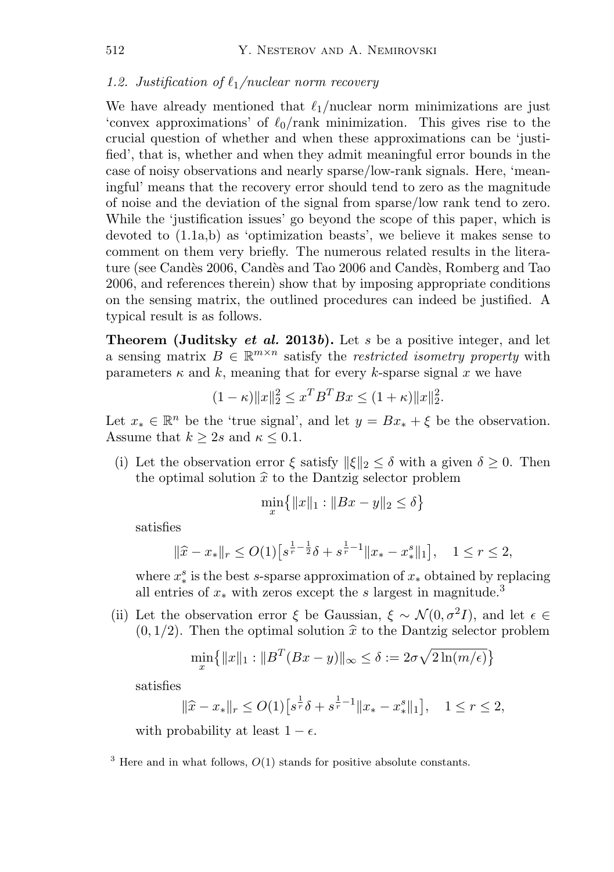#### *1.2. Justification of*  $\ell_1$ /nuclear norm recovery

We have already mentioned that  $\ell_1$ /nuclear norm minimizations are just 'convex approximations' of  $\ell_0$ /rank minimization. This gives rise to the crucial question of whether and when these approximations can be 'justified', that is, whether and when they admit meaningful error bounds in the case of noisy observations and nearly sparse/low-rank signals. Here, 'meaningful' means that the recovery error should tend to zero as the magnitude of noise and the deviation of the signal from sparse/low rank tend to zero. While the 'justification issues' go beyond the scope of this paper, which is devoted to (1.1a,b) as 'optimization beasts', we believe it makes sense to comment on them very briefly. The numerous related results in the literature (see Candès 2006, Candès and Tao 2006 and Candès, Romberg and Tao 2006, and references therein) show that by imposing appropriate conditions on the sensing matrix, the outlined procedures can indeed be justified. A typical result is as follows.

**Theorem (Juditsky** *et al.* **2013***b***).** Let s be a positive integer, and let a sensing matrix  $B \in \mathbb{R}^{m \times n}$  satisfy the *restricted isometry property* with parameters  $\kappa$  and k, meaning that for every k-sparse signal x we have

$$
(1 - \kappa) \|x\|_2^2 \le x^T B^T B x \le (1 + \kappa) \|x\|_2^2.
$$

Let  $x_* \in \mathbb{R}^n$  be the 'true signal', and let  $y = Bx_* + \xi$  be the observation. Assume that  $k \geq 2s$  and  $\kappa \leq 0.1$ .

(i) Let the observation error  $\xi$  satisfy  $\|\xi\|_2 \leq \delta$  with a given  $\delta \geq 0$ . Then the optimal solution  $\hat{x}$  to the Dantzig selector problem

$$
\min_{x} \{ \|x\|_1 : \|Bx - y\|_2 \le \delta \}
$$

satisfies

$$
\|\widehat{x} - x_*\|_r \le O(1) \left[ s^{\frac{1}{r} - \frac{1}{2}} \delta + s^{\frac{1}{r} - 1} \|x_* - x_*^s\|_1 \right], \quad 1 \le r \le 2,
$$

where  $x_*^s$  is the best s-sparse approximation of  $x_*$  obtained by replacing all entries of  $x_*$  with zeros except the s largest in magnitude.<sup>3</sup>

(ii) Let the observation error  $\xi$  be Gaussian,  $\xi \sim \mathcal{N}(0, \sigma^2 I)$ , and let  $\epsilon \in$  $(0, 1/2)$ . Then the optimal solution  $\hat{x}$  to the Dantzig selector problem

$$
\min_{x} \{ ||x||_1 : ||B^T(Bx - y)||_{\infty} \le \delta := 2\sigma\sqrt{2\ln(m/\epsilon)} \}
$$

satisfies

$$
\|\widehat{x} - x_*\|_r \le O(1) \left[ s^{\frac{1}{r}} \delta + s^{\frac{1}{r} - 1} \|x_* - x_*^s\|_1 \right], \quad 1 \le r \le 2,
$$

with probability at least  $1 - \epsilon$ .

 $3$  Here and in what follows,  $O(1)$  stands for positive absolute constants.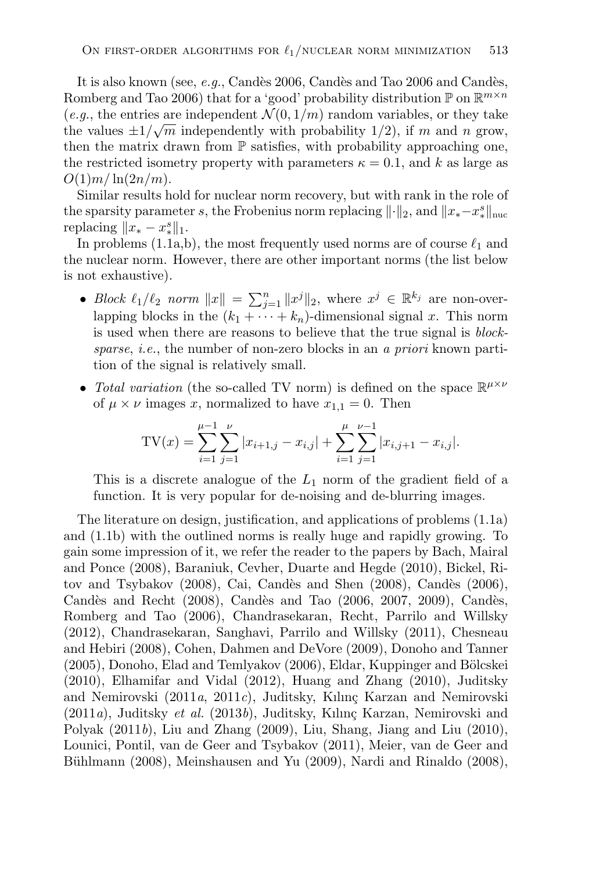It is also known (see, *e.g.*, Candès 2006, Candès and Tao 2006 and Candès, Romberg and Tao 2006) that for a 'good' probability distribution  $\mathbb{P}$  on  $\mathbb{R}^{m \times n}$  $(e.g., the entries are independent  $\mathcal{N}(0,1/m)$  random variables, or they take$ (e.g., the entries are independently  $v(0, 1/m)$  random variables, or they take<br>the values  $\pm 1/\sqrt{m}$  independently with probability 1/2), if m and n grow, then the matrix drawn from  $\mathbb P$  satisfies, with probability approaching one, the restricted isometry property with parameters  $\kappa = 0.1$ , and k as large as  $O(1)m/\ln(2n/m)$ .

Similar results hold for nuclear norm recovery, but with rank in the role of the sparsity parameter s, the Frobenius norm replacing  $\|\cdot\|_2$ , and  $\|x_*-x_*^s\|_{\text{nuc}}$ replacing  $||x_* - x_*^s||_1$ .

In problems (1.1a,b), the most frequently used norms are of course  $\ell_1$  and the nuclear norm. However, there are other important norms (the list below is not exhaustive).

- *Block*  $\ell_1/\ell_2$  *norm*  $||x|| = \sum_{j=1}^n ||x^j||_2$ , where  $x^j \in \mathbb{R}^{k_j}$  are non-overlapping blocks in the  $(k_1 + \cdots + k_n)$ -dimensional signal x. This norm is used when there are reasons to believe that the true signal is *blocksparse*, *i.e.*, the number of non-zero blocks in an *a priori* known partition of the signal is relatively small.
- *Total variation* (the so-called TV norm) is defined on the space  $\mathbb{R}^{\mu \times \nu}$ of  $\mu \times \nu$  images x, normalized to have  $x_{1,1} = 0$ . Then

TV(x) = 
$$
\sum_{i=1}^{\mu-1} \sum_{j=1}^{\nu} |x_{i+1,j} - x_{i,j}| + \sum_{i=1}^{\mu} \sum_{j=1}^{\nu-1} |x_{i,j+1} - x_{i,j}|.
$$

This is a discrete analogue of the  $L_1$  norm of the gradient field of a function. It is very popular for de-noising and de-blurring images.

The literature on design, justification, and applications of problems (1.1a) and (1.1b) with the outlined norms is really huge and rapidly growing. To gain some impression of it, we refer the reader to the papers by Bach, Mairal and Ponce (2008), Baraniuk, Cevher, Duarte and Hegde (2010), Bickel, Ritov and Tsybakov  $(2008)$ , Cai, Candès and Shen  $(2008)$ , Candès  $(2006)$ , Candès and Recht  $(2008)$ , Candès and Tao  $(2006, 2007, 2009)$ , Candès, Romberg and Tao (2006), Chandrasekaran, Recht, Parrilo and Willsky (2012), Chandrasekaran, Sanghavi, Parrilo and Willsky (2011), Chesneau and Hebiri (2008), Cohen, Dahmen and DeVore (2009), Donoho and Tanner (2005), Donoho, Elad and Temlyakov (2006), Eldar, Kuppinger and Bölcskei (2010), Elhamifar and Vidal (2012), Huang and Zhang (2010), Juditsky and Nemirovski (2011*a*, 2011*c*), Juditsky, Kılınç Karzan and Nemirovski (2011*a*), Juditsky *et al.* (2013*b*), Juditsky, Kılınç Karzan, Nemirovski and Polyak (2011*b*), Liu and Zhang (2009), Liu, Shang, Jiang and Liu (2010), Lounici, Pontil, van de Geer and Tsybakov (2011), Meier, van de Geer and Bühlmann (2008), Meinshausen and Yu (2009), Nardi and Rinaldo (2008),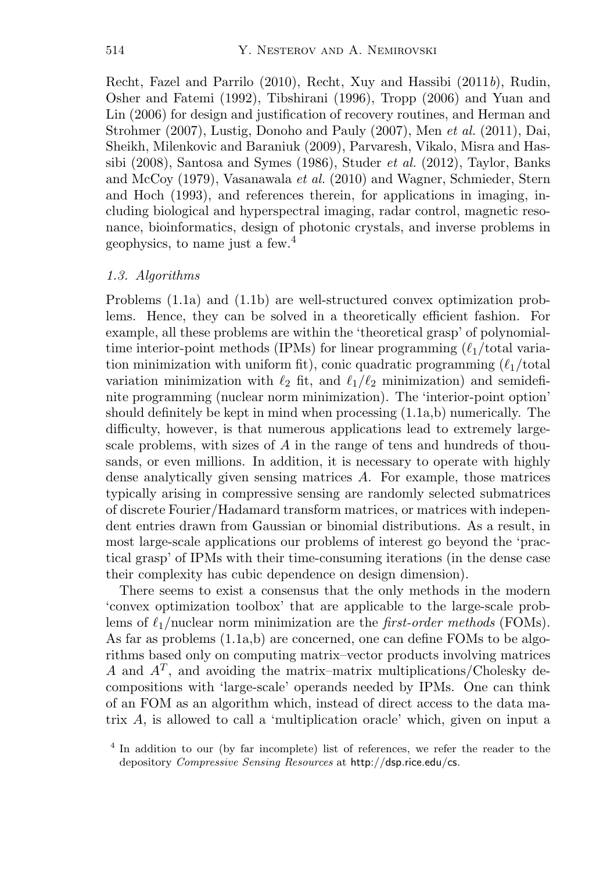Recht, Fazel and Parrilo (2010), Recht, Xuy and Hassibi (2011*b*), Rudin, Osher and Fatemi (1992), Tibshirani (1996), Tropp (2006) and Yuan and Lin (2006) for design and justification of recovery routines, and Herman and Strohmer (2007), Lustig, Donoho and Pauly (2007), Men *et al.* (2011), Dai, Sheikh, Milenkovic and Baraniuk (2009), Parvaresh, Vikalo, Misra and Hassibi (2008), Santosa and Symes (1986), Studer *et al.* (2012), Taylor, Banks and McCoy (1979), Vasanawala *et al.* (2010) and Wagner, Schmieder, Stern and Hoch (1993), and references therein, for applications in imaging, including biological and hyperspectral imaging, radar control, magnetic resonance, bioinformatics, design of photonic crystals, and inverse problems in geophysics, to name just a few.<sup>4</sup>

#### *1.3. Algorithms*

Problems (1.1a) and (1.1b) are well-structured convex optimization problems. Hence, they can be solved in a theoretically efficient fashion. For example, all these problems are within the 'theoretical grasp' of polynomialtime interior-point methods (IPMs) for linear programming  $(\ell_1/\text{total varia}$ tion minimization with uniform fit), conic quadratic programming  $(\ell_1/\text{total})$ variation minimization with  $\ell_2$  fit, and  $\ell_1/\ell_2$  minimization) and semidefinite programming (nuclear norm minimization). The 'interior-point option' should definitely be kept in mind when processing  $(1.1a,b)$  numerically. The difficulty, however, is that numerous applications lead to extremely largescale problems, with sizes of A in the range of tens and hundreds of thousands, or even millions. In addition, it is necessary to operate with highly dense analytically given sensing matrices A. For example, those matrices typically arising in compressive sensing are randomly selected submatrices of discrete Fourier/Hadamard transform matrices, or matrices with independent entries drawn from Gaussian or binomial distributions. As a result, in most large-scale applications our problems of interest go beyond the 'practical grasp' of IPMs with their time-consuming iterations (in the dense case their complexity has cubic dependence on design dimension).

There seems to exist a consensus that the only methods in the modern 'convex optimization toolbox' that are applicable to the large-scale problems of  $\ell_1$ /nuclear norm minimization are the *first-order methods* (FOMs). As far as problems (1.1a,b) are concerned, one can define FOMs to be algorithms based only on computing matrix–vector products involving matrices A and  $A<sup>T</sup>$ , and avoiding the matrix–matrix multiplications/Cholesky decompositions with 'large-scale' operands needed by IPMs. One can think of an FOM as an algorithm which, instead of direct access to the data matrix A, is allowed to call a 'multiplication oracle' which, given on input a

<sup>4</sup> In addition to our (by far incomplete) list of references, we refer the reader to the depository *Compressive Sensing Resources* at http://dsp.rice.edu/cs.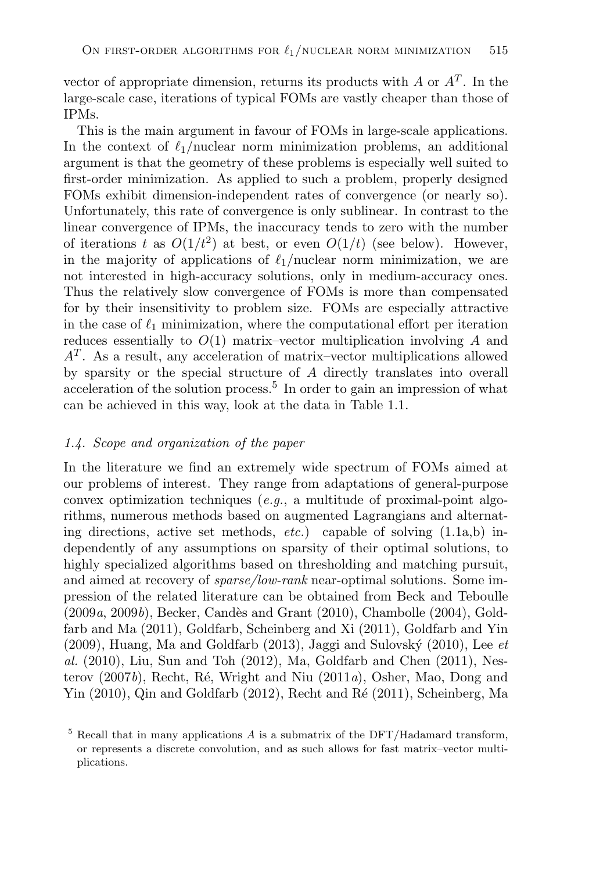vector of appropriate dimension, returns its products with A or  $A<sup>T</sup>$ . In the large-scale case, iterations of typical FOMs are vastly cheaper than those of IPMs.

This is the main argument in favour of FOMs in large-scale applications. In the context of  $\ell_1$ /nuclear norm minimization problems, an additional argument is that the geometry of these problems is especially well suited to first-order minimization. As applied to such a problem, properly designed FOMs exhibit dimension-independent rates of convergence (or nearly so). Unfortunately, this rate of convergence is only sublinear. In contrast to the linear convergence of IPMs, the inaccuracy tends to zero with the number of iterations t as  $O(1/t^2)$  at best, or even  $O(1/t)$  (see below). However, in the majority of applications of  $\ell_1$ /nuclear norm minimization, we are not interested in high-accuracy solutions, only in medium-accuracy ones. Thus the relatively slow convergence of FOMs is more than compensated for by their insensitivity to problem size. FOMs are especially attractive in the case of  $\ell_1$  minimization, where the computational effort per iteration reduces essentially to  $O(1)$  matrix–vector multiplication involving A and  $A<sup>T</sup>$ . As a result, any acceleration of matrix–vector multiplications allowed by sparsity or the special structure of A directly translates into overall acceleration of the solution process.<sup>5</sup> In order to gain an impression of what can be achieved in this way, look at the data in Table 1.1.

#### *1.4. Scope and organization of the paper*

In the literature we find an extremely wide spectrum of FOMs aimed at our problems of interest. They range from adaptations of general-purpose convex optimization techniques (*e.g.*, a multitude of proximal-point algorithms, numerous methods based on augmented Lagrangians and alternating directions, active set methods, *etc.*) capable of solving (1.1a,b) independently of any assumptions on sparsity of their optimal solutions, to highly specialized algorithms based on thresholding and matching pursuit, and aimed at recovery of *sparse/low-rank* near-optimal solutions. Some impression of the related literature can be obtained from Beck and Teboulle (2009*a*, 2009*b*), Becker, Candès and Grant (2010), Chambolle (2004), Goldfarb and Ma (2011), Goldfarb, Scheinberg and Xi (2011), Goldfarb and Yin  $(2009)$ , Huang, Ma and Goldfarb  $(2013)$ , Jaggi and Sulovský  $(2010)$ , Lee  $et$ *al.* (2010), Liu, Sun and Toh (2012), Ma, Goldfarb and Chen (2011), Nesterov (2007*b*), Recht, Ré, Wright and Niu (2011*a*), Osher, Mao, Dong and Yin  $(2010)$ , Qin and Goldfarb  $(2012)$ , Recht and Ré  $(2011)$ , Scheinberg, Ma

 $5$  Recall that in many applications A is a submatrix of the DFT/Hadamard transform, or represents a discrete convolution, and as such allows for fast matrix–vector multiplications.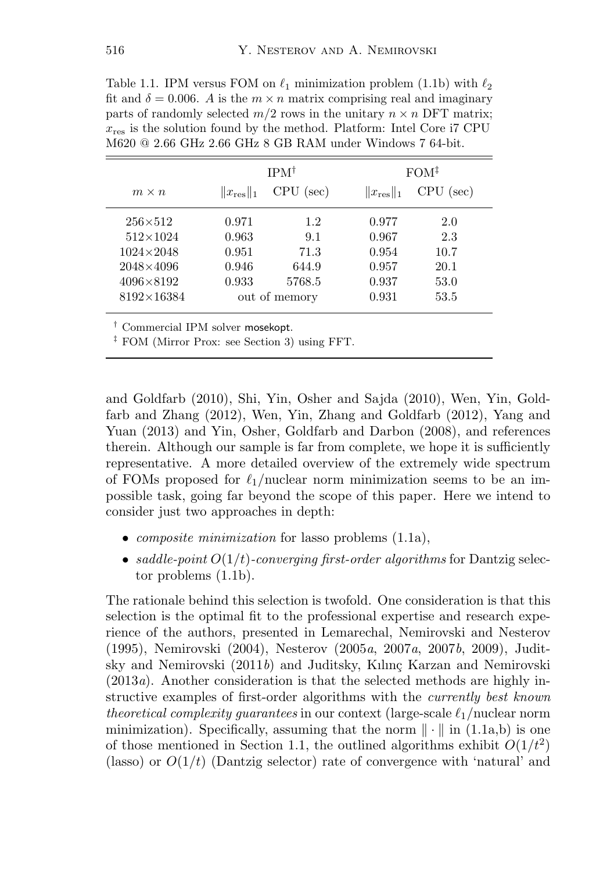Table 1.1. IPM versus FOM on  $\ell_1$  minimization problem (1.1b) with  $\ell_2$ fit and  $\delta = 0.006$ . A is the  $m \times n$  matrix comprising real and imaginary parts of randomly selected  $m/2$  rows in the unitary  $n \times n$  DFT matrix;  $x_{res}$  is the solution found by the method. Platform: Intel Core i7 CPU M620 @ 2.66 GHz 2.66 GHz 8 GB RAM under Windows 7 64-bit.

|                    | $IPM^{\dagger}$        |             | $FOM^{\ddagger}$       |             |
|--------------------|------------------------|-------------|------------------------|-------------|
| $m \times n$       | $  x_{\text{res}}  _1$ | $CPU$ (sec) | $  x_{\text{res}}  _1$ | $CPU$ (sec) |
| $256 \times 512$   | 0.971                  | 1.2         | 0.977                  | 2.0         |
| $512\times1024$    | 0.963                  | 9.1         | 0.967                  | 2.3         |
| $1024 \times 2048$ | 0.951                  | 71.3        | 0.954                  | 10.7        |
| $2048\times4096$   | 0.946                  | 644.9       | 0.957                  | 20.1        |
| $4096 \times 8192$ | 0.933                  | 5768.5      | 0.937                  | 53.0        |
| $8192\times16384$  | out of memory          |             | 0.931                  | 53.5        |

† Commercial IPM solver mosekopt.

‡ FOM (Mirror Prox: see Section 3) using FFT.

and Goldfarb (2010), Shi, Yin, Osher and Sajda (2010), Wen, Yin, Goldfarb and Zhang (2012), Wen, Yin, Zhang and Goldfarb (2012), Yang and Yuan (2013) and Yin, Osher, Goldfarb and Darbon (2008), and references therein. Although our sample is far from complete, we hope it is sufficiently representative. A more detailed overview of the extremely wide spectrum of FOMs proposed for  $\ell_1$ /nuclear norm minimization seems to be an impossible task, going far beyond the scope of this paper. Here we intend to consider just two approaches in depth:

- *composite minimization* for lasso problems (1.1a),
- *saddle-point* O(1/t)*-converging first-order algorithms* for Dantzig selector problems (1.1b).

The rationale behind this selection is twofold. One consideration is that this selection is the optimal fit to the professional expertise and research experience of the authors, presented in Lemarechal, Nemirovski and Nesterov (1995), Nemirovski (2004), Nesterov (2005*a*, 2007*a*, 2007*b*, 2009), Juditsky and Nemirovski (2011*b*) and Juditsky, Kılınç Karzan and Nemirovski (2013*a*). Another consideration is that the selected methods are highly instructive examples of first-order algorithms with the *currently best known theoretical complexity guarantees* in our context (large-scale  $\ell_1$ /nuclear norm minimization). Specifically, assuming that the norm  $\|\cdot\|$  in (1.1a,b) is one of those mentioned in Section 1.1, the outlined algorithms exhibit  $O(1/t^2)$ (lasso) or  $O(1/t)$  (Dantzig selector) rate of convergence with 'natural' and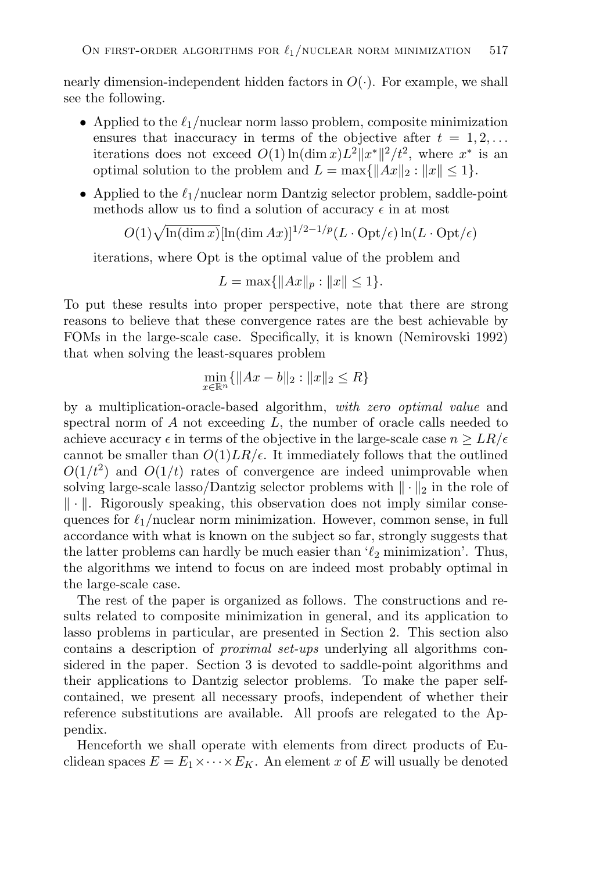nearly dimension-independent hidden factors in  $O(\cdot)$ . For example, we shall see the following.

- Applied to the  $\ell_1$ /nuclear norm lasso problem, composite minimization ensures that inaccuracy in terms of the objective after  $t = 1, 2, \ldots$ iterations does not exceed  $O(1) \ln(\dim x) L^2 ||x^*||^2 / t^2$ , where  $x^*$  is an optimal solution to the problem and  $L = \max\{||Ax||_2 : ||x|| \leq 1\}.$
- Applied to the  $\ell_1$ /nuclear norm Dantzig selector problem, saddle-point methods allow us to find a solution of accuracy  $\epsilon$  in at most

 $O(1)\sqrt{\ln(\dim x)}[\ln(\dim Ax)]^{1/2-1/p}(L\cdot \mathrm{Opt}/\epsilon)\ln(L\cdot \mathrm{Opt}/\epsilon)$ 

iterations, where Opt is the optimal value of the problem and

$$
L = \max\{\|Ax\|_p : \|x\| \le 1\}.
$$

To put these results into proper perspective, note that there are strong reasons to believe that these convergence rates are the best achievable by FOMs in the large-scale case. Specifically, it is known (Nemirovski 1992) that when solving the least-squares problem

$$
\min_{x \in \mathbb{R}^n} \{ \|Ax - b\|_2 : \|x\|_2 \le R \}
$$

by a multiplication-oracle-based algorithm, *with zero optimal value* and spectral norm of  $A$  not exceeding  $L$ , the number of oracle calls needed to achieve accuracy  $\epsilon$  in terms of the objective in the large-scale case  $n \geq LR/\epsilon$ cannot be smaller than  $O(1)LR/\epsilon$ . It immediately follows that the outlined  $O(1/t^2)$  and  $O(1/t)$  rates of convergence are indeed unimprovable when solving large-scale lasso/Dantzig selector problems with  $\|\cdot\|_2$  in the role of  $\|\cdot\|$ . Rigorously speaking, this observation does not imply similar consequences for  $\ell_1$ /nuclear norm minimization. However, common sense, in full accordance with what is known on the subject so far, strongly suggests that the latter problems can hardly be much easier than  $\ell_2$  minimization. Thus, the algorithms we intend to focus on are indeed most probably optimal in the large-scale case.

The rest of the paper is organized as follows. The constructions and results related to composite minimization in general, and its application to lasso problems in particular, are presented in Section 2. This section also contains a description of *proximal set-ups* underlying all algorithms considered in the paper. Section 3 is devoted to saddle-point algorithms and their applications to Dantzig selector problems. To make the paper selfcontained, we present all necessary proofs, independent of whether their reference substitutions are available. All proofs are relegated to the Appendix.

Henceforth we shall operate with elements from direct products of Euclidean spaces  $E = E_1 \times \cdots \times E_K$ . An element x of E will usually be denoted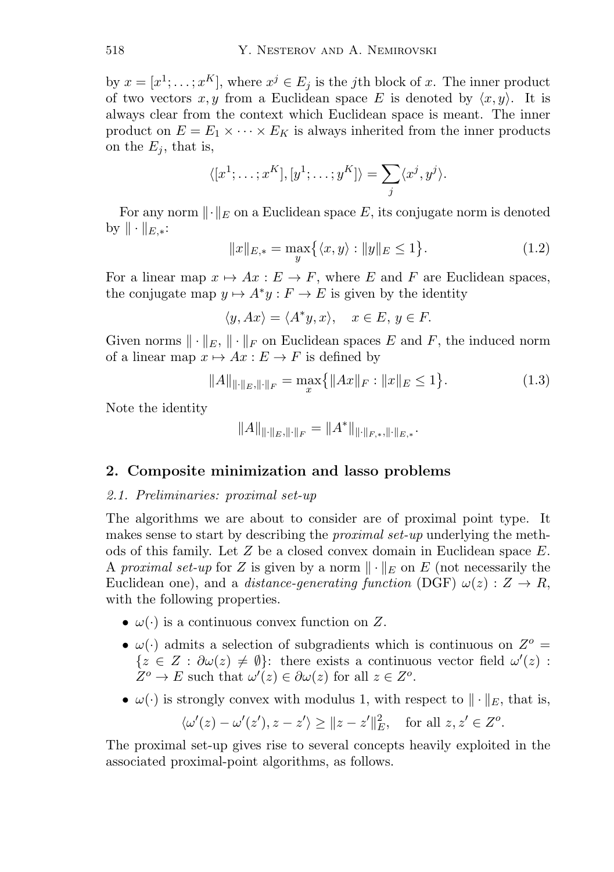by  $x = [x^1; \ldots; x^K]$ , where  $x^j \in E_i$  is the jth block of x. The inner product of two vectors x, y from a Euclidean space E is denoted by  $\langle x, y \rangle$ . It is always clear from the context which Euclidean space is meant. The inner product on  $E = E_1 \times \cdots \times E_K$  is always inherited from the inner products on the  $E_i$ , that is,

$$
\langle [x^1; \ldots; x^K], [y^1; \ldots; y^K] \rangle = \sum_j \langle x^j, y^j \rangle.
$$

For any norm  $\lVert \cdot \rVert_E$  on a Euclidean space E, its conjugate norm is denoted by  $\|\cdot\|_{E,*}:$ 

$$
||x||_{E,*} = \max_{y} \{ \langle x, y \rangle : ||y||_{E} \le 1 \}. \tag{1.2}
$$

For a linear map  $x \mapsto Ax : E \to F$ , where E and F are Euclidean spaces, the conjugate map  $y \mapsto A^*y : F \to E$  is given by the identity

$$
\langle y, Ax \rangle = \langle A^* y, x \rangle, \quad x \in E, y \in F.
$$

Given norms  $\|\cdot\|_E$ ,  $\|\cdot\|_F$  on Euclidean spaces E and F, the induced norm of a linear map  $x \mapsto Ax : E \to F$  is defined by

$$
||A||_{\|\cdot\|_{E},\|\cdot\|_{F}} = \max_{x} \{ ||Ax||_{F} : ||x||_{E} \le 1 \}.
$$
 (1.3)

Note the identity

$$
||A||_{\|\cdot\|_E,\|\cdot\|_F} = ||A^*||_{\|\cdot\|_{F,*,\|\cdot\|_{E,*}}.
$$

## **2. Composite minimization and lasso problems**

#### *2.1. Preliminaries: proximal set-up*

The algorithms we are about to consider are of proximal point type. It makes sense to start by describing the *proximal set-up* underlying the methods of this family. Let Z be a closed convex domain in Euclidean space E. A *proximal set-up* for Z is given by a norm  $\|\cdot\|_E$  on E (not necessarily the Euclidean one), and a *distance-generating function* (DGF)  $\omega(z)$  :  $Z \rightarrow R$ , with the following properties.

- $\omega(\cdot)$  is a continuous convex function on Z.
- $\omega(\cdot)$  admits a selection of subgradients which is continuous on  $Z^o$  =  $\{z \in Z : \partial \omega(z) \neq \emptyset\}$ : there exists a continuous vector field  $\omega'(z)$ :  $Z^o \to E$  such that  $\omega'(z) \in \partial \omega(z)$  for all  $z \in Z^o$ .
- $\omega(\cdot)$  is strongly convex with modulus 1, with respect to  $\|\cdot\|_E$ , that is,

$$
\langle \omega'(z) - \omega'(z'), z - z' \rangle \ge ||z - z'||_E^2, \quad \text{for all } z, z' \in Z^o.
$$

The proximal set-up gives rise to several concepts heavily exploited in the associated proximal-point algorithms, as follows.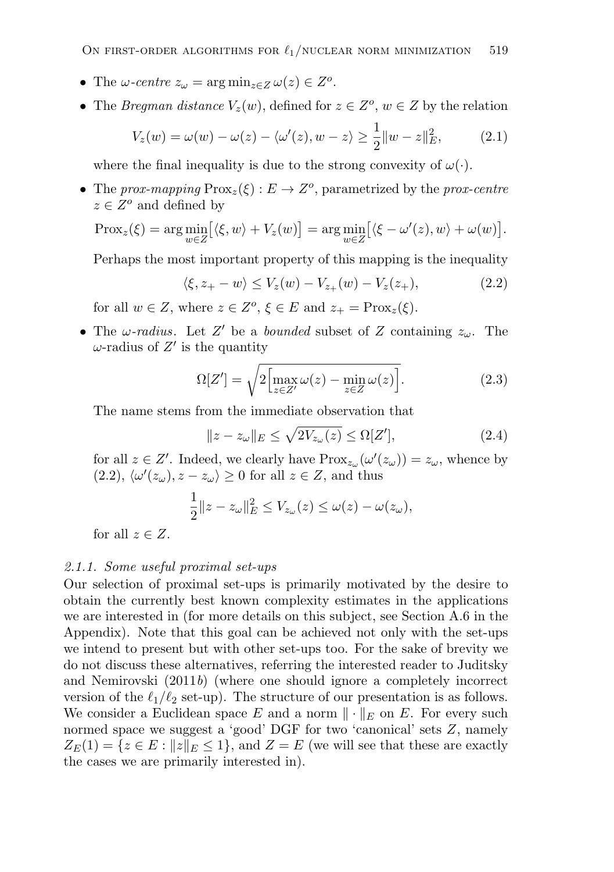- The  $\omega$ -centre  $z_{\omega} = \arg \min_{z \in Z} \omega(z) \in Z^o$ .
- The *Bregman distance*  $V_z(w)$ , defined for  $z \in Z^o$ ,  $w \in Z$  by the relation

$$
V_z(w) = \omega(w) - \omega(z) - \langle \omega'(z), w - z \rangle \ge \frac{1}{2} ||w - z||_E^2, \tag{2.1}
$$

where the final inequality is due to the strong convexity of  $\omega(\cdot)$ .

• The *prox-mapping*  $Prox_z(\xi) : E \to Z^o$ , parametrized by the *prox-centre*  $z \in Z^o$  and defined by

$$
\text{Prox}_{z}(\xi) = \arg\min_{w \in Z} [\langle \xi, w \rangle + V_{z}(w)] = \arg\min_{w \in Z} [\langle \xi - \omega'(z), w \rangle + \omega(w)].
$$

Perhaps the most important property of this mapping is the inequality

$$
\langle \xi, z_+ - w \rangle \le V_z(w) - V_{z_+}(w) - V_z(z_+), \tag{2.2}
$$

for all  $w \in Z$ , where  $z \in Z^o$ ,  $\xi \in E$  and  $z_+ = \text{Prox}_z(\xi)$ .

• The  $\omega$ -radius. Let Z' be a *bounded* subset of Z containing  $z_{\omega}$ . The  $\omega$ -radius of Z' is the quantity

$$
\Omega[Z'] = \sqrt{2 \left[ \max_{z \in Z'} \omega(z) - \min_{z \in Z} \omega(z) \right]}.
$$
\n(2.3)

The name stems from the immediate observation that

$$
||z - z_{\omega}||_E \le \sqrt{2V_{z_{\omega}}(z)} \le \Omega[Z'], \tag{2.4}
$$

for all  $z \in Z'$ . Indeed, we clearly have  $Prox_{z_{\omega}}(\omega'(z_{\omega})) = z_{\omega}$ , whence by  $(2.2), \langle \omega'(z_{\omega}), z-z_{\omega} \rangle \geq 0$  for all  $z \in Z$ , and thus

$$
\frac{1}{2}||z-z_{\omega}||_{E}^{2} \le V_{z_{\omega}}(z) \le \omega(z) - \omega(z_{\omega}),
$$

for all  $z \in Z$ .

#### *2.1.1. Some useful proximal set-ups*

Our selection of proximal set-ups is primarily motivated by the desire to obtain the currently best known complexity estimates in the applications we are interested in (for more details on this subject, see Section A.6 in the Appendix). Note that this goal can be achieved not only with the set-ups we intend to present but with other set-ups too. For the sake of brevity we do not discuss these alternatives, referring the interested reader to Juditsky and Nemirovski (2011*b*) (where one should ignore a completely incorrect version of the  $\ell_1/\ell_2$  set-up). The structure of our presentation is as follows. We consider a Euclidean space E and a norm  $\|\cdot\|_E$  on E. For every such normed space we suggest a 'good' DGF for two 'canonical' sets Z, namely  $Z_E(1) = \{z \in E : ||z||_E \le 1\}$ , and  $Z = E$  (we will see that these are exactly the cases we are primarily interested in).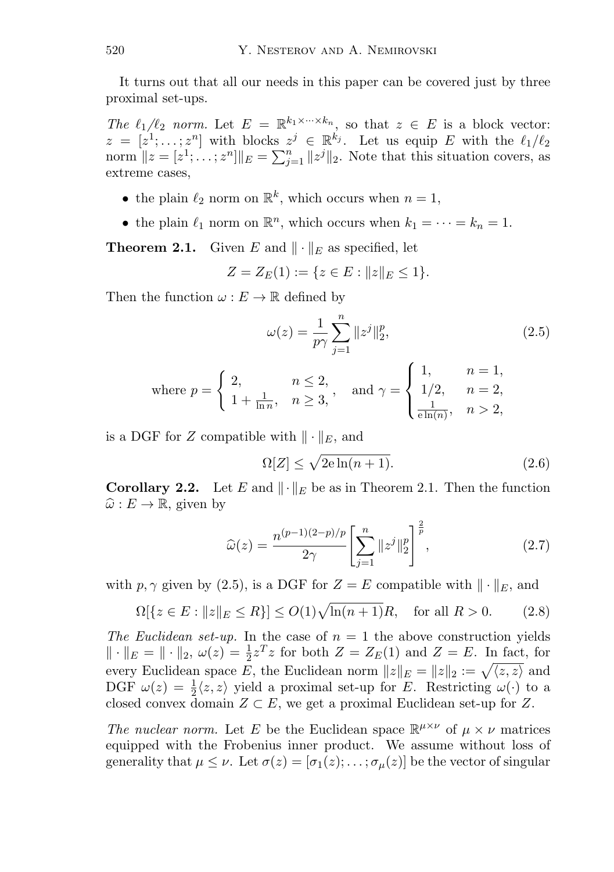It turns out that all our needs in this paper can be covered just by three proximal set-ups.

*The*  $\ell_1/\ell_2$  *norm.* Let  $E = \mathbb{R}^{k_1 \times \cdots \times k_n}$ , so that  $z \in E$  is a block vector:  $z = [z^1; \dots; z^n]$  with blocks  $z^j \in \mathbb{R}^{k_j}$ . Let us equip E with the  $\ell_1/\ell_2$ norm  $||z = [z^1; \ldots; z^n]||_E = \sum_{j=1}^n ||z^j||_2$ . Note that this situation covers, as extreme cases,

- the plain  $\ell_2$  norm on  $\mathbb{R}^k$ , which occurs when  $n = 1$ ,
- the plain  $\ell_1$  norm on  $\mathbb{R}^n$ , which occurs when  $k_1 = \cdots = k_n = 1$ .

**Theorem 2.1.** Given E and  $\|\cdot\|_E$  as specified, let

$$
Z = Z_E(1) := \{ z \in E : ||z||_E \le 1 \}.
$$

Then the function  $\omega : E \to \mathbb{R}$  defined by

$$
\omega(z) = \frac{1}{p\gamma} \sum_{j=1}^{n} ||z^{j}||_{2}^{p},
$$
\n(2.5)

where 
$$
p = \begin{cases} 2, & n \le 2, \\ 1 + \frac{1}{\ln n}, & n \ge 3, \end{cases}
$$
, and  $\gamma = \begin{cases} 1, & n = 1, \\ 1/2, & n = 2, \\ \frac{1}{e \ln(n)}, & n > 2, \end{cases}$ 

is a DGF for Z compatible with  $\|\cdot\|_E$ , and

$$
\Omega[Z] \le \sqrt{2e \ln(n+1)}.\tag{2.6}
$$

**Corollary 2.2.** Let E and  $\|\cdot\|_E$  be as in Theorem 2.1. Then the function  $\widehat{\omega}: E \to \mathbb{R}$ , given by

$$
\widehat{\omega}(z) = \frac{n^{(p-1)(2-p)/p}}{2\gamma} \left[ \sum_{j=1}^{n} ||z^{j}||_{2}^{p} \right]^{\frac{2}{p}},
$$
\n(2.7)

with p,  $\gamma$  given by (2.5), is a DGF for  $Z = E$  compatible with  $\|\cdot\|_E$ , and

$$
\Omega[\{z \in E : ||z||_E \le R\}] \le O(1)\sqrt{\ln(n+1)}R, \text{ for all } R > 0. \tag{2.8}
$$

*The Euclidean set-up.* In the case of  $n = 1$  the above construction yields  $\|\cdot\|_E = \|\cdot\|_2$ ,  $\omega(z) = \frac{1}{2}z^T z$  for both  $Z = Z_E(1)$  and  $Z = E$ . In fact, for every Euclidean space E, the Euclidean norm  $||z||_E = ||z||_2 := \sqrt{\langle z, z \rangle}$  and DGF  $\omega(z) = \frac{1}{2} \langle z, z \rangle$  yield a proximal set-up for E. Restricting  $\omega(\cdot)$  to a closed convex domain  $Z \subset E$ , we get a proximal Euclidean set-up for Z.

*The nuclear norm.* Let E be the Euclidean space  $\mathbb{R}^{\mu \times \nu}$  of  $\mu \times \nu$  matrices equipped with the Frobenius inner product. We assume without loss of generality that  $\mu \leq \nu$ . Let  $\sigma(z)=[\sigma_1(z);\ldots;\sigma_{\mu}(z)]$  be the vector of singular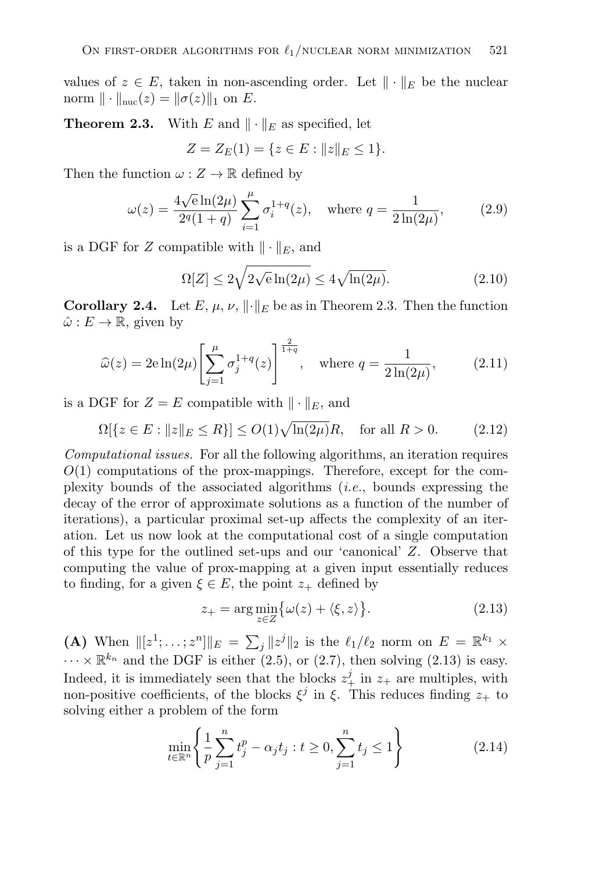values of  $z \in E$ , taken in non-ascending order. Let  $\|\cdot\|_E$  be the nuclear norm  $\|\cdot\|_{\text{nuc}}(z) = \|\sigma(z)\|_1$  on E.

**Theorem 2.3.** With E and  $\|\cdot\|_E$  as specified, let

$$
Z = Z_E(1) = \{ z \in E : ||z||_E \le 1 \}.
$$

Then the function  $\omega : Z \to \mathbb{R}$  defined by

$$
\omega(z) = \frac{4\sqrt{e}\ln(2\mu)}{2^q(1+q)} \sum_{i=1}^{\mu} \sigma_i^{1+q}(z), \quad \text{where } q = \frac{1}{2\ln(2\mu)}, \tag{2.9}
$$

is a DGF for Z compatible with  $\|\cdot\|_E$ , and

$$
\Omega[Z] \le 2\sqrt{2\sqrt{e}\ln(2\mu)} \le 4\sqrt{\ln(2\mu)}.\tag{2.10}
$$

**Corollary 2.4.** Let  $E, \mu, \nu, \|\cdot\|_E$  be as in Theorem 2.3. Then the function  $\hat{\omega}: E \to \mathbb{R}$ , given by

$$
\widehat{\omega}(z) = 2e \ln(2\mu) \left[ \sum_{j=1}^{\mu} \sigma_j^{1+q}(z) \right]^{\frac{2}{1+q}}, \quad \text{where } q = \frac{1}{2\ln(2\mu)}, \tag{2.11}
$$

is a DGF for  $Z = E$  compatible with  $\|\cdot\|_E$ , and

 $\Omega[\{z \in E : ||z||_E \le R\}] \le O(1)\sqrt{\ln(2\mu)}R$ , for all  $R > 0$ . (2.12)

*Computational issues.* For all the following algorithms, an iteration requires  $O(1)$  computations of the prox-mappings. Therefore, except for the complexity bounds of the associated algorithms (*i.e.*, bounds expressing the decay of the error of approximate solutions as a function of the number of iterations), a particular proximal set-up affects the complexity of an iteration. Let us now look at the computational cost of a single computation of this type for the outlined set-ups and our 'canonical' Z. Observe that computing the value of prox-mapping at a given input essentially reduces to finding, for a given  $\xi \in E$ , the point  $z_+$  defined by

$$
z_{+} = \arg\min_{z \in Z} \{\omega(z) + \langle \xi, z \rangle\}.
$$
 (2.13)

(A) When  $\|[z^1; \ldots; z^n]\|_E = \sum_j \|z^j\|_2$  is the  $\ell_1/\ell_2$  norm on  $E = \mathbb{R}^{k_1} \times$  $\cdots \times \mathbb{R}^{k_n}$  and the DGF is either (2.5), or (2.7), then solving (2.13) is easy. Indeed, it is immediately seen that the blocks  $z^j_+$  in  $z_+$  are multiples, with non-positive coefficients, of the blocks  $\xi^j$  in  $\xi$ . This reduces finding  $z_+$  to solving either a problem of the form

$$
\min_{t \in \mathbb{R}^n} \left\{ \frac{1}{p} \sum_{j=1}^n t_j^p - \alpha_j t_j : t \ge 0, \sum_{j=1}^n t_j \le 1 \right\}
$$
\n(2.14)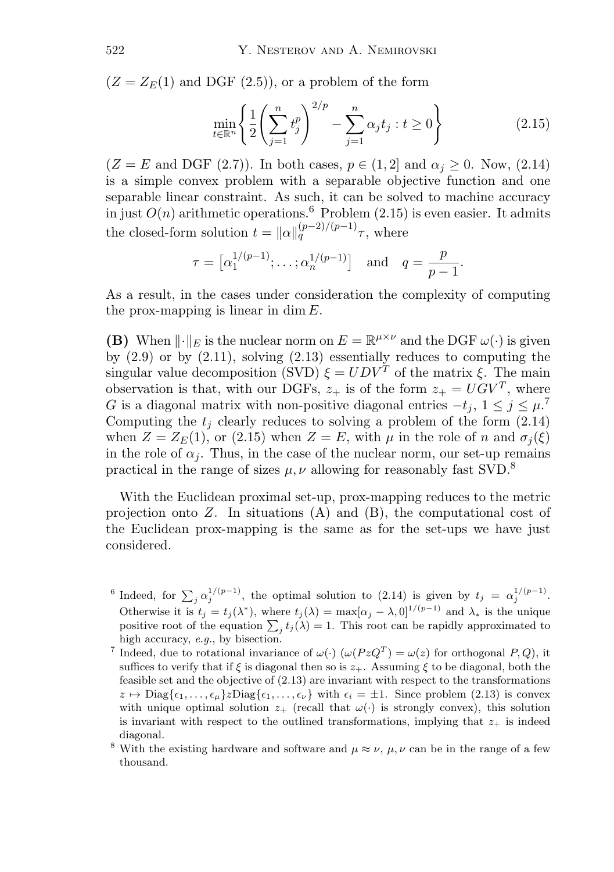$(Z = Z<sub>E</sub>(1)$  and DGF  $(2.5)$ , or a problem of the form

$$
\min_{t \in \mathbb{R}^n} \left\{ \frac{1}{2} \left( \sum_{j=1}^n t_j^p \right)^{2/p} - \sum_{j=1}^n \alpha_j t_j : t \ge 0 \right\} \tag{2.15}
$$

 $(Z = E \text{ and DGF (2.7)}).$  In both cases,  $p \in (1, 2]$  and  $\alpha_i > 0.$  Now,  $(2.14)$ is a simple convex problem with a separable objective function and one separable linear constraint. As such, it can be solved to machine accuracy in just  $O(n)$  arithmetic operations.<sup>6</sup> Problem (2.15) is even easier. It admits the closed-form solution  $t = ||\alpha||_q^{(p-2)/(p-1)}\tau$ , where

$$
\tau = [\alpha_1^{1/(p-1)}; \dots; \alpha_n^{1/(p-1)}]
$$
 and  $q = \frac{p}{p-1}$ .

As a result, in the cases under consideration the complexity of computing the prox-mapping is linear in dim  $E$ .

**(B)** When  $\|\cdot\|_E$  is the nuclear norm on  $E = \mathbb{R}^{\mu \times \nu}$  and the DGF  $\omega(\cdot)$  is given by  $(2.9)$  or by  $(2.11)$ , solving  $(2.13)$  essentially reduces to computing the singular value decomposition (SVD)  $\xi = UDV^T$  of the matrix  $\xi$ . The main observation is that, with our DGFs,  $z_+$  is of the form  $z_+ = UGV^T$ , where G is a diagonal matrix with non-positive diagonal entries  $-t_j$ ,  $1 \leq j \leq \mu$ .<sup>7</sup> Computing the  $t_i$  clearly reduces to solving a problem of the form  $(2.14)$ when  $Z = Z_E(1)$ , or (2.15) when  $Z = E$ , with  $\mu$  in the role of n and  $\sigma_i(\xi)$ in the role of  $\alpha_i$ . Thus, in the case of the nuclear norm, our set-up remains practical in the range of sizes  $\mu, \nu$  allowing for reasonably fast SVD.<sup>8</sup>

With the Euclidean proximal set-up, prox-mapping reduces to the metric projection onto  $Z$ . In situations  $(A)$  and  $(B)$ , the computational cost of the Euclidean prox-mapping is the same as for the set-ups we have just considered.

- <sup>6</sup> Indeed, for  $\sum_i \alpha_i^{1/(p-1)}$ , the optimal solution to (2.14) is given by  $t_j = \alpha_i^{1/(p-1)}$ . Otherwise it is  $t_j = t_j(\lambda^*)$ , where  $t_j(\lambda) = \max[\alpha_j - \lambda, 0]^{1/(p-1)}$  and  $\lambda_*$  is the unique positive root of the equation  $\sum_i t_i(\lambda) = 1$ . This root can be rapidly approximated to high accuracy, *e.g.*, by bisection.
- <sup>7</sup> Indeed, due to rotational invariance of  $\omega(\cdot)$  ( $\omega(PzQ^T) = \omega(z)$  for orthogonal P, Q), it suffices to verify that if  $\xi$  is diagonal then so is  $z_{+}$ . Assuming  $\xi$  to be diagonal, both the feasible set and the objective of (2.13) are invariant with respect to the transformations  $z \mapsto \text{Diag}\{\epsilon_1,\ldots,\epsilon_\mu\}z\text{Diag}\{\epsilon_1,\ldots,\epsilon_\nu\}$  with  $\epsilon_i = \pm 1$ . Since problem (2.13) is convex with unique optimal solution  $z_+$  (recall that  $\omega(\cdot)$  is strongly convex), this solution is invariant with respect to the outlined transformations, implying that  $z_{+}$  is indeed diagonal.
- <sup>8</sup> With the existing hardware and software and  $\mu \approx \nu$ ,  $\mu$ ,  $\nu$  can be in the range of a few thousand.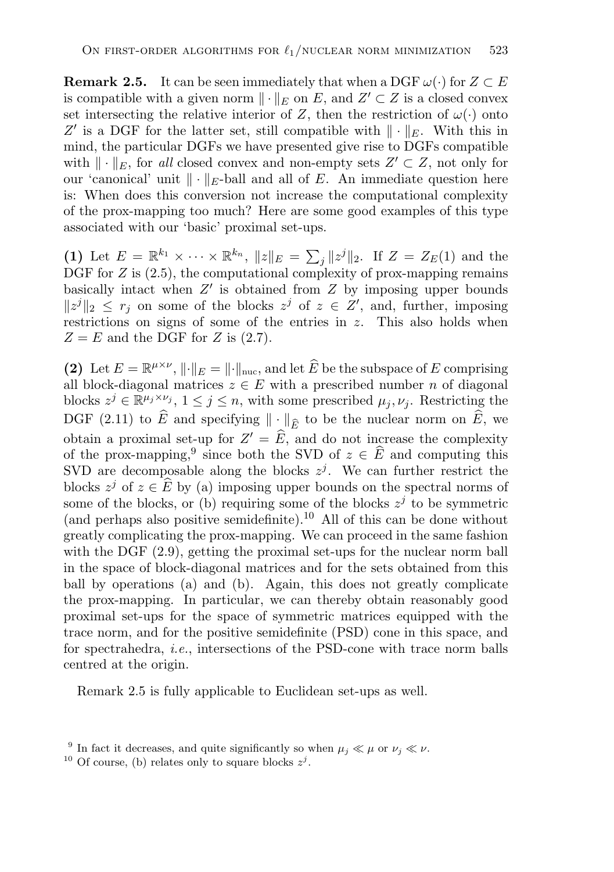**Remark 2.5.** It can be seen immediately that when a DGF  $\omega(\cdot)$  for  $Z \subset E$ is compatible with a given norm  $\|\cdot\|_E$  on E, and  $Z' \subset Z$  is a closed convex set intersecting the relative interior of Z, then the restriction of  $\omega(\cdot)$  onto Z' is a DGF for the latter set, still compatible with  $\|\cdot\|_E$ . With this in mind, the particular DGFs we have presented give rise to DGFs compatible with  $\|\cdot\|_E$ , for *all* closed convex and non-empty sets  $Z' \subset Z$ , not only for our 'canonical' unit  $\|\cdot\|_E$ -ball and all of E. An immediate question here is: When does this conversion not increase the computational complexity of the prox-mapping too much? Here are some good examples of this type associated with our 'basic' proximal set-ups.

(1) Let  $E = \mathbb{R}^{k_1} \times \cdots \times \mathbb{R}^{k_n}$ ,  $||z||_E = \sum_j ||z^j||_2$ . If  $Z = Z_E(1)$  and the DGF for  $Z$  is  $(2.5)$ , the computational complexity of prox-mapping remains basically intact when  $Z'$  is obtained from  $Z$  by imposing upper bounds  $||z^j||_2 \leq r_j$  on some of the blocks  $z^j$  of  $z \in \mathbb{Z}'$ , and, further, imposing restrictions on signs of some of the entries in  $z$ . This also holds when  $Z = E$  and the DGF for Z is (2.7).

**(2)** Let  $E = \mathbb{R}^{\mu \times \nu}$ ,  $\|\cdot\|_E = \|\cdot\|_{\text{nuc}}$ , and let  $\widehat{E}$  be the subspace of E comprising all block-diagonal matrices  $z \in E$  with a prescribed number n of diagonal blocks  $z^j \in \mathbb{R}^{\mu_j \times \nu_j}$ ,  $1 \leq j \leq n$ , with some prescribed  $\mu_j, \nu_j$ . Restricting the DGF (2.11) to  $\widehat{E}$  and specifying  $\|\cdot\|_{\widehat{E}}$  to be the nuclear norm on  $\widehat{E}$ , we obtain a proximal set-up for  $Z' = \widehat{E}$ , and do not increase the complexity of the prox-mapping,<sup>9</sup> since both the SVD of  $z \in \widehat{E}$  and computing this SVD are decomposable along the blocks  $z^{j}$ . We can further restrict the blocks  $z^j$  of  $z \in \widehat{E}$  by (a) imposing upper bounds on the spectral norms of some of the blocks, or (b) requiring some of the blocks  $z^{j}$  to be symmetric (and perhaps also positive semidefinite).<sup>10</sup> All of this can be done without greatly complicating the prox-mapping. We can proceed in the same fashion with the DGF  $(2.9)$ , getting the proximal set-ups for the nuclear norm ball in the space of block-diagonal matrices and for the sets obtained from this ball by operations (a) and (b). Again, this does not greatly complicate the prox-mapping. In particular, we can thereby obtain reasonably good proximal set-ups for the space of symmetric matrices equipped with the trace norm, and for the positive semidefinite (PSD) cone in this space, and for spectrahedra, *i.e.*, intersections of the PSD-cone with trace norm balls centred at the origin.

Remark 2.5 is fully applicable to Euclidean set-ups as well.

<sup>&</sup>lt;sup>9</sup> In fact it decreases, and quite significantly so when  $\mu_j \ll \mu$  or  $\nu_j \ll \nu$ .

<sup>&</sup>lt;sup>10</sup> Of course, (b) relates only to square blocks  $z^j$ .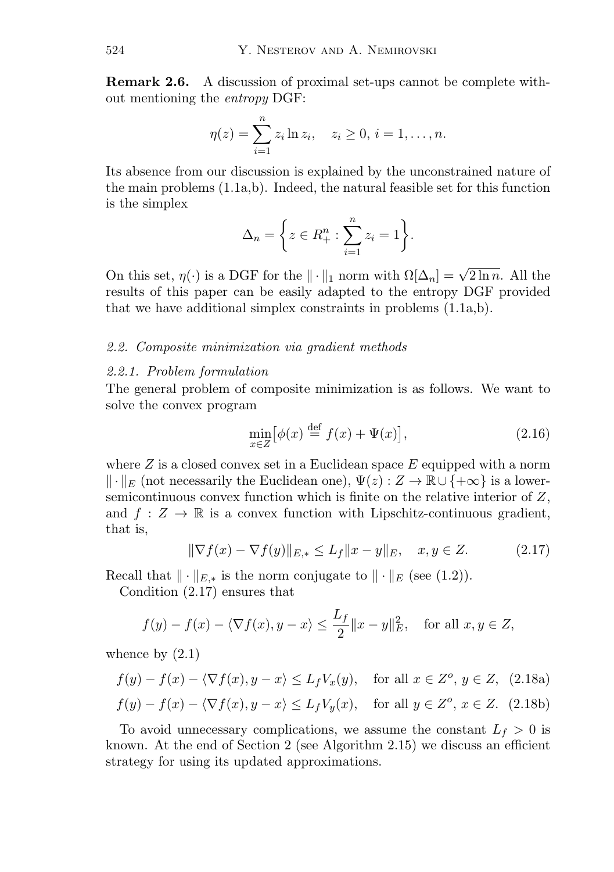**Remark 2.6.** A discussion of proximal set-ups cannot be complete without mentioning the *entropy* DGF:

$$
\eta(z) = \sum_{i=1}^{n} z_i \ln z_i, \quad z_i \ge 0, \, i = 1, \dots, n.
$$

Its absence from our discussion is explained by the unconstrained nature of the main problems (1.1a,b). Indeed, the natural feasible set for this function is the simplex

$$
\Delta_n = \bigg\{ z \in R_+^n : \sum_{i=1}^n z_i = 1 \bigg\}.
$$

On this set,  $\eta(\cdot)$  is a DGF for the  $\|\cdot\|_1$  norm with  $\Omega[\Delta_n] = \sqrt{2 \ln n}$ . All the results of this paper can be easily adapted to the entropy DGF provided that we have additional simplex constraints in problems (1.1a,b).

#### *2.2. Composite minimization via gradient methods*

#### *2.2.1. Problem formulation*

The general problem of composite minimization is as follows. We want to solve the convex program

$$
\min_{x \in Z} [\phi(x) \stackrel{\text{def}}{=} f(x) + \Psi(x)],\tag{2.16}
$$

where  $Z$  is a closed convex set in a Euclidean space  $E$  equipped with a norm  $\|\cdot\|_E$  (not necessarily the Euclidean one),  $\Psi(z): Z \to \mathbb{R} \cup \{+\infty\}$  is a lowersemicontinuous convex function which is finite on the relative interior of  $Z$ , and  $f: Z \to \mathbb{R}$  is a convex function with Lipschitz-continuous gradient, that is,

$$
\|\nabla f(x) - \nabla f(y)\|_{E,*} \le L_f \|x - y\|_E, \quad x, y \in Z. \tag{2.17}
$$

Recall that  $\|\cdot\|_{E,*}$  is the norm conjugate to  $\|\cdot\|_E$  (see (1.2)).

Condition (2.17) ensures that

$$
f(y) - f(x) - \langle \nabla f(x), y - x \rangle \le \frac{L_f}{2} ||x - y||_E^2
$$
, for all  $x, y \in Z$ ,

whence by  $(2.1)$ 

$$
f(y) - f(x) - \langle \nabla f(x), y - x \rangle \le L_f V_x(y), \quad \text{for all } x \in Z^o, y \in Z, \tag{2.18a}
$$

$$
f(y) - f(x) - \langle \nabla f(x), y - x \rangle \le L_f V_y(x), \quad \text{for all } y \in Z^o, x \in Z. \tag{2.18b}
$$

To avoid unnecessary complications, we assume the constant  $L_f > 0$  is known. At the end of Section 2 (see Algorithm 2.15) we discuss an efficient strategy for using its updated approximations.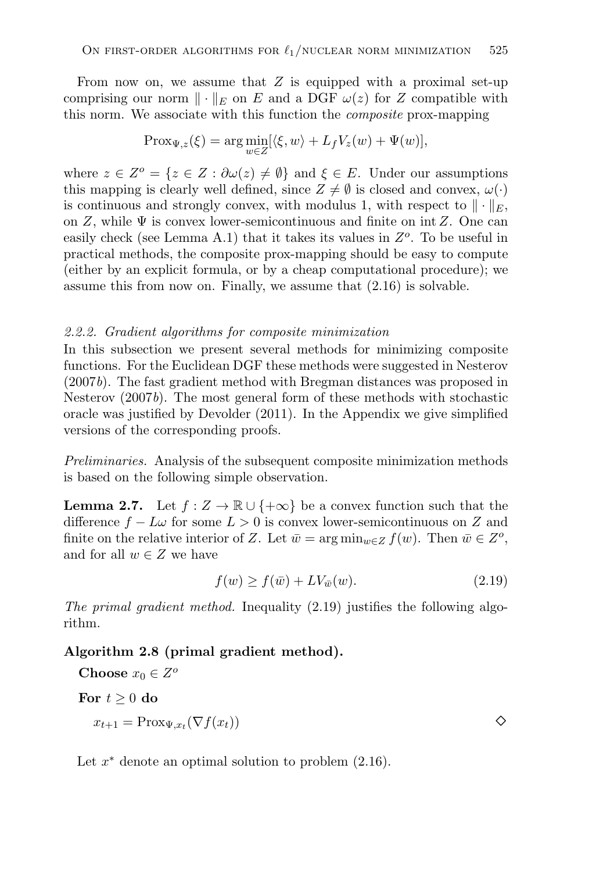From now on, we assume that  $Z$  is equipped with a proximal set-up comprising our norm  $\|\cdot\|_E$  on E and a DGF  $\omega(z)$  for Z compatible with this norm. We associate with this function the *composite* prox-mapping

$$
Prox_{\Psi,z}(\xi) = \arg\min_{w \in Z} [\langle \xi, w \rangle + L_f V_z(w) + \Psi(w)],
$$

where  $z \in Z^{\circ} = \{z \in Z : \partial \omega(z) \neq \emptyset\}$  and  $\xi \in E$ . Under our assumptions this mapping is clearly well defined, since  $Z \neq \emptyset$  is closed and convex,  $\omega(\cdot)$ is continuous and strongly convex, with modulus 1, with respect to  $\|\cdot\|_E$ , on Z, while  $\Psi$  is convex lower-semicontinuous and finite on int Z. One can easily check (see Lemma A.1) that it takes its values in  $Z<sup>o</sup>$ . To be useful in practical methods, the composite prox-mapping should be easy to compute (either by an explicit formula, or by a cheap computational procedure); we assume this from now on. Finally, we assume that (2.16) is solvable.

#### *2.2.2. Gradient algorithms for composite minimization*

In this subsection we present several methods for minimizing composite functions. For the Euclidean DGF these methods were suggested in Nesterov (2007*b*). The fast gradient method with Bregman distances was proposed in Nesterov (2007*b*). The most general form of these methods with stochastic oracle was justified by Devolder (2011). In the Appendix we give simplified versions of the corresponding proofs.

*Preliminaries.* Analysis of the subsequent composite minimization methods is based on the following simple observation.

**Lemma 2.7.** Let  $f : Z \to \mathbb{R} \cup \{+\infty\}$  be a convex function such that the difference  $f - L\omega$  for some  $L > 0$  is convex lower-semicontinuous on Z and finite on the relative interior of Z. Let  $\bar{w} = \arg \min_{w \in Z} f(w)$ . Then  $\bar{w} \in Z^o$ , and for all  $w \in Z$  we have

$$
f(w) \ge f(\bar{w}) + LV_{\bar{w}}(w). \tag{2.19}
$$

*The primal gradient method.* Inequality (2.19) justifies the following algorithm.

#### **Algorithm 2.8 (primal gradient method).**

**Choose**  $x_0 \in Z^o$ 

For  $t \geq 0$  do

$$
x_{t+1} = \text{Prox}_{\Psi, x_t}(\nabla f(x_t))
$$

Let  $x^*$  denote an optimal solution to problem  $(2.16)$ .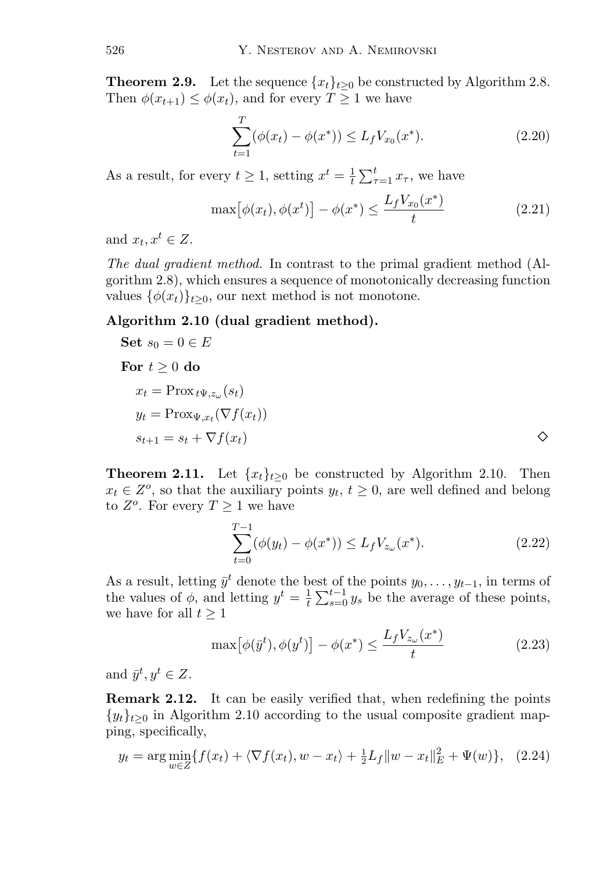**Theorem 2.9.** Let the sequence  $\{x_t\}_{t>0}$  be constructed by Algorithm 2.8. Then  $\phi(x_{t+1}) \leq \phi(x_t)$ , and for every  $T \geq 1$  we have

$$
\sum_{t=1}^{T} (\phi(x_t) - \phi(x^*)) \le L_f V_{x_0}(x^*).
$$
 (2.20)

As a result, for every  $t \geq 1$ , setting  $x^t = \frac{1}{t} \sum_{\tau=1}^t x_{\tau}$ , we have

$$
\max[\phi(x_t), \phi(x^t)] - \phi(x^*) \le \frac{L_f V_{x_0}(x^*)}{t} \tag{2.21}
$$

and  $x_t, x^t \in Z$ .

*The dual gradient method.* In contrast to the primal gradient method (Algorithm 2.8), which ensures a sequence of monotonically decreasing function values  $\{\phi(x_t)\}_{t>0}$ , our next method is not monotone.

## **Algorithm 2.10 (dual gradient method).**

Set 
$$
s_0 = 0 \in E
$$
  
\nFor  $t \ge 0$  do  
\n $x_t = \text{Prox}_{t} \Psi_{t, z_{\omega}}(s_t)$   
\n $y_t = \text{Prox}_{\Psi, x_t}(\nabla f(x_t))$   
\n $s_{t+1} = s_t + \nabla f(x_t)$ 

**Theorem 2.11.** Let  $\{x_t\}_{t>0}$  be constructed by Algorithm 2.10. Then  $x_t \in Z^o$ , so that the auxiliary points  $y_t, t \geq 0$ , are well defined and belong to  $Z^o$ . For every  $T \geq 1$  we have

$$
\sum_{t=0}^{T-1} (\phi(y_t) - \phi(x^*)) \le L_f V_{z_\omega}(x^*).
$$
 (2.22)

As a result, letting  $\bar{y}^t$  denote the best of the points  $y_0, \ldots, y_{t-1}$ , in terms of the values of  $\phi$ , and letting  $y^t = \frac{1}{t} \sum_{s=0}^{t-1} y_s$  be the average of these points, we have for all  $t \geq 1$ 

$$
\max[\phi(\bar{y}^t), \phi(y^t)] - \phi(x^*) \le \frac{L_f V_{z_\omega}(x^*)}{t} \tag{2.23}
$$

and  $\bar{y}^t, y^t \in Z$ .

**Remark 2.12.** It can be easily verified that, when redefining the points  $\{y_t\}_{t>0}$  in Algorithm 2.10 according to the usual composite gradient mapping, specifically,

$$
y_t = \arg\min_{w \in Z} \{ f(x_t) + \langle \nabla f(x_t), w - x_t \rangle + \frac{1}{2} L_f \|w - x_t\|_E^2 + \Psi(w) \}, \quad (2.24)
$$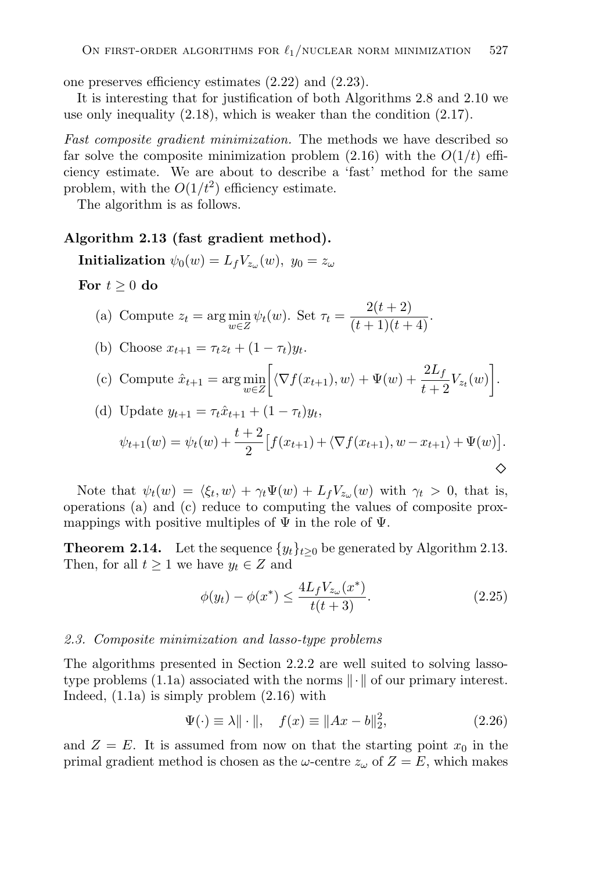one preserves efficiency estimates (2.22) and (2.23).

It is interesting that for justification of both Algorithms 2.8 and 2.10 we use only inequality (2.18), which is weaker than the condition (2.17).

*Fast composite gradient minimization.* The methods we have described so far solve the composite minimization problem  $(2.16)$  with the  $O(1/t)$  efficiency estimate. We are about to describe a 'fast' method for the same problem, with the  $O(1/t^2)$  efficiency estimate.

The algorithm is as follows.

#### **Algorithm 2.13 (fast gradient method).**

**Initialization**  $\psi_0(w) = L_f V_{z_\omega}(w)$ ,  $y_0 = z_\omega$ 

For  $t \geq 0$  do

(a) Compute 
$$
z_t = \arg\min_{w \in \mathbb{Z}} \psi_t(w)
$$
. Set  $\tau_t = \frac{2(t+2)}{(t+1)(t+4)}$ .

(b) Choose 
$$
x_{t+1} = \tau_t z_t + (1 - \tau_t) y_t
$$
.

(c) Compute 
$$
\hat{x}_{t+1} = \arg\min_{w \in Z} \left[ \langle \nabla f(x_{t+1}), w \rangle + \Psi(w) + \frac{2L_f}{t+2} V_{z_t}(w) \right].
$$

(d) Update 
$$
y_{t+1} = \tau_t \hat{x}_{t+1} + (1 - \tau_t) y_t,
$$
  
\n
$$
\psi_{t+1}(w) = \psi_t(w) + \frac{t+2}{2} \left[ f(x_{t+1}) + \langle \nabla f(x_{t+1}), w - x_{t+1} \rangle + \Psi(w) \right].
$$

Note that  $\psi_t(w) = \langle \xi_t, w \rangle + \gamma_t \Psi(w) + L_f V_{z_{\omega}}(w)$  with  $\gamma_t > 0$ , that is, operations (a) and (c) reduce to computing the values of composite proxmappings with positive multiples of  $\Psi$  in the role of  $\Psi$ .

**Theorem 2.14.** Let the sequence  $\{y_t\}_{t>0}$  be generated by Algorithm 2.13. Then, for all  $t \geq 1$  we have  $y_t \in Z$  and

$$
\phi(y_t) - \phi(x^*) \le \frac{4L_f V_{z_\omega}(x^*)}{t(t+3)}.\tag{2.25}
$$

#### *2.3. Composite minimization and lasso-type problems*

The algorithms presented in Section 2.2.2 are well suited to solving lassotype problems (1.1a) associated with the norms  $\|\cdot\|$  of our primary interest. Indeed, (1.1a) is simply problem (2.16) with

$$
\Psi(\cdot) \equiv \lambda \|\cdot\|, \quad f(x) \equiv \|Ax - b\|_2^2,\tag{2.26}
$$

and  $Z = E$ . It is assumed from now on that the starting point  $x_0$  in the primal gradient method is chosen as the  $\omega$ -centre  $z_{\omega}$  of  $Z = E$ , which makes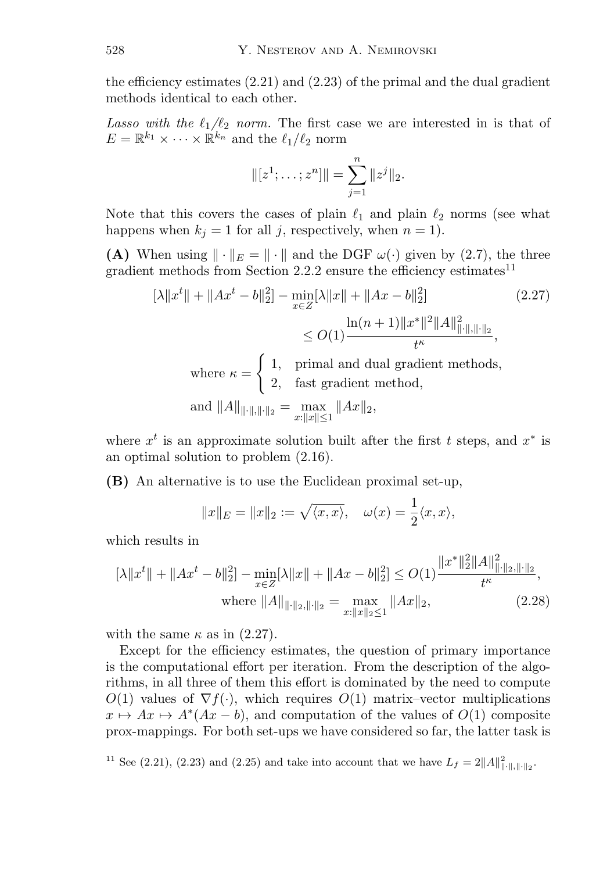the efficiency estimates  $(2.21)$  and  $(2.23)$  of the primal and the dual gradient methods identical to each other.

*Lasso with the*  $\ell_1/\ell_2$  *norm.* The first case we are interested in is that of  $E = \mathbb{R}^{k_1} \times \cdots \times \mathbb{R}^{k_n}$  and the  $\ell_1/\ell_2$  norm

$$
\|[z^1;\ldots;z^n]\|=\sum_{j=1}^n\|z^j\|_2.
$$

Note that this covers the cases of plain  $\ell_1$  and plain  $\ell_2$  norms (see what happens when  $k_i = 1$  for all j, respectively, when  $n = 1$ .

**(A)** When using  $\|\cdot\|_E = \|\cdot\|$  and the DGF  $\omega(\cdot)$  given by (2.7), the three gradient methods from Section 2.2.2 ensure the efficiency estimates<sup>11</sup>

$$
[\lambda \|x^{t}\| + \|Ax^{t} - b\|_{2}^{2}] - \min_{x \in Z} [\lambda \|x\| + \|Ax - b\|_{2}^{2}]
$$
\n
$$
\leq O(1) \frac{\ln(n+1) \|x^{*}\|^{2} \|A\|_{\|\cdot\|,\|\cdot\|_{2}}^{2}}{t^{\kappa}},
$$
\n(2.27)

where  $\kappa =$  $\int 1$ , primal and dual gradient methods, 2, fast gradient method,

and 
$$
||A||_{||\cdot||,||\cdot||_2} = \max_{x:||x|| \le 1} ||Ax||_2
$$
,

where  $x<sup>t</sup>$  is an approximate solution built after the first t steps, and  $x<sup>*</sup>$  is an optimal solution to problem (2.16).

**(B)** An alternative is to use the Euclidean proximal set-up,

$$
||x||_E = ||x||_2 := \sqrt{\langle x, x \rangle}, \quad \omega(x) = \frac{1}{2} \langle x, x \rangle,
$$

which results in

$$
[\lambda \|x^t\| + \|Ax^t - b\|_2^2] - \min_{x \in Z} [\lambda \|x\| + \|Ax - b\|_2^2] \le O(1) \frac{\|x^*\|_2^2 \|A\|_{\|\cdot\|_2, \|\cdot\|_2}^2}{t^{\kappa}},
$$
  
where  $||A||_{\|\cdot\|_2, \|\cdot\|_2} = \max_{x: ||x||_2 \le 1} ||Ax||_2,$  (2.28)

with the same  $\kappa$  as in (2.27).

Except for the efficiency estimates, the question of primary importance is the computational effort per iteration. From the description of the algorithms, in all three of them this effort is dominated by the need to compute  $O(1)$  values of  $\nabla f(\cdot)$ , which requires  $O(1)$  matrix–vector multiplications  $x \mapsto Ax \mapsto A^*(Ax - b)$ , and computation of the values of  $O(1)$  composite prox-mappings. For both set-ups we have considered so far, the latter task is

<sup>11</sup> See (2.21), (2.23) and (2.25) and take into account that we have  $L_f = 2||A||_{\|\cdot\|,\|\cdot\|_2}^2$ .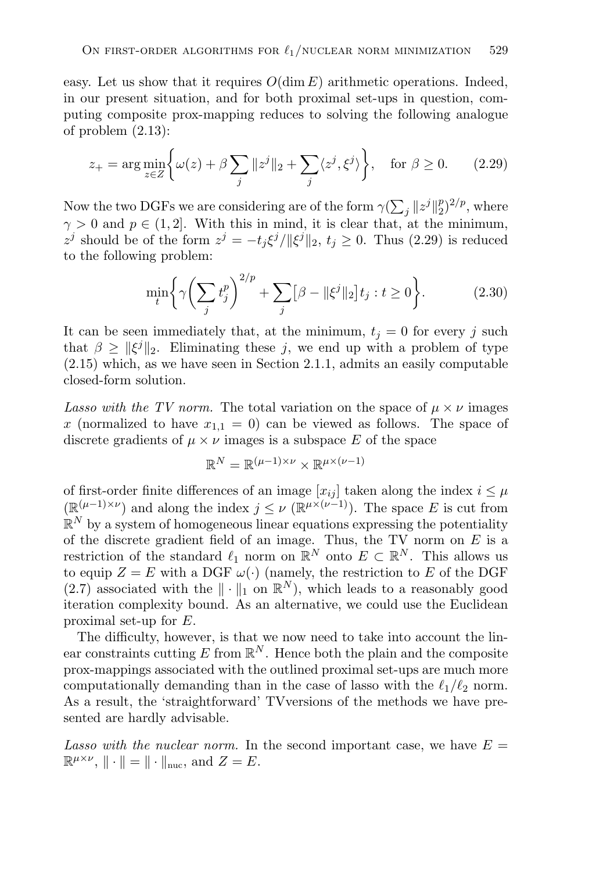easy. Let us show that it requires  $O(\dim E)$  arithmetic operations. Indeed, in our present situation, and for both proximal set-ups in question, computing composite prox-mapping reduces to solving the following analogue of problem (2.13):

$$
z_{+} = \arg\min_{z \in Z} \left\{ \omega(z) + \beta \sum_{j} \|z^{j}\|_{2} + \sum_{j} \langle z^{j}, \xi^{j} \rangle \right\}, \quad \text{for } \beta \ge 0. \tag{2.29}
$$

Now the two DGFs we are considering are of the form  $\gamma(\sum_j ||z^j||_2^p)^{2/p}$ , where  $\gamma > 0$  and  $p \in (1, 2]$ . With this in mind, it is clear that, at the minimum,  $z^{j}$  should be of the form  $z^{j} = -t_{i} \xi^{j} / ||\xi^{j}||_{2}, t_{i} \geq 0$ . Thus (2.29) is reduced to the following problem:

$$
\min_{t} \left\{ \gamma \left( \sum_{j} t_{j}^{p} \right)^{2/p} + \sum_{j} \left[ \beta - ||\xi^{j}||_{2} \right] t_{j} : t \ge 0 \right\}.
$$
 (2.30)

It can be seen immediately that, at the minimum,  $t<sub>j</sub> = 0$  for every j such that  $\beta \geq ||\xi^j||_2$ . Eliminating these j, we end up with a problem of type (2.15) which, as we have seen in Section 2.1.1, admits an easily computable closed-form solution.

*Lasso with the TV norm.* The total variation on the space of  $\mu \times \nu$  images x (normalized to have  $x_{1,1} = 0$ ) can be viewed as follows. The space of discrete gradients of  $\mu \times \nu$  images is a subspace E of the space

$$
\mathbb{R}^N=\mathbb{R}^{(\mu-1)\times \nu}\times \mathbb{R}^{\mu\times (\nu-1)}
$$

of first-order finite differences of an image  $[x_{ij}]$  taken along the index  $i \leq \mu$  $(\mathbb{R}^{(\mu-1)\times \nu})$  and along the index  $j \leq \nu$   $(\mathbb{R}^{\mu \times (\nu-1)})$ . The space E is cut from  $\mathbb{R}^N$  by a system of homogeneous linear equations expressing the potentiality of the discrete gradient field of an image. Thus, the TV norm on  $E$  is a restriction of the standard  $\ell_1$  norm on  $\mathbb{R}^N$  onto  $E \subset \mathbb{R}^N$ . This allows us to equip  $Z = E$  with a DGF  $\omega(\cdot)$  (namely, the restriction to E of the DGF (2.7) associated with the  $\|\cdot\|_1$  on  $\mathbb{R}^N$ ), which leads to a reasonably good iteration complexity bound. As an alternative, we could use the Euclidean proximal set-up for E.

The difficulty, however, is that we now need to take into account the linear constraints cutting E from  $\mathbb{R}^N$ . Hence both the plain and the composite prox-mappings associated with the outlined proximal set-ups are much more computationally demanding than in the case of lasso with the  $\ell_1/\ell_2$  norm. As a result, the 'straightforward' TVversions of the methods we have presented are hardly advisable.

*Lasso with the nuclear norm.* In the second important case, we have  $E =$  $\mathbb{R}^{\mu \times \nu}$ ,  $\|\cdot\| = \|\cdot\|_{\text{nuc}}$ , and  $Z = E$ .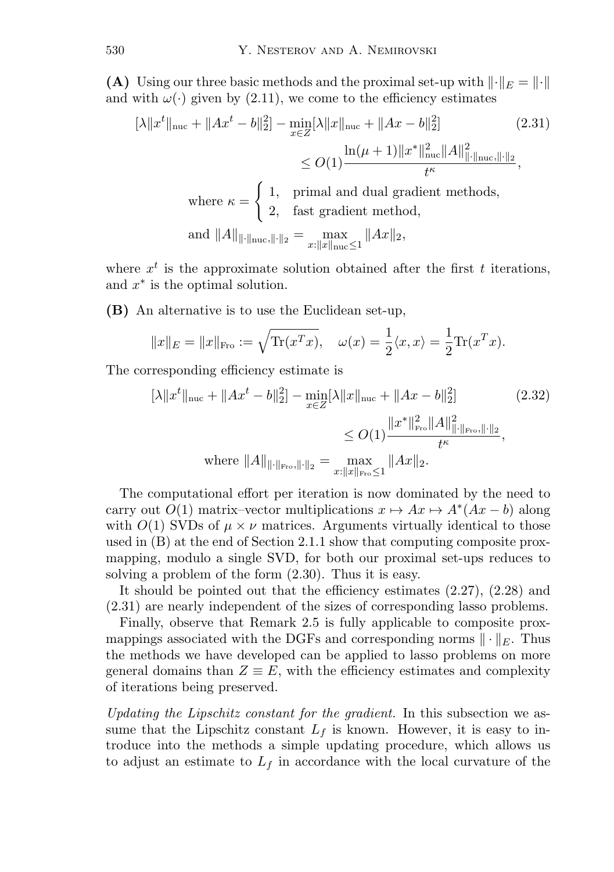**(A)** Using our three basic methods and the proximal set-up with  $\lVert \cdot \rVert_E = \lVert \cdot \rVert$ and with  $\omega(\cdot)$  given by (2.11), we come to the efficiency estimates

$$
[\lambda \|x^{t}\|_{\text{nuc}} + \|Ax^{t} - b\|_{2}^{2}] - \min_{x \in Z} [\lambda \|x\|_{\text{nuc}} + \|Ax - b\|_{2}^{2}] \qquad (2.31)
$$

$$
\leq O(1) \frac{\ln(\mu + 1) \|x^{*}\|_{\text{nuc}}^{2} \|A\|_{\|\cdot\|_{\text{nuc}},\|\cdot\|_{2}}^{2}}{t^{\kappa}},
$$
where  $\kappa = \begin{cases} 1, & \text{primal and dual gradient methods,} \\ 2, & \text{fast gradient method,} \end{cases}$  and  $\|A\|_{\|\cdot\|_{\text{nuc}},\|\cdot\|_{2}} = \max_{x: \|x\|_{\text{nuc}} \leq 1} \|Ax\|_{2},$ 

where  $x^t$  is the approximate solution obtained after the first t iterations, and  $x^*$  is the optimal solution.

**(B)** An alternative is to use the Euclidean set-up,

$$
||x||_E = ||x||_{\text{Fro}} := \sqrt{\text{Tr}(x^T x)}, \quad \omega(x) = \frac{1}{2} \langle x, x \rangle = \frac{1}{2} \text{Tr}(x^T x).
$$

The corresponding efficiency estimate is

$$
[\lambda \|x^t\|_{\text{nuc}} + \|Ax^t - b\|_2^2] - \min_{x \in Z} [\lambda \|x\|_{\text{nuc}} + \|Ax - b\|_2^2]
$$
(2.32)  

$$
\leq O(1) \frac{\|x^*\|_{\text{Fro}}^2 \|A\|_{\|\cdot\|_{\text{Fro}},\|\cdot\|_2}^2}{t^{\kappa}},
$$
  
where  $||A||_{\|\cdot\|_{\text{Fro}},\|\cdot\|_2} = \max_{x:\|x\|_{\text{Fro}} \leq 1} \|Ax\|_2.$ 

The computational effort per iteration is now dominated by the need to carry out  $O(1)$  matrix–vector multiplications  $x \mapsto Ax \mapsto A^*(Ax - b)$  along with  $O(1)$  SVDs of  $\mu \times \nu$  matrices. Arguments virtually identical to those used in (B) at the end of Section 2.1.1 show that computing composite proxmapping, modulo a single SVD, for both our proximal set-ups reduces to solving a problem of the form (2.30). Thus it is easy.

It should be pointed out that the efficiency estimates (2.27), (2.28) and (2.31) are nearly independent of the sizes of corresponding lasso problems.

Finally, observe that Remark 2.5 is fully applicable to composite proxmappings associated with the DGFs and corresponding norms  $\|\cdot\|_E$ . Thus the methods we have developed can be applied to lasso problems on more general domains than  $Z \equiv E$ , with the efficiency estimates and complexity of iterations being preserved.

*Updating the Lipschitz constant for the gradient.* In this subsection we assume that the Lipschitz constant  $L_f$  is known. However, it is easy to introduce into the methods a simple updating procedure, which allows us to adjust an estimate to  $L_f$  in accordance with the local curvature of the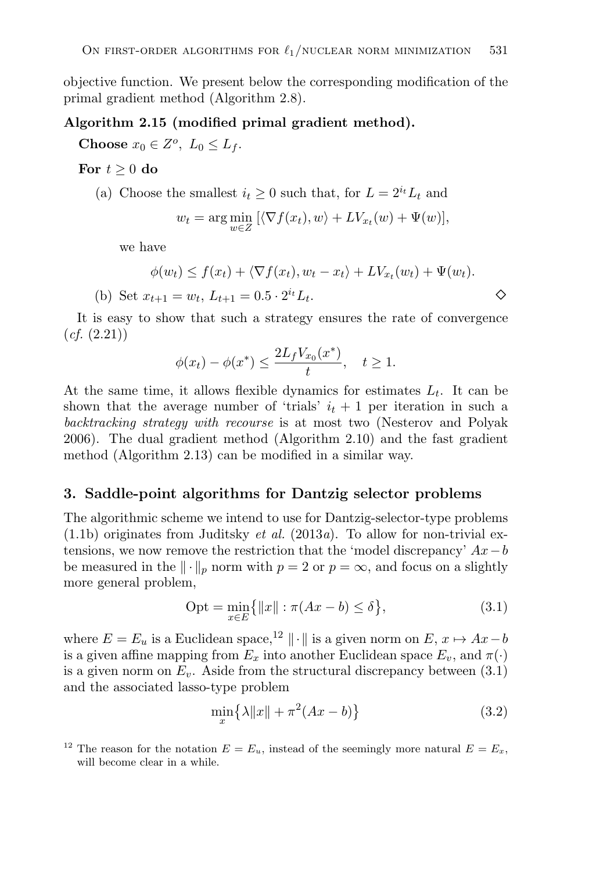objective function. We present below the corresponding modification of the primal gradient method (Algorithm 2.8).

#### **Algorithm 2.15 (modified primal gradient method).**

**Choose**  $x_0 \in Z^o$ ,  $L_0 \leq L_f$ .

For  $t \geq 0$  do

(a) Choose the smallest  $i_t \geq 0$  such that, for  $L = 2^{i_t}L_t$  and

$$
w_t = \arg\min_{w \in Z} \left[ \langle \nabla f(x_t), w \rangle + LV_{x_t}(w) + \Psi(w) \right],
$$

we have

$$
\phi(w_t) \le f(x_t) + \langle \nabla f(x_t), w_t - x_t \rangle + LV_{x_t}(w_t) + \Psi(w_t).
$$
\n(b) Set  $x_{t+1} = w_t$ ,  $L_{t+1} = 0.5 \cdot 2^{i_t} L_t$ .

It is easy to show that such a strategy ensures the rate of convergence (*cf.* (2.21))

$$
\phi(x_t) - \phi(x^*) \le \frac{2L_f V_{x_0}(x^*)}{t}, \quad t \ge 1.
$$

At the same time, it allows flexible dynamics for estimates  $L_t$ . It can be shown that the average number of 'trials'  $i_t + 1$  per iteration in such a *backtracking strategy with recourse* is at most two (Nesterov and Polyak 2006). The dual gradient method (Algorithm 2.10) and the fast gradient method (Algorithm 2.13) can be modified in a similar way.

## **3. Saddle-point algorithms for Dantzig selector problems**

The algorithmic scheme we intend to use for Dantzig-selector-type problems (1.1b) originates from Juditsky *et al.* (2013*a*). To allow for non-trivial extensions, we now remove the restriction that the 'model discrepancy'  $Ax - b$ be measured in the  $\|\cdot\|_p$  norm with  $p = 2$  or  $p = \infty$ , and focus on a slightly more general problem,

$$
Opt = \min_{x \in E} \{ ||x|| : \pi(Ax - b) \le \delta \},
$$
\n(3.1)

where  $E = E_u$  is a Euclidean space,<sup>12</sup>  $\|\cdot\|$  is a given norm on  $E, x \mapsto Ax - b$ is a given affine mapping from  $E_x$  into another Euclidean space  $E_v$ , and  $\pi(\cdot)$ is a given norm on  $E_v$ . Aside from the structural discrepancy between  $(3.1)$ and the associated lasso-type problem

$$
\min_{x} \left\{ \lambda \|x\| + \pi^2 (Ax - b) \right\} \tag{3.2}
$$

<sup>&</sup>lt;sup>12</sup> The reason for the notation  $E = E_u$ , instead of the seemingly more natural  $E = E_x$ , will become clear in a while.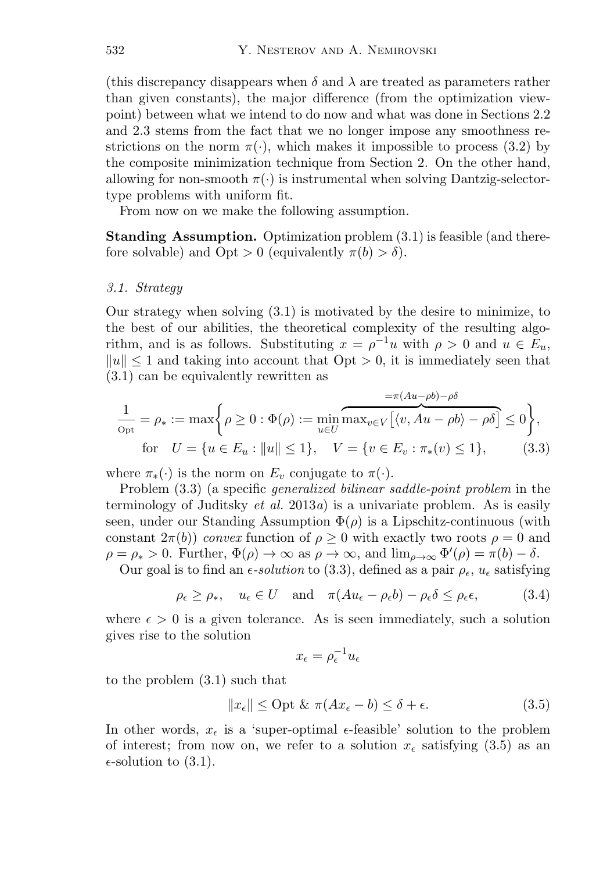(this discrepancy disappears when  $\delta$  and  $\lambda$  are treated as parameters rather than given constants), the major difference (from the optimization viewpoint) between what we intend to do now and what was done in Sections 2.2 and 2.3 stems from the fact that we no longer impose any smoothness restrictions on the norm  $\pi(\cdot)$ , which makes it impossible to process (3.2) by the composite minimization technique from Section 2. On the other hand, allowing for non-smooth  $\pi(\cdot)$  is instrumental when solving Dantzig-selectortype problems with uniform fit.

From now on we make the following assumption.

**Standing Assumption.** Optimization problem (3.1) is feasible (and therefore solvable) and  $Opt > 0$  (equivalently  $\pi(b) > \delta$ ).

#### *3.1. Strategy*

Our strategy when solving (3.1) is motivated by the desire to minimize, to the best of our abilities, the theoretical complexity of the resulting algorithm, and is as follows. Substituting  $x = \rho^{-1}u$  with  $\rho > 0$  and  $u \in E_u$ ,  $||u|| \leq 1$  and taking into account that  $Opt > 0$ , it is immediately seen that (3.1) can be equivalently rewritten as

$$
\frac{1}{\rho_{\text{opt}}} = \rho_* := \max \bigg\{ \rho \ge 0 : \Phi(\rho) := \min_{u \in U} \overbrace{\max_{v \in V} \big[ \langle v, Au - \rho b \rangle - \rho \delta \big]}^{\text{max}} \le 0 \bigg\},
$$
\n
$$
\text{for} \quad U = \{ u \in E_u : ||u|| \le 1 \}, \quad V = \{ v \in E_v : \pi_*(v) \le 1 \}, \tag{3.3}
$$

where  $\pi_*(\cdot)$  is the norm on  $E_v$  conjugate to  $\pi(\cdot)$ .

Problem (3.3) (a specific *generalized bilinear saddle-point problem* in the terminology of Juditsky *et al.* 2013*a*) is a univariate problem. As is easily seen, under our Standing Assumption  $\Phi(\rho)$  is a Lipschitz-continuous (with constant  $2\pi(b)$  *convex* function of  $\rho \geq 0$  with exactly two roots  $\rho = 0$  and  $\rho = \rho_* > 0$ . Further,  $\Phi(\rho) \to \infty$  as  $\rho \to \infty$ , and  $\lim_{\rho \to \infty} \Phi'(\rho) = \pi(b) - \delta$ .

Our goal is to find an  $\epsilon$ -solution to (3.3), defined as a pair  $\rho_{\epsilon}$ ,  $u_{\epsilon}$  satisfying

$$
\rho_{\epsilon} \ge \rho_*, \quad u_{\epsilon} \in U \quad \text{and} \quad \pi(Au_{\epsilon} - \rho_{\epsilon}b) - \rho_{\epsilon}\delta \le \rho_{\epsilon}\epsilon,
$$
\n(3.4)

where  $\epsilon > 0$  is a given tolerance. As is seen immediately, such a solution gives rise to the solution

$$
x_{\epsilon} = \rho_{\epsilon}^{-1} u_{\epsilon}
$$

to the problem (3.1) such that

$$
||x_{\epsilon}|| \leq \text{Opt } \& \ \pi(Ax_{\epsilon} - b) \leq \delta + \epsilon. \tag{3.5}
$$

In other words,  $x_{\epsilon}$  is a 'super-optimal  $\epsilon$ -feasible' solution to the problem of interest; from now on, we refer to a solution  $x_{\epsilon}$  satisfying (3.5) as an  $\epsilon$ -solution to (3.1).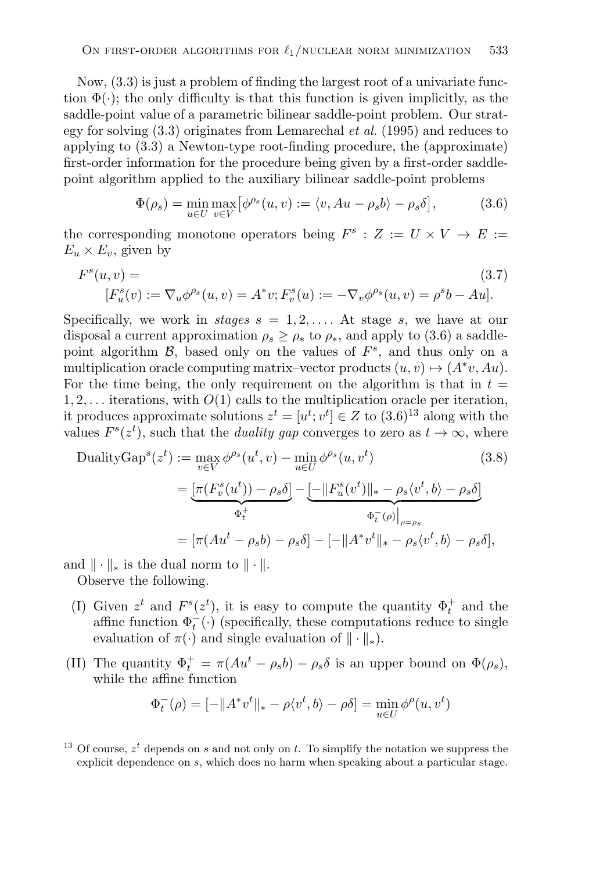Now, (3.3) is just a problem of finding the largest root of a univariate function  $\Phi(\cdot)$ ; the only difficulty is that this function is given implicitly, as the saddle-point value of a parametric bilinear saddle-point problem. Our strategy for solving (3.3) originates from Lemarechal *et al.* (1995) and reduces to applying to (3.3) a Newton-type root-finding procedure, the (approximate) first-order information for the procedure being given by a first-order saddlepoint algorithm applied to the auxiliary bilinear saddle-point problems

$$
\Phi(\rho_s) = \min_{u \in U} \max_{v \in V} \left[ \phi^{\rho_s}(u, v) := \langle v, Au - \rho_s b \rangle - \rho_s \delta \right],\tag{3.6}
$$

the corresponding monotone operators being  $F^s : Z := U \times V \to E :=$  $E_u \times E_v$ , given by

$$
F^{s}(u, v) =
$$
\n
$$
[F_{u}^{s}(v) := \nabla_{u} \phi^{\rho_{s}}(u, v) = A^{*}v; F_{v}^{s}(u) := -\nabla_{v} \phi^{\rho_{s}}(u, v) = \rho^{s} b - A u].
$$
\n(3.7)

Specifically, we work in *stages*  $s = 1, 2, \ldots$  At stage s, we have at our disposal a current approximation  $\rho_s \geq \rho_*$  to  $\rho_*$ , and apply to (3.6) a saddlepoint algorithm  $\mathcal{B}$ , based only on the values of  $F^s$ , and thus only on a multiplication oracle computing matrix–vector products  $(u, v) \mapsto (A^*v, Au)$ . For the time being, the only requirement on the algorithm is that in  $t =$  $1, 2, \ldots$  iterations, with  $O(1)$  calls to the multiplication oracle per iteration, it produces approximate solutions  $z^t = [u^t; v^t] \in Z$  to  $(3.6)^{13}$  along with the values  $F^{s}(z^{t})$ , such that the *duality gap* converges to zero as  $t \to \infty$ , where

DualityGap<sup>s</sup>(z<sup>t</sup>) := 
$$
\max_{v \in V} \phi^{\rho_s}(u^t, v) - \min_{u \in U} \phi^{\rho_s}(u, v^t)
$$
(3.8)
$$
= \underbrace{[\pi(F_v^s(u^t)) - \rho_s \delta]}_{\Phi_t^+} - \underbrace{[-\|F_u^s(v^t)\|_{*} - \rho_s \langle v^t, b \rangle - \rho_s \delta]}_{\Phi_t^-(\rho)\big|_{\rho=\rho_s}}
$$

$$
= [\pi(Au^t - \rho_s b) - \rho_s \delta] - [-\|A^*v^t\|_{*} - \rho_s \langle v^t, b \rangle - \rho_s \delta],
$$

and  $\|\cdot\|_*$  is the dual norm to  $\|\cdot\|$ .

Observe the following.

- (I) Given  $z^t$  and  $F^s(z^t)$ , it is easy to compute the quantity  $\Phi_t^+$  and the affine function  $\Phi_t^-(\cdot)$  (specifically, these computations reduce to single evaluation of  $\pi(\cdot)$  and single evaluation of  $\|\cdot\|_*$ ).
- (II) The quantity  $\Phi_t^+ = \pi (Au^t \rho_s b) \rho_s \delta$  is an upper bound on  $\Phi(\rho_s)$ , while the affine function

$$
\Phi_t^-(\rho) = [-\|A^*v^t\|_* - \rho \langle v^t, b \rangle - \rho \delta] = \min_{u \in U} \phi^\rho(u, v^t)
$$

<sup>13</sup> Of course,  $z<sup>t</sup>$  depends on s and not only on t. To simplify the notation we suppress the explicit dependence on s, which does no harm when speaking about a particular stage.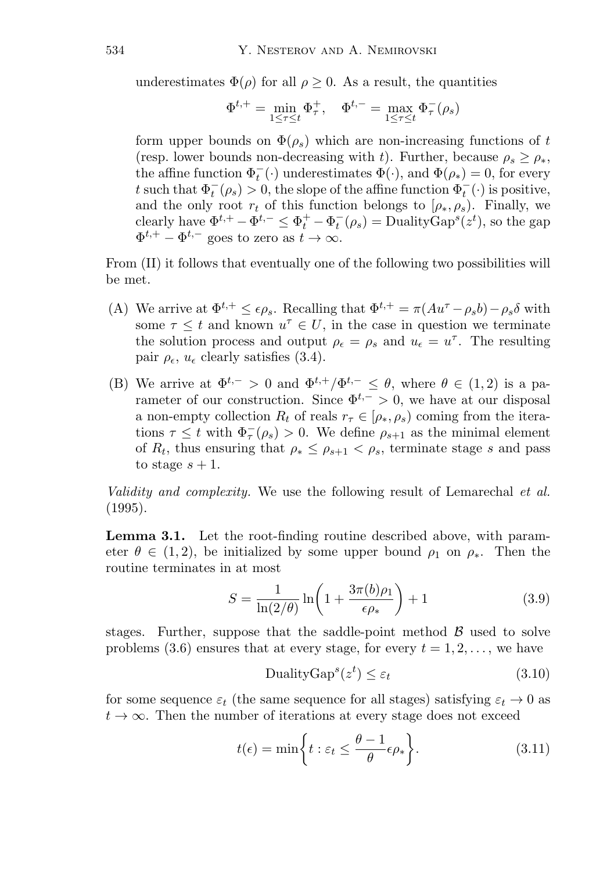underestimates  $\Phi(\rho)$  for all  $\rho > 0$ . As a result, the quantities

$$
\Phi^{t,+} = \min_{1 \leq \tau \leq t} \Phi^{+}_{\tau}, \quad \Phi^{t,-} = \max_{1 \leq \tau \leq t} \Phi^{-}_{\tau}(\rho_s)
$$

form upper bounds on  $\Phi(\rho_s)$  which are non-increasing functions of t (resp. lower bounds non-decreasing with t). Further, because  $\rho_s \geq \rho_*$ , the affine function  $\Phi_t^-(\cdot)$  underestimates  $\Phi(\cdot)$ , and  $\Phi(\rho_*)=0$ , for every t such that  $\Phi_t^-(\rho_s) > 0$ , the slope of the affine function  $\Phi_t^-(\cdot)$  is positive, and the only root  $r_t$  of this function belongs to  $[\rho_*, \rho_s]$ . Finally, we clearly have  $\Phi^{t,+} - \Phi^{t,-} \leq \Phi_t^+ - \Phi_t^-(\rho_s) = \text{DualityGap}^s(z^t)$ , so the gap  $\Phi^{t,+} - \Phi^{t,-}$  goes to zero as  $t \to \infty$ .

From (II) it follows that eventually one of the following two possibilities will be met.

- (A) We arrive at  $\Phi^{t,+} \leq \epsilon \rho_s$ . Recalling that  $\Phi^{t,+} = \pi (Au^{\tau} \rho_s b) \rho_s \delta$  with some  $\tau \leq t$  and known  $u^{\tau} \in U$ , in the case in question we terminate the solution process and output  $\rho_{\epsilon} = \rho_{s}$  and  $u_{\epsilon} = u^{\tau}$ . The resulting pair  $\rho_{\epsilon}$ ,  $u_{\epsilon}$  clearly satisfies (3.4).
- (B) We arrive at  $\Phi^{t,-} > 0$  and  $\Phi^{t,+}/\Phi^{t,-} \leq \theta$ , where  $\theta \in (1,2)$  is a parameter of our construction. Since  $\Phi^{t,-} > 0$ , we have at our disposal a non-empty collection  $R_t$  of reals  $r_{\tau} \in [\rho_*, \rho_s]$  coming from the iterations  $\tau \leq t$  with  $\Phi_{\tau}(\rho_s) > 0$ . We define  $\rho_{s+1}$  as the minimal element of  $R_t$ , thus ensuring that  $\rho_* \leq \rho_{s+1} < \rho_s$ , terminate stage s and pass to stage  $s + 1$ .

*Validity and complexity.* We use the following result of Lemarechal *et al.* (1995).

**Lemma 3.1.** Let the root-finding routine described above, with parameter  $\theta \in (1, 2)$ , be initialized by some upper bound  $\rho_1$  on  $\rho_*$ . Then the routine terminates in at most

$$
S = \frac{1}{\ln(2/\theta)} \ln\left(1 + \frac{3\pi(b)\rho_1}{\epsilon \rho_*}\right) + 1 \tag{3.9}
$$

stages. Further, suppose that the saddle-point method  $\beta$  used to solve problems (3.6) ensures that at every stage, for every  $t = 1, 2, \ldots$ , we have

$$
DualityGap^s(z^t) \le \varepsilon_t \tag{3.10}
$$

for some sequence  $\varepsilon_t$  (the same sequence for all stages) satisfying  $\varepsilon_t \to 0$  as  $t \to \infty$ . Then the number of iterations at every stage does not exceed

$$
t(\epsilon) = \min\bigg\{t : \varepsilon_t \le \frac{\theta - 1}{\theta}\epsilon \rho_*\bigg\}.
$$
 (3.11)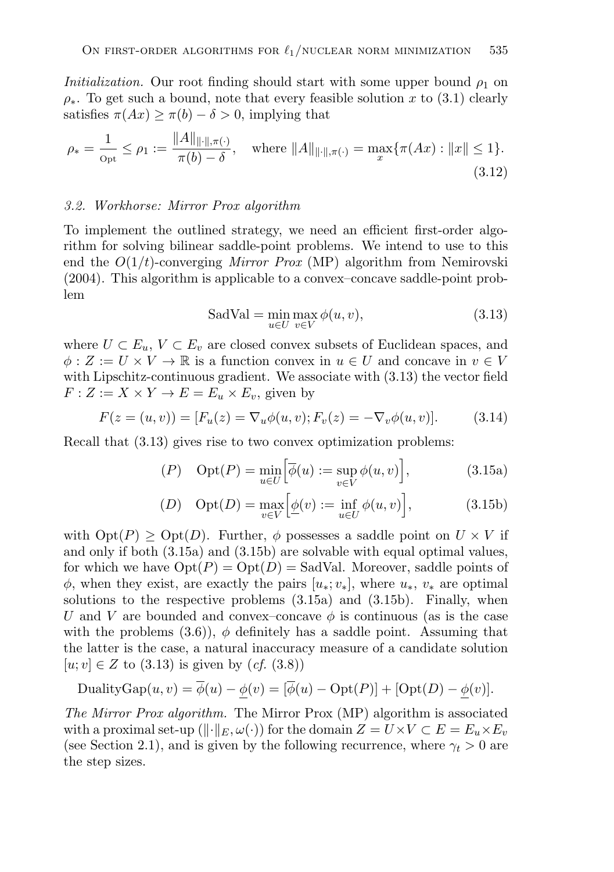*Initialization.* Our root finding should start with some upper bound  $\rho_1$  on  $\rho_*$ . To get such a bound, note that every feasible solution x to (3.1) clearly satisfies  $\pi(Ax) \geq \pi(b) - \delta > 0$ , implying that

$$
\rho_* = \frac{1}{\rho_{\text{pt}}} \le \rho_1 := \frac{\|A\|_{\|\cdot\|, \pi(\cdot)}}{\pi(b) - \delta}, \quad \text{where } \|A\|_{\|\cdot\|, \pi(\cdot)} = \max_x \{\pi(Ax) : \|x\| \le 1\}.
$$
\n(3.12)

#### *3.2. Workhorse: Mirror Prox algorithm*

To implement the outlined strategy, we need an efficient first-order algorithm for solving bilinear saddle-point problems. We intend to use to this end the O(1/t)-converging *Mirror Prox* (MP) algorithm from Nemirovski (2004). This algorithm is applicable to a convex–concave saddle-point problem

$$
SadVal = \min_{u \in U} \max_{v \in V} \phi(u, v),
$$
\n(3.13)

where  $U \subset E_u$ ,  $V \subset E_v$  are closed convex subsets of Euclidean spaces, and  $\phi: Z := U \times V \to \mathbb{R}$  is a function convex in  $u \in U$  and concave in  $v \in V$ with Lipschitz-continuous gradient. We associate with  $(3.13)$  the vector field  $F: Z := X \times Y \to E = E_u \times E_v$ , given by

$$
F(z = (u, v)) = [F_u(z) = \nabla_u \phi(u, v); F_v(z) = -\nabla_v \phi(u, v)].
$$
 (3.14)

Recall that (3.13) gives rise to two convex optimization problems:

$$
(P) \quad \text{Opt}(P) = \min_{u \in U} \Big[ \overline{\phi}(u) := \sup_{v \in V} \phi(u, v) \Big], \tag{3.15a}
$$

$$
(D) \quad \text{Opt}(D) = \max_{v \in V} \Big[ \underline{\phi}(v) := \inf_{u \in U} \phi(u, v) \Big], \tag{3.15b}
$$

with  $\mathrm{Opt}(P) \geq \mathrm{Opt}(D)$ . Further,  $\phi$  possesses a saddle point on  $U \times V$  if and only if both (3.15a) and (3.15b) are solvable with equal optimal values, for which we have  $\mathrm{Opt}(P) = \mathrm{Opt}(D) = \mathrm{BadVal}$ . Moreover, saddle points of  $\phi$ , when they exist, are exactly the pairs  $[u_*; v_*]$ , where  $u_*, v_*$  are optimal solutions to the respective problems (3.15a) and (3.15b). Finally, when U and V are bounded and convex–concave  $\phi$  is continuous (as is the case with the problems  $(3.6)$ ,  $\phi$  definitely has a saddle point. Assuming that the latter is the case, a natural inaccuracy measure of a candidate solution  $[u; v] \in Z$  to (3.13) is given by  $(cf. (3.8))$ 

DualityGap
$$
(u, v) = \overline{\phi}(u) - \underline{\phi}(v) = [\overline{\phi}(u) - \text{Opt}(P)] + [\text{Opt}(D) - \underline{\phi}(v)].
$$

*The Mirror Prox algorithm.* The Mirror Prox (MP) algorithm is associated with a proximal set-up  $(\|\cdot\|_E, \omega(\cdot))$  for the domain  $Z = U \times V \subset E = E_u \times E_v$ (see Section 2.1), and is given by the following recurrence, where  $\gamma_t > 0$  are the step sizes.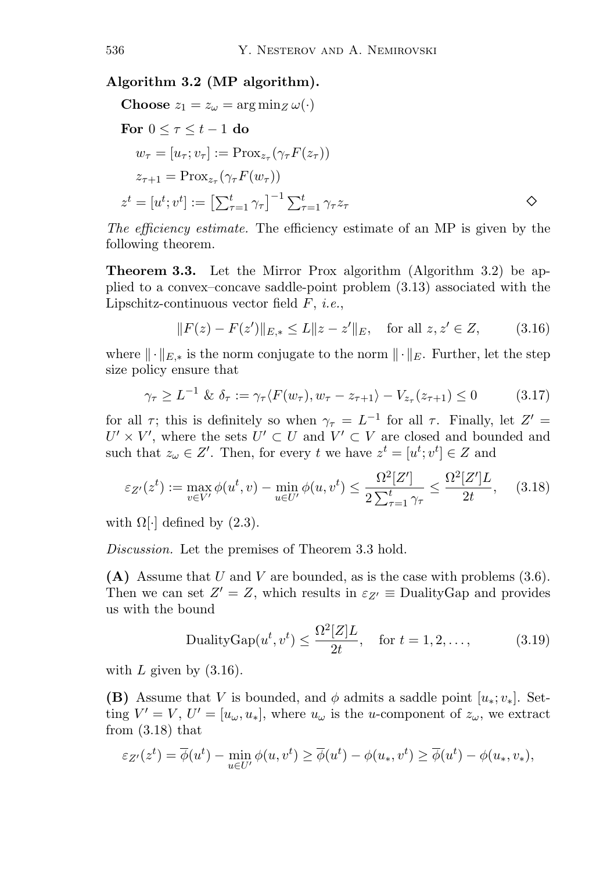#### **Algorithm 3.2 (MP algorithm).**

Choose 
$$
z_1 = z_\omega = \arg \min_Z \omega(\cdot)
$$
  
\nFor  $0 \le \tau \le t - 1$  do  
\n
$$
w_\tau = [u_\tau; v_\tau] := \text{Prox}_{z_\tau}(\gamma_\tau F(z_\tau))
$$
\n
$$
z_{\tau+1} = \text{Prox}_{z_\tau}(\gamma_\tau F(w_\tau))
$$
\n
$$
z^t = [u^t; v^t] := \left[\sum_{\tau=1}^t \gamma_\tau\right]^{-1} \sum_{\tau=1}^t \gamma_\tau z_\tau
$$

*The efficiency estimate.* The efficiency estimate of an MP is given by the following theorem.

**Theorem 3.3.** Let the Mirror Prox algorithm (Algorithm 3.2) be applied to a convex–concave saddle-point problem (3.13) associated with the Lipschitz-continuous vector field F, *i.e.*,

$$
||F(z) - F(z')||_{E,*} \le L||z - z'||_E, \text{ for all } z, z' \in Z,
$$
 (3.16)

where  $\|\cdot\|_{E,*}$  is the norm conjugate to the norm  $\|\cdot\|_E$ . Further, let the step size policy ensure that

$$
\gamma_{\tau} \ge L^{-1} \& \delta_{\tau} := \gamma_{\tau} \langle F(w_{\tau}), w_{\tau} - z_{\tau+1} \rangle - V_{z_{\tau}}(z_{\tau+1}) \le 0 \tag{3.17}
$$

for all  $\tau$ ; this is definitely so when  $\gamma_{\tau} = L^{-1}$  for all  $\tau$ . Finally, let  $Z' =$  $U' \times V'$ , where the sets  $U' \subset U$  and  $V' \subset V$  are closed and bounded and such that  $z_{\omega} \in Z'$ . Then, for every t we have  $z^t = [u^t; v^t] \in Z$  and

$$
\varepsilon_{Z'}(z^t) := \max_{v \in V'} \phi(u^t, v) - \min_{u \in U'} \phi(u, v^t) \le \frac{\Omega^2[Z']}{2\sum_{\tau=1}^t \gamma_\tau} \le \frac{\Omega^2[Z']L}{2t}, \quad (3.18)
$$

with  $\Omega[\cdot]$  defined by (2.3).

*Discussion.* Let the premises of Theorem 3.3 hold.

**(A)** Assume that U and V are bounded, as is the case with problems (3.6). Then we can set  $Z' = Z$ , which results in  $\varepsilon_{Z'} \equiv$  DualityGap and provides us with the bound

$$
\text{DualityGap}(u^t, v^t) \le \frac{\Omega^2[Z]L}{2t}, \quad \text{for } t = 1, 2, \dots,
$$
 (3.19)

with  $L$  given by  $(3.16)$ .

**(B)** Assume that V is bounded, and  $\phi$  admits a saddle point  $[u_*; v_*]$ . Setting  $V' = V$ ,  $U' = [u_{\omega}, u_*]$ , where  $u_{\omega}$  is the *u*-component of  $z_{\omega}$ , we extract from  $(3.18)$  that

$$
\varepsilon_{Z'}(z^t) = \overline{\phi}(u^t) - \min_{u \in U'} \phi(u, v^t) \ge \overline{\phi}(u^t) - \phi(u_*, v^t) \ge \overline{\phi}(u^t) - \phi(u_*, v_*),
$$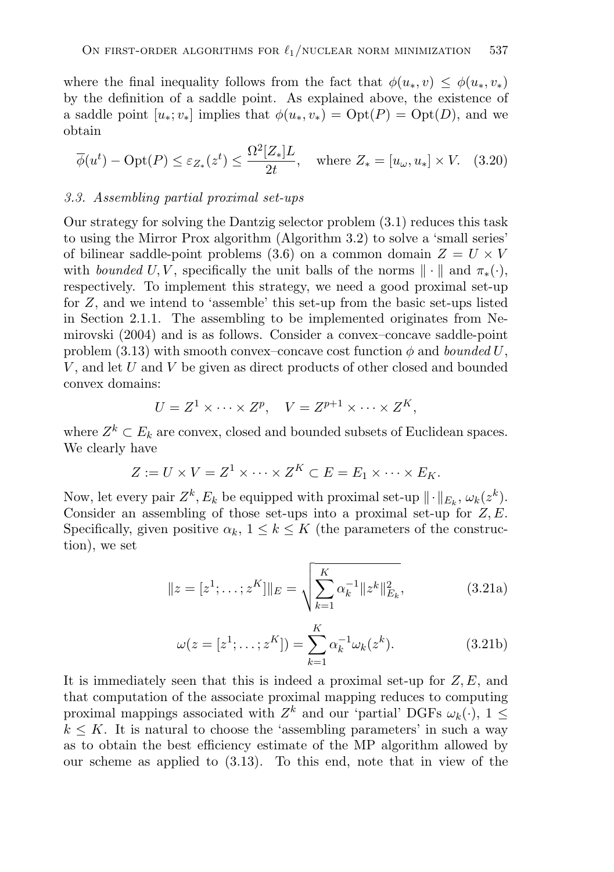where the final inequality follows from the fact that  $\phi(u_*, v) \leq \phi(u_*, v_*)$ by the definition of a saddle point. As explained above, the existence of a saddle point  $[u_*; v_*]$  implies that  $\phi(u_*, v_*) = \mathrm{Opt}(P) = \mathrm{Opt}(D)$ , and we obtain

$$
\overline{\phi}(u^t) - \text{Opt}(P) \le \varepsilon_{Z_*}(z^t) \le \frac{\Omega^2[Z_*]L}{2t}, \quad \text{where } Z_* = [u_\omega, u_*] \times V. \tag{3.20}
$$

#### *3.3. Assembling partial proximal set-ups*

Our strategy for solving the Dantzig selector problem (3.1) reduces this task to using the Mirror Prox algorithm (Algorithm 3.2) to solve a 'small series' of bilinear saddle-point problems (3.6) on a common domain  $Z = U \times V$ with *bounded* U, V, specifically the unit balls of the norms  $\|\cdot\|$  and  $\pi_*(\cdot)$ , respectively. To implement this strategy, we need a good proximal set-up for  $Z$ , and we intend to 'assemble' this set-up from the basic set-ups listed in Section 2.1.1. The assembling to be implemented originates from Nemirovski (2004) and is as follows. Consider a convex–concave saddle-point problem (3.13) with smooth convex–concave cost function  $\phi$  and *bounded* U,  $V$ , and let  $U$  and  $V$  be given as direct products of other closed and bounded convex domains:

$$
U = Z^1 \times \cdots \times Z^p, \quad V = Z^{p+1} \times \cdots \times Z^K,
$$

where  $Z^k \subset E_k$  are convex, closed and bounded subsets of Euclidean spaces. We clearly have

$$
Z := U \times V = Z^1 \times \cdots \times Z^K \subset E = E_1 \times \cdots \times E_K.
$$

Now, let every pair  $Z^k$ ,  $E_k$  be equipped with proximal set-up  $\|\cdot\|_{E_k}$ ,  $\omega_k(z^k)$ . Consider an assembling of those set-ups into a proximal set-up for  $Z, E$ . Specifically, given positive  $\alpha_k$ ,  $1 \leq k \leq K$  (the parameters of the construction), we set

$$
||z = [z1; \dots; zK]||E = \sqrt{\sum_{k=1}^{K} \alpha_k^{-1} ||z^k||_{E_k}^2},
$$
\n(3.21a)

$$
\omega(z = [z^1; \dots; z^K]) = \sum_{k=1}^K \alpha_k^{-1} \omega_k(z^k).
$$
 (3.21b)

It is immediately seen that this is indeed a proximal set-up for  $Z, E$ , and that computation of the associate proximal mapping reduces to computing proximal mappings associated with  $Z^k$  and our 'partial' DGFs  $\omega_k(\cdot)$ ,  $1 \leq$  $k \leq K$ . It is natural to choose the 'assembling parameters' in such a way as to obtain the best efficiency estimate of the MP algorithm allowed by our scheme as applied to (3.13). To this end, note that in view of the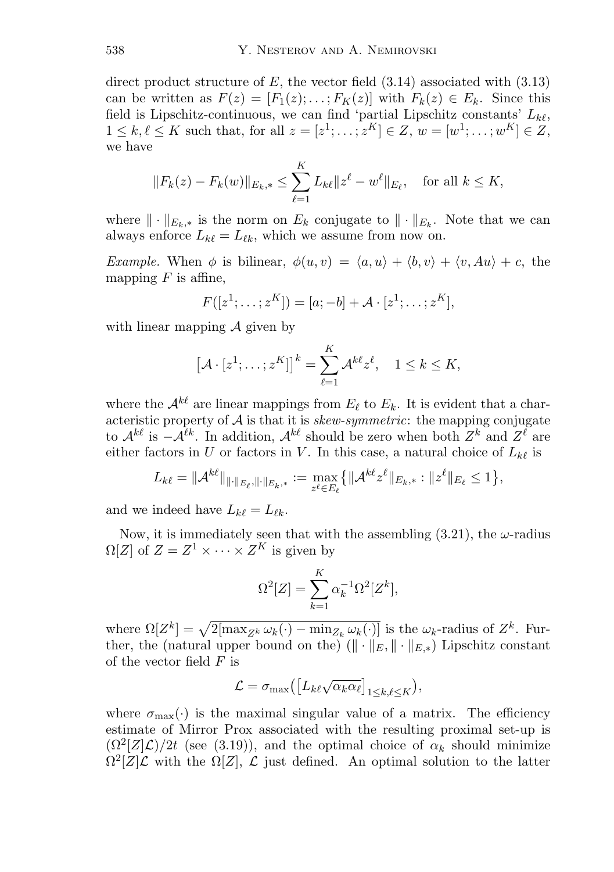direct product structure of E, the vector field  $(3.14)$  associated with  $(3.13)$ can be written as  $F(z)=[F_1(z);\ldots; F_k(z)]$  with  $F_k(z)\in E_k$ . Since this field is Lipschitz-continuous, we can find 'partial Lipschitz constants'  $L_{k\ell}$ ,  $1 \le k, \ell \le K$  such that, for all  $z = [z^1; \ldots, z^K] \in Z, w = [w^1; \ldots; w^K] \in Z$ , we have

$$
||F_k(z) - F_k(w)||_{E_k,*} \le \sum_{\ell=1}^K L_{k\ell} ||z^{\ell} - w^{\ell}||_{E_{\ell}}, \text{ for all } k \le K,
$$

where  $\|\cdot\|_{E_k,*}$  is the norm on  $E_k$  conjugate to  $\|\cdot\|_{E_k}$ . Note that we can always enforce  $L_{k\ell} = L_{\ell k}$ , which we assume from now on.

*Example.* When  $\phi$  is bilinear,  $\phi(u, v) = \langle a, u \rangle + \langle b, v \rangle + \langle v, Au \rangle + c$ , the mapping  $F$  is affine,

$$
F([z^{1};...;z^{K}]) = [a;-b] + A \cdot [z^{1};...;z^{K}],
$$

with linear mapping  $\mathcal A$  given by

$$
[\mathcal{A} \cdot [z^1; \dots; z^K]]^k = \sum_{\ell=1}^K \mathcal{A}^{k\ell} z^{\ell}, \quad 1 \leq k \leq K,
$$

where the  $\mathcal{A}^{k\ell}$  are linear mappings from  $E_{\ell}$  to  $E_{k}$ . It is evident that a characteristic property of A is that it is *skew-symmetric*: the mapping conjugate to  $\mathcal{A}^{k\ell}$  is  $-\mathcal{A}^{\ell k}$ . In addition,  $\mathcal{A}^{k\ell}$  should be zero when both  $Z^k$  and  $Z^{\ell}$  are either factors in U or factors in V. In this case, a natural choice of  $L_{k\ell}$  is

$$
L_{k\ell} = \|A^{k\ell}\|_{\|\cdot\|_{E_{\ell}},\|\cdot\|_{E_k,*}} := \max_{z^{\ell} \in E_{\ell}} \{ \|A^{k\ell} z^{\ell}\|_{E_k,*} : \|z^{\ell}\|_{E_{\ell}} \le 1 \},\
$$

and we indeed have  $L_{k\ell} = L_{\ell k}$ .

Now, it is immediately seen that with the assembling  $(3.21)$ , the  $\omega$ -radius  $\Omega[Z]$  of  $Z = Z^1 \times \cdots \times Z^K$  is given by

$$
\Omega^2[Z] = \sum_{k=1}^K \alpha_k^{-1} \Omega^2[Z^k],
$$

where  $\Omega[Z^k] = \sqrt{2[\max_{Z^k} \omega_k(\cdot) - \min_{Z_k} \omega_k(\cdot)]}$  is the  $\omega_k$ -radius of  $Z^k$ . Further, the (natural upper bound on the)  $(\|\cdot\|_{E}, \|\cdot\|_{E,*})$  Lipschitz constant of the vector field  $F$  is

$$
\mathcal{L} = \sigma_{\max}\left(\left[L_{k\ell}\sqrt{\alpha_k \alpha_\ell}\right]_{1\leq k,\ell \leq K}\right),\,
$$

where  $\sigma_{\text{max}}(\cdot)$  is the maximal singular value of a matrix. The efficiency estimate of Mirror Prox associated with the resulting proximal set-up is  $(\Omega^2(Z|\mathcal{L})/2t$  (see (3.19)), and the optimal choice of  $\alpha_k$  should minimize  $\Omega^2[Z]\mathcal{L}$  with the  $\Omega[Z], \mathcal{L}$  just defined. An optimal solution to the latter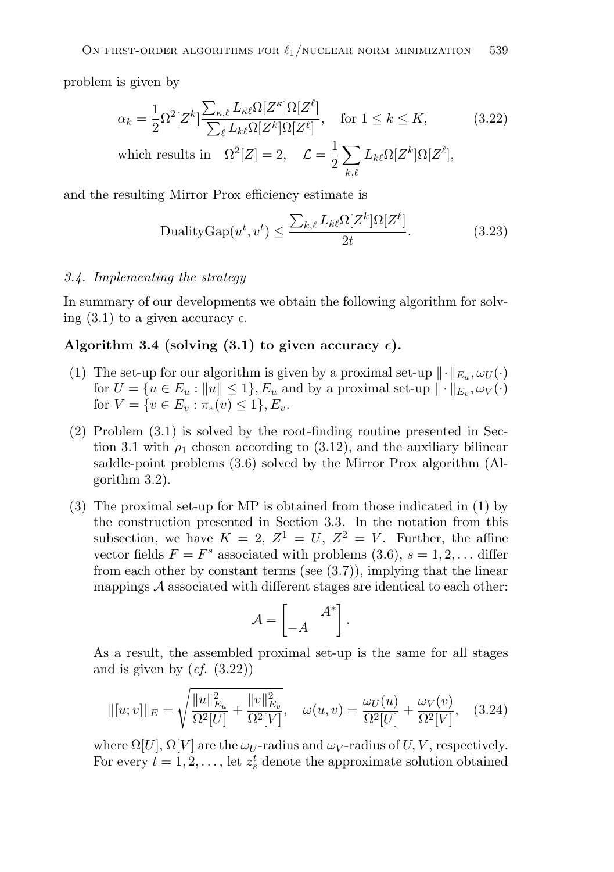problem is given by

$$
\alpha_k = \frac{1}{2} \Omega^2 [Z^k] \frac{\sum_{\kappa,\ell} L_{\kappa\ell} \Omega[Z^{\kappa}] \Omega[Z^{\ell}]}{\sum_{\ell} L_{k\ell} \Omega[Z^k] \Omega[Z^{\ell}]}, \quad \text{for } 1 \le k \le K,
$$
 (3.22)

which results in 
$$
\Omega^2[Z] = 2
$$
,  $\mathcal{L} = \frac{1}{2} \sum_{k,\ell} L_{k\ell} \Omega[Z^k] \Omega[Z^{\ell}],$ 

and the resulting Mirror Prox efficiency estimate is

$$
\text{DualityGap}(u^t, v^t) \le \frac{\sum_{k,\ell} L_{k\ell} \Omega[Z^k] \Omega[Z^{\ell}]}{2t}.
$$
\n(3.23)

#### *3.4. Implementing the strategy*

In summary of our developments we obtain the following algorithm for solving (3.1) to a given accuracy  $\epsilon$ .

## Algorithm 3.4 (solving  $(3.1)$  to given accuracy  $\epsilon$ ).

- (1) The set-up for our algorithm is given by a proximal set-up  $\|\cdot\|_{E_u}, \omega_U(\cdot)$ for  $U = \{u \in E_u : ||u|| \leq 1\}$ ,  $E_u$  and by a proximal set-up  $||\cdot||_{E_v}, \omega_V(\cdot)\}$ for  $V = \{v \in E_v : \pi_*(v) \leq 1\}, E_v.$
- (2) Problem (3.1) is solved by the root-finding routine presented in Section 3.1 with  $\rho_1$  chosen according to (3.12), and the auxiliary bilinear saddle-point problems (3.6) solved by the Mirror Prox algorithm (Algorithm 3.2).
- (3) The proximal set-up for MP is obtained from those indicated in (1) by the construction presented in Section 3.3. In the notation from this subsection, we have  $K = 2$ ,  $Z^1 = U$ ,  $Z^2 = V$ . Further, the affine vector fields  $F = F<sup>s</sup>$  associated with problems (3.6),  $s = 1, 2, \ldots$  differ from each other by constant terms (see  $(3.7)$ ), implying that the linear mappings  $A$  associated with different stages are identical to each other:

$$
\mathcal{A} = \begin{bmatrix} A^* \\ -A \end{bmatrix}.
$$

As a result, the assembled proximal set-up is the same for all stages and is given by  $(cf. (3.22))$ 

$$
\| [u; v] \|_{E} = \sqrt{\frac{\|u\|_{E_u}^2}{\Omega^2[U]} + \frac{\|v\|_{E_v}^2}{\Omega^2[V]}}, \quad \omega(u, v) = \frac{\omega_U(u)}{\Omega^2[U]} + \frac{\omega_V(v)}{\Omega^2[V]}, \quad (3.24)
$$

where  $\Omega[U], \Omega[V]$  are the  $\omega_U$ -radius and  $\omega_V$ -radius of U, V, respectively. For every  $t = 1, 2, \ldots$ , let  $z_s^t$  denote the approximate solution obtained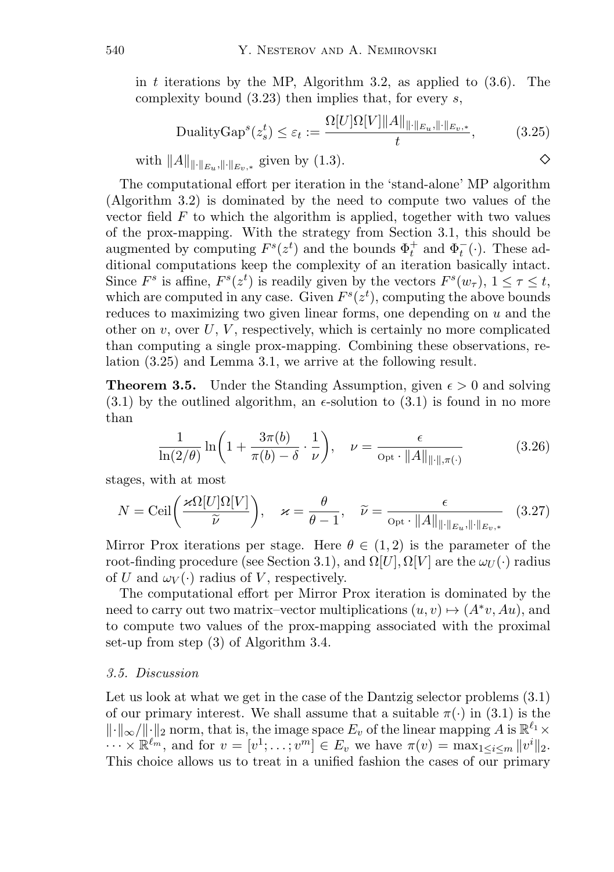in t iterations by the MP, Algorithm 3.2, as applied to  $(3.6)$ . The complexity bound  $(3.23)$  then implies that, for every s,

$$
\text{DualityGap}^s(z_s^t) \le \varepsilon_t := \frac{\Omega[U]\Omega[V] \|A\|_{\|\cdot\|_{E_u},\|\cdot\|_{E_v,*}}}{t},\tag{3.25}
$$

with 
$$
||A||_{||\cdot||_{E_u},||\cdot||_{E_v,*}}
$$
 given by (1.3).

The computational effort per iteration in the 'stand-alone' MP algorithm (Algorithm 3.2) is dominated by the need to compute two values of the vector field  $F$  to which the algorithm is applied, together with two values of the prox-mapping. With the strategy from Section 3.1, this should be augmented by computing  $F^s(z^t)$  and the bounds  $\Phi_t^+$  and  $\Phi_t^-(\cdot)$ . These additional computations keep the complexity of an iteration basically intact. Since  $F^s$  is affine,  $F^s(z^t)$  is readily given by the vectors  $F^s(w_\tau)$ ,  $1 \leq \tau \leq t$ , which are computed in any case. Given  $F^{s}(z^{t})$ , computing the above bounds reduces to maximizing two given linear forms, one depending on  $u$  and the other on  $v$ , over  $U, V$ , respectively, which is certainly no more complicated than computing a single prox-mapping. Combining these observations, relation (3.25) and Lemma 3.1, we arrive at the following result.

**Theorem 3.5.** Under the Standing Assumption, given  $\epsilon > 0$  and solving  $(3.1)$  by the outlined algorithm, an  $\epsilon$ -solution to  $(3.1)$  is found in no more than

$$
\frac{1}{\ln(2/\theta)}\ln\left(1+\frac{3\pi(b)}{\pi(b)-\delta}\cdot\frac{1}{\nu}\right), \quad \nu=\frac{\epsilon}{\mathrm{Opt}\cdot\|A\|_{\|\cdot\|,\pi(\cdot)}}\tag{3.26}
$$

stages, with at most

$$
N = \text{Ceil}\left(\frac{\varkappa \Omega[U]\Omega[V]}{\widetilde{\nu}}\right), \quad \varkappa = \frac{\theta}{\theta - 1}, \quad \widetilde{\nu} = \frac{\epsilon}{\text{Opt} \cdot \|A\|_{\|\cdot\|_{E_u}, \|\cdot\|_{E_v, \ast}}} \quad (3.27)
$$

Mirror Prox iterations per stage. Here  $\theta \in (1, 2)$  is the parameter of the root-finding procedure (see Section 3.1), and  $\Omega[U], \Omega[V]$  are the  $\omega_{U}(\cdot)$  radius of U and  $\omega_V(\cdot)$  radius of V, respectively.

The computational effort per Mirror Prox iteration is dominated by the need to carry out two matrix–vector multiplications  $(u, v) \mapsto (A^*v, Au)$ , and to compute two values of the prox-mapping associated with the proximal set-up from step (3) of Algorithm 3.4.

#### *3.5. Discussion*

Let us look at what we get in the case of the Dantzig selector problems  $(3.1)$ of our primary interest. We shall assume that a suitable  $\pi(\cdot)$  in (3.1) is the  $\|\cdot\|_{\infty}/\|\cdot\|_{2}$  norm, that is, the image space  $E_{\nu}$  of the linear mapping A is  $\mathbb{R}^{\ell_1}\times$  $\cdots \times \mathbb{R}^{\ell_m}$ , and for  $v = [v^1; \dots; v^m] \in E_v$  we have  $\pi(v) = \max_{1 \leq i \leq m} ||v^i||_2$ . This choice allows us to treat in a unified fashion the cases of our primary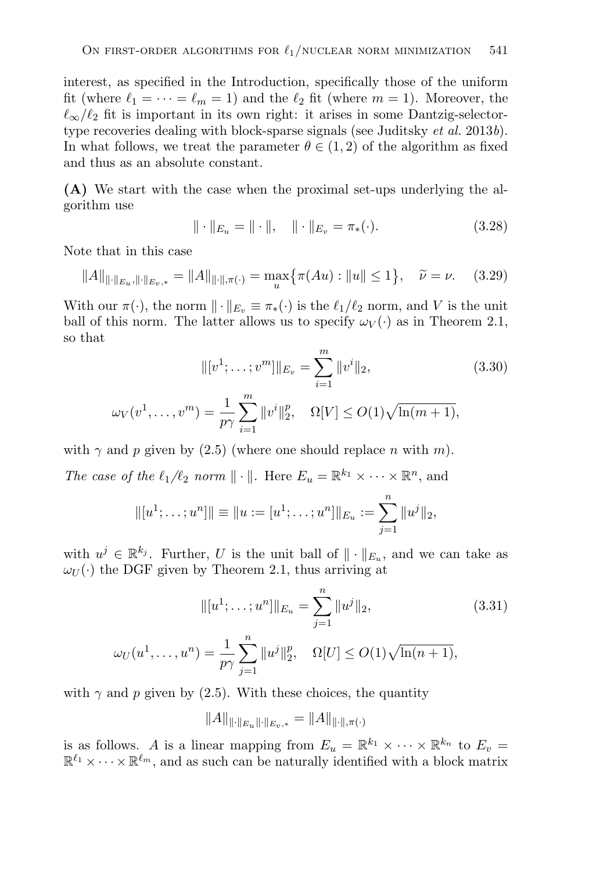interest, as specified in the Introduction, specifically those of the uniform fit (where  $\ell_1 = \cdots = \ell_m = 1$ ) and the  $\ell_2$  fit (where  $m = 1$ ). Moreover, the  $\ell_{\infty}/\ell_{2}$  fit is important in its own right: it arises in some Dantzig-selectortype recoveries dealing with block-sparse signals (see Juditsky *et al.* 2013*b*). In what follows, we treat the parameter  $\theta \in (1, 2)$  of the algorithm as fixed and thus as an absolute constant.

**(A)** We start with the case when the proximal set-ups underlying the algorithm use

$$
\|\cdot\|_{E_u} = \|\cdot\|, \quad \|\cdot\|_{E_v} = \pi_*(\cdot). \tag{3.28}
$$

Note that in this case

$$
||A||_{\|\cdot\|_{E_u},\|\cdot\|_{E_v,*}} = ||A||_{\|\cdot\|_{,\pi(\cdot)}} = \max_u \{\pi(Au) : \|u\| \le 1\}, \quad \widetilde{\nu} = \nu. \tag{3.29}
$$

With our  $\pi(\cdot)$ , the norm  $\|\cdot\|_{E_v} \equiv \pi_*(\cdot)$  is the  $\ell_1/\ell_2$  norm, and V is the unit ball of this norm. The latter allows us to specify  $\omega_V(\cdot)$  as in Theorem 2.1, so that

$$
||[v^1; \dots; v^m]||_{E_v} = \sum_{i=1}^m ||v^i||_2,
$$
\n
$$
v^m) = \frac{1}{m} \sum_{i=1}^m ||v^i||_2 \qquad \text{O}[V] < O(1), \sqrt{\ln(m+1)}
$$
\n(3.30)

$$
\omega_V(v^1, \dots, v^m) = \frac{1}{p\gamma} \sum_{i=1}^m \|v^i\|_2^p, \quad \Omega[V] \le O(1) \sqrt{\ln(m+1)},
$$

with  $\gamma$  and p given by (2.5) (where one should replace n with m).

*The case of the*  $\ell_1/\ell_2$  *norm*  $\|\cdot\|$ *.* Here  $E_u = \mathbb{R}^{k_1} \times \cdots \times \mathbb{R}^n$ *, and* 

$$
\|[u^1;\ldots;u^n]\| \equiv \|u:= [u^1;\ldots;u^n]\|_{E_u} := \sum_{j=1}^n \|u^j\|_2,
$$

with  $u^j \in \mathbb{R}^{k_j}$ . Further, U is the unit ball of  $\|\cdot\|_{E_u}$ , and we can take as  $\omega_U(\cdot)$  the DGF given by Theorem 2.1, thus arriving at

$$
\| [u^1; \dots; u^n] \|_{E_u} = \sum_{j=1}^n \| u^j \|_2,
$$
\n
$$
\omega_U(u^1, \dots, u^n) = \frac{1}{p\gamma} \sum_{j=1}^n \| u^j \|_2^p, \quad \Omega[U] \le O(1) \sqrt{\ln(n+1)},
$$
\n(3.31)

with  $\gamma$  and p given by (2.5). With these choices, the quantity

 $||A||_{\|\cdot\|_{E_{\alpha}}\|\cdot\|_{E_{\alpha}}}\,=\,||A||_{\|\cdot\|_{\mathcal{M}}(\cdot)}$ 

is as follows. A is a linear mapping from  $E_u = \mathbb{R}^{k_1} \times \cdots \times \mathbb{R}^{k_n}$  to  $E_v =$  $\mathbb{R}^{\ell_1} \times \cdots \times \mathbb{R}^{\ell_m}$ , and as such can be naturally identified with a block matrix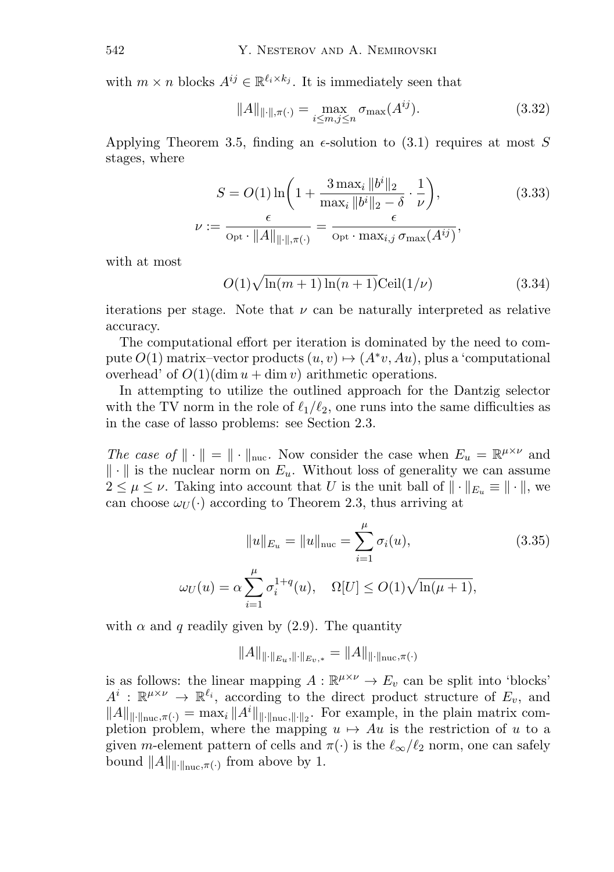with  $m \times n$  blocks  $A^{ij} \in \mathbb{R}^{\ell_i \times k_j}$ . It is immediately seen that

$$
||A||_{\|\cdot\|,\pi(\cdot)} = \max_{i \le m, j \le n} \sigma_{\max}(A^{ij}). \tag{3.32}
$$

Applying Theorem 3.5, finding an  $\epsilon$ -solution to (3.1) requires at most S stages, where

$$
S = O(1) \ln \left( 1 + \frac{3 \max_{i} \|b^{i}\|_{2}}{\max_{i} \|b^{i}\|_{2} - \delta} \cdot \frac{1}{\nu} \right),
$$
\n
$$
\nu := \frac{\epsilon}{\text{Opt} \cdot \|A\|_{\|\cdot\|, \pi(\cdot)}} = \frac{\epsilon}{\text{Opt} \cdot \max_{i,j} \sigma_{\max}(A^{ij})},
$$
\n(3.33)

with at most

$$
O(1)\sqrt{\ln(m+1)\ln(n+1)}\text{Ceil}(1/\nu)
$$
\n(3.34)

iterations per stage. Note that  $\nu$  can be naturally interpreted as relative accuracy.

The computational effort per iteration is dominated by the need to compute  $O(1)$  matrix–vector products  $(u, v) \mapsto (A^*v, Au)$ , plus a 'computational overhead' of  $O(1)(\dim u + \dim v)$  arithmetic operations.

In attempting to utilize the outlined approach for the Dantzig selector with the TV norm in the role of  $\ell_1/\ell_2$ , one runs into the same difficulties as in the case of lasso problems: see Section 2.3.

*The case of*  $\|\cdot\| = \|\cdot\|_{\text{nuc}}$ . Now consider the case when  $E_u = \mathbb{R}^{\mu \times \nu}$  and  $\|\cdot\|$  is the nuclear norm on  $E_u$ . Without loss of generality we can assume  $2 \leq \mu \leq \nu$ . Taking into account that U is the unit ball of  $\|\cdot\|_{E_u} \equiv \|\cdot\|$ , we can choose  $\omega_U(\cdot)$  according to Theorem 2.3, thus arriving at

$$
||u||_{E_u} = ||u||_{\text{nuc}} = \sum_{i=1}^{\mu} \sigma_i(u), \qquad (3.35)
$$

$$
\omega_U(u) = \alpha \sum_{i=1}^{\mu} \sigma_i^{1+q}(u), \quad \Omega[U] \le O(1)\sqrt{\ln(\mu+1)},
$$

with  $\alpha$  and q readily given by (2.9). The quantity

$$
||A||_{\|\cdot\|_{E_u},\|\cdot\|_{E_v,*}} = ||A||_{\|\cdot\|_{\text{nuc}},\pi(\cdot)}
$$

is as follows: the linear mapping  $A: \mathbb{R}^{\mu \times \nu} \to E_v$  can be split into 'blocks'  $A^i : \mathbb{R}^{\mu \times \nu} \to \mathbb{R}^{\ell_i}$ , according to the direct product structure of  $E_v$ , and  $||A||_{\text{if-linear}}(\cdot) = \max_i ||A^i||_{\text{if-linear}} ||\cdot||_{2}.$  For example, in the plain matrix completion problem, where the mapping  $u \mapsto Au$  is the restriction of u to a given m-element pattern of cells and  $\pi(\cdot)$  is the  $\ell_{\infty}/\ell_{2}$  norm, one can safely bound  $||A||_{\dots, \pi(\cdot)}$  from above by 1.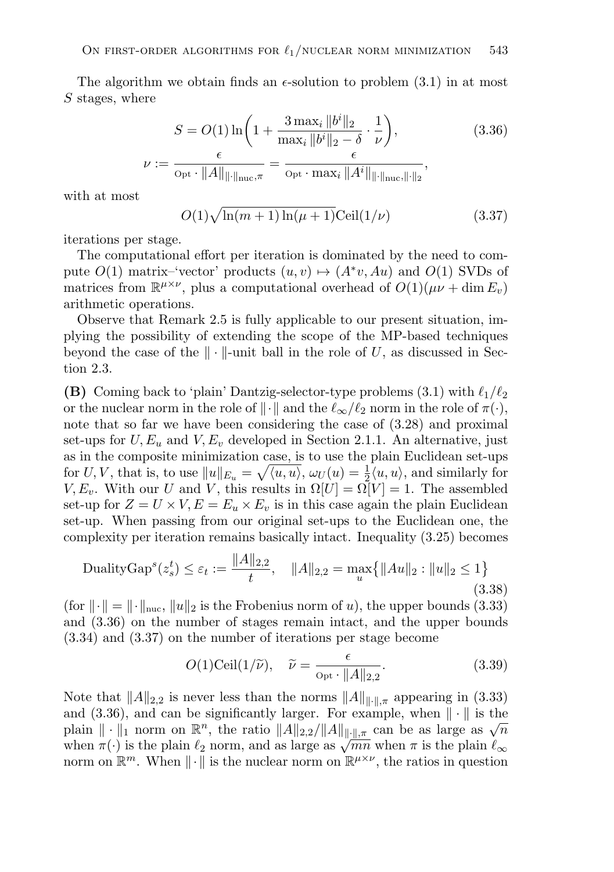The algorithm we obtain finds an  $\epsilon$ -solution to problem (3.1) in at most S stages, where

$$
S = O(1) \ln \left( 1 + \frac{3 \max_{i} \|b^{i}\|_{2}}{\max_{i} \|b^{i}\|_{2} - \delta} \cdot \frac{1}{\nu} \right),
$$
\n
$$
:= \frac{\epsilon}{\text{Opt} \cdot \|A\|_{\|\cdot\|_{\text{nuc}}, \pi}} = \frac{\epsilon}{\text{Opt} \cdot \max_{i} \|A^{i}\|_{\|\cdot\|_{\text{nuc}}, \|\cdot\|_{2}}},
$$
\n(3.36)

with at most

$$
O(1)\sqrt{\ln(m+1)\ln(\mu+1)}\text{Ceil}(1/\nu)
$$
\n(3.37)

iterations per stage.

 $\overline{\nu}$ 

The computational effort per iteration is dominated by the need to compute  $O(1)$  matrix–'vector' products  $(u, v) \mapsto (A^*v, Au)$  and  $O(1)$  SVDs of matrices from  $\mathbb{R}^{\mu \times \nu}$ , plus a computational overhead of  $O(1)(\mu \nu + \dim E_{\nu})$ arithmetic operations.

Observe that Remark 2.5 is fully applicable to our present situation, implying the possibility of extending the scope of the MP-based techniques beyond the case of the  $\|\cdot\|$ -unit ball in the role of U, as discussed in Section 2.3.

**(B)** Coming back to 'plain' Dantzig-selector-type problems (3.1) with  $\ell_1/\ell_2$ or the nuclear norm in the role of  $\|\cdot\|$  and the  $\ell_{\infty}/\ell_2$  norm in the role of  $\pi(\cdot)$ , note that so far we have been considering the case of (3.28) and proximal set-ups for  $U, E_u$  and  $V, E_v$  developed in Section 2.1.1. An alternative, just as in the composite minimization case, is to use the plain Euclidean set-ups for U, V, that is, to use  $||u||_{E_u} = \sqrt{\langle u, u \rangle}, \omega_U(u) = \frac{1}{2} \langle u, u \rangle$ , and similarly for  $V, E_v$ . With our U and V, this results in  $\Omega[U] = \Omega[V] = 1$ . The assembled set-up for  $Z = U \times V$ ,  $E = E_u \times E_v$  is in this case again the plain Euclidean set-up. When passing from our original set-ups to the Euclidean one, the complexity per iteration remains basically intact. Inequality (3.25) becomes

$$
\text{DualityGap}^s(z_s^t) \le \varepsilon_t := \frac{\|A\|_{2,2}}{t}, \quad \|A\|_{2,2} = \max_u \{ \|Au\|_2 : \|u\|_2 \le 1 \} \tag{3.38}
$$

(for  $\|\cdot\| = \|\cdot\|_{\text{nuc}}, \|u\|_2$  is the Frobenius norm of u), the upper bounds (3.33) and (3.36) on the number of stages remain intact, and the upper bounds (3.34) and (3.37) on the number of iterations per stage become

$$
O(1)\text{Ceil}(1/\widetilde{\nu}), \quad \widetilde{\nu} = \frac{\epsilon}{\text{Opt} \cdot ||A||_{2,2}}.
$$
\n(3.39)

Note that  $||A||_{2,2}$  is never less than the norms  $||A||_{\|\cdot\|_{\mathcal{R}}}$  appearing in (3.33) and (3.36), and can be significantly larger. For example, when  $\|\cdot\|$  is the plain  $\|\cdot\|_1$  norm on  $\mathbb{R}^n$ , the ratio  $||A||_{2,2}/||A||_{\|\cdot\|_{\mathcal{R}}}$  can be as large as  $\sqrt{n}$ when  $\pi(\cdot)$  is the plain  $\ell_2$  norm, and as large as  $\sqrt{mn}$  when  $\pi$  is the plain  $\ell_{\infty}$ norm on  $\mathbb{R}^m$ . When  $\|\cdot\|$  is the nuclear norm on  $\mathbb{R}^{\mu\times\nu}$ , the ratios in question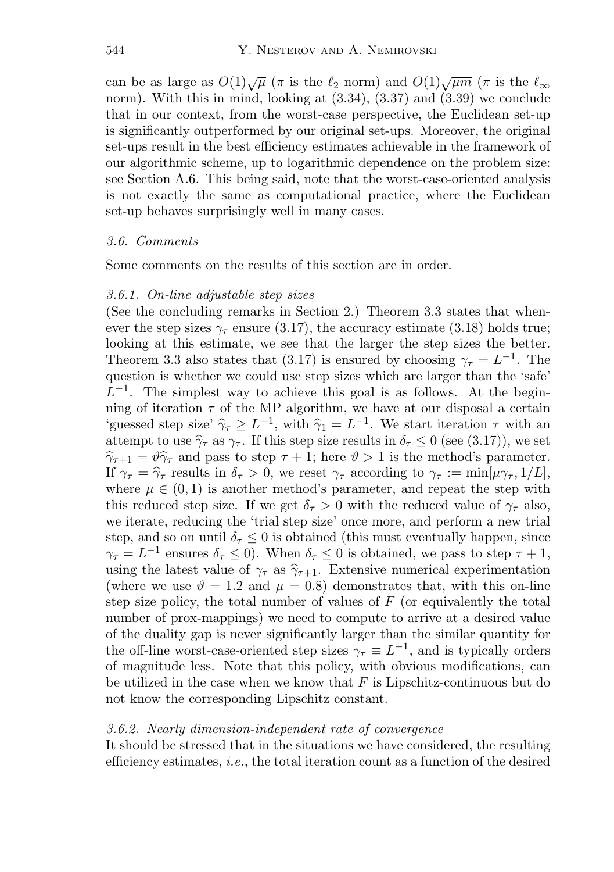can be as large as  $O(1)\sqrt{\mu}$  ( $\pi$  is the  $\ell_2$  norm) and  $O(1)\sqrt{\mu m}$  ( $\pi$  is the  $\ell_{\infty}$ norm). With this in mind, looking at  $(3.34)$ ,  $(3.37)$  and  $(3.39)$  we conclude that in our context, from the worst-case perspective, the Euclidean set-up is significantly outperformed by our original set-ups. Moreover, the original set-ups result in the best efficiency estimates achievable in the framework of our algorithmic scheme, up to logarithmic dependence on the problem size: see Section A.6. This being said, note that the worst-case-oriented analysis is not exactly the same as computational practice, where the Euclidean set-up behaves surprisingly well in many cases.

#### *3.6. Comments*

Some comments on the results of this section are in order.

#### *3.6.1. On-line adjustable step sizes*

(See the concluding remarks in Section 2.) Theorem 3.3 states that whenever the step sizes  $\gamma_{\tau}$  ensure (3.17), the accuracy estimate (3.18) holds true; looking at this estimate, we see that the larger the step sizes the better. Theorem 3.3 also states that (3.17) is ensured by choosing  $\gamma_{\tau} = L^{-1}$ . The question is whether we could use step sizes which are larger than the 'safe'  $L^{-1}$ . The simplest way to achieve this goal is as follows. At the beginning of iteration  $\tau$  of the MP algorithm, we have at our disposal a certain 'guessed step size'  $\hat{\gamma}_\tau \geq L^{-1}$ , with  $\hat{\gamma}_1 = L^{-1}$ . We start iteration  $\tau$  with an attempt to use  $\hat{\gamma}_{\tau}$  as  $\gamma_{\tau}$ . If this step size results in  $\delta_{\tau} \leq 0$  (see (3.17)), we set  $\hat{\gamma}_{\tau+1} = \hat{\vartheta}\hat{\gamma}_{\tau}$  and pass to step  $\tau + 1$ ; here  $\hat{\vartheta} > 1$  is the method's parameter. If  $\gamma_{\tau} = \hat{\gamma}_{\tau}$  results in  $\delta_{\tau} > 0$ , we reset  $\gamma_{\tau}$  according to  $\gamma_{\tau} := \min[\mu \gamma_{\tau}, 1/L],$ where  $\mu \in (0,1)$  is another method's parameter, and repeat the step with this reduced step size. If we get  $\delta_{\tau} > 0$  with the reduced value of  $\gamma_{\tau}$  also, we iterate, reducing the 'trial step size' once more, and perform a new trial step, and so on until  $\delta_{\tau} \leq 0$  is obtained (this must eventually happen, since  $\gamma_{\tau} = L^{-1}$  ensures  $\delta_{\tau} \leq 0$ . When  $\delta_{\tau} \leq 0$  is obtained, we pass to step  $\tau + 1$ , using the latest value of  $\gamma_{\tau}$  as  $\hat{\gamma}_{\tau+1}$ . Extensive numerical experimentation (where we use  $\vartheta = 1.2$  and  $\mu = 0.8$ ) demonstrates that, with this on-line step size policy, the total number of values of  $F$  (or equivalently the total number of prox-mappings) we need to compute to arrive at a desired value of the duality gap is never significantly larger than the similar quantity for the off-line worst-case-oriented step sizes  $\gamma_{\tau} \equiv L^{-1}$ , and is typically orders of magnitude less. Note that this policy, with obvious modifications, can be utilized in the case when we know that  $F$  is Lipschitz-continuous but do not know the corresponding Lipschitz constant.

#### *3.6.2. Nearly dimension-independent rate of convergence*

It should be stressed that in the situations we have considered, the resulting efficiency estimates, *i.e.*, the total iteration count as a function of the desired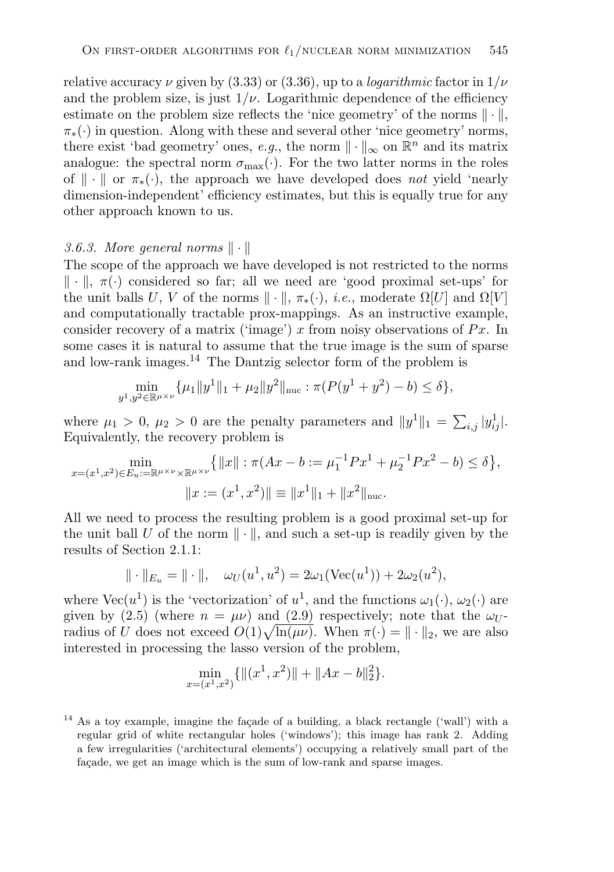relative accuracy  $\nu$  given by (3.33) or (3.36), up to a *logarithmic* factor in  $1/\nu$ and the problem size, is just  $1/\nu$ . Logarithmic dependence of the efficiency estimate on the problem size reflects the 'nice geometry' of the norms  $\|\cdot\|$ ,  $\pi_*(\cdot)$  in question. Along with these and several other 'nice geometry' norms, there exist 'bad geometry' ones, *e.g.*, the norm  $\|\cdot\|_{\infty}$  on  $\mathbb{R}^{n}$  and its matrix analogue: the spectral norm  $\sigma_{\text{max}}(\cdot)$ . For the two latter norms in the roles of  $\|\cdot\|$  or  $\pi_*(\cdot)$ , the approach we have developed does *not* yield 'nearly dimension-independent' efficiency estimates, but this is equally true for any other approach known to us.

#### 3.6.3. More general norms  $\|\cdot\|$

The scope of the approach we have developed is not restricted to the norms  $\|\cdot\|$ ,  $\pi(\cdot)$  considered so far; all we need are 'good proximal set-ups' for the unit balls U, V of the norms  $\|\cdot\|$ ,  $\pi_*(\cdot)$ , *i.e.*, moderate  $\Omega[U]$  and  $\Omega[V]$ and computationally tractable prox-mappings. As an instructive example, consider recovery of a matrix ('image') x from noisy observations of  $Px$ . In some cases it is natural to assume that the true image is the sum of sparse and low-rank images.<sup>14</sup> The Dantzig selector form of the problem is

$$
\min_{y^1, y^2 \in \mathbb{R}^{\mu \times \nu}} \{ \mu_1 \| y^1 \|_1 + \mu_2 \| y^2 \|_{\text{nuc}} : \pi (P(y^1 + y^2) - b) \le \delta \},
$$

where  $\mu_1 > 0$ ,  $\mu_2 > 0$  are the penalty parameters and  $||y^1||_1 = \sum_{i,j} |y_{ij}^1|$ . Equivalently, the recovery problem is

$$
\min_{x=(x^1,x^2)\in E_u:=\mathbb{R}^{\mu\times\nu}\times\mathbb{R}^{\mu\times\nu}}\{|x|:\pi(Ax-b:=\mu_1^{-1}Px^1+\mu_2^{-1}Px^2-b)\leq\delta\},
$$
  

$$
||x:=(x^1,x^2)||\equiv||x^1||_1+||x^2||_{\text{nuc}}.
$$

All we need to process the resulting problem is a good proximal set-up for the unit ball U of the norm  $\|\cdot\|$ , and such a set-up is readily given by the results of Section 2.1.1:

$$
\| \cdot \|_{E_u} = \| \cdot \|, \quad \omega_U(u^1, u^2) = 2\omega_1(\text{Vec}(u^1)) + 2\omega_2(u^2),
$$

where  $Vec(u^1)$  is the 'vectorization' of  $u^1$ , and the functions  $\omega_1(\cdot)$ ,  $\omega_2(\cdot)$  are given by (2.5) (where  $n = \mu \nu$ ) and (2.9) respectively; note that the  $\omega_U$ radius of U does not exceed  $O(1)\sqrt{\ln(\mu\nu)}$ . When  $\pi(\cdot) = ||\cdot||_2$ , we are also interested in processing the lasso version of the problem,

$$
\min_{x=(x^1,x^2)} \{ \|(x^1,x^2)\| + \|Ax - b\|_2^2 \}.
$$

 $14$  As a toy example, imagine the façade of a building, a black rectangle ('wall') with a regular grid of white rectangular holes ('windows'); this image has rank 2. Adding a few irregularities ('architectural elements') occupying a relatively small part of the facade, we get an image which is the sum of low-rank and sparse images.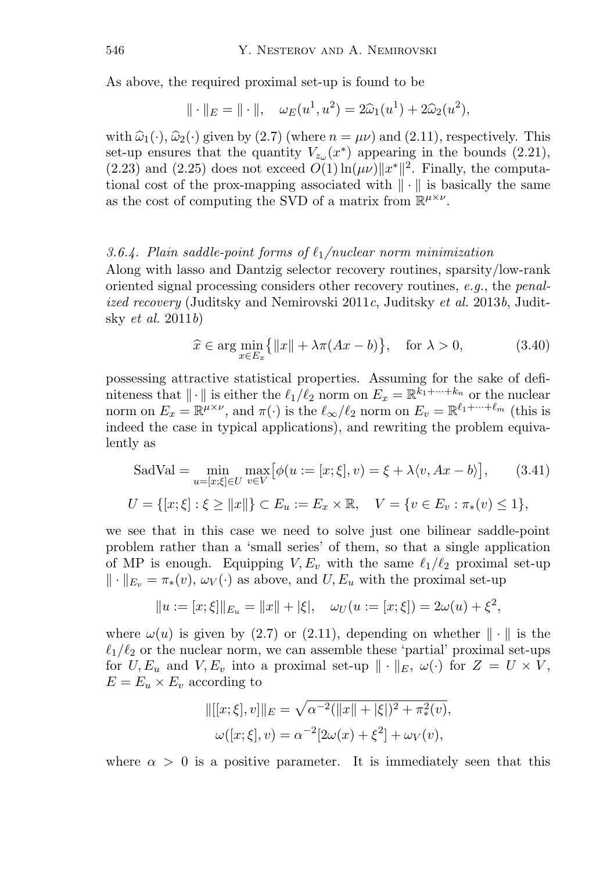As above, the required proximal set-up is found to be

$$
\|\cdot\|_E = \|\cdot\|, \quad \omega_E(u^1, u^2) = 2\hat{\omega}_1(u^1) + 2\hat{\omega}_2(u^2),
$$

with  $\hat{\omega}_1(\cdot), \hat{\omega}_2(\cdot)$  given by (2.7) (where  $n = \mu \nu$ ) and (2.11), respectively. This set-up ensures that the quantity  $V_{z_{\alpha}}(x^*)$  appearing in the bounds (2.21), (2.23) and (2.25) does not exceed  $\tilde{O(1)}$   $\ln(\mu\nu)$   $||x^*||^2$ . Finally, the computational cost of the prox-mapping associated with  $\|\cdot\|$  is basically the same as the cost of computing the SVD of a matrix from  $\mathbb{R}^{\mu\times\nu}$ .

#### *3.6.4. Plain saddle-point forms of* 1*/nuclear norm minimization*

Along with lasso and Dantzig selector recovery routines, sparsity/low-rank oriented signal processing considers other recovery routines, *e.g.*, the *penalized recovery* (Juditsky and Nemirovski 2011*c*, Juditsky *et al.* 2013*b*, Juditsky *et al.* 2011*b*)

$$
\widehat{x} \in \arg\min_{x \in E_x} \{ ||x|| + \lambda \pi (Ax - b) \}, \quad \text{for } \lambda > 0,
$$
\n(3.40)

possessing attractive statistical properties. Assuming for the sake of definiteness that  $\|\cdot\|$  is either the  $\ell_1/\ell_2$  norm on  $E_x = \mathbb{R}^{k_1 + \cdots + k_n}$  or the nuclear norm on  $E_x = \mathbb{R}^{\mu \times \nu}$ , and  $\pi(\cdot)$  is the  $\ell_{\infty}/\ell_2$  norm on  $E_v = \mathbb{R}^{\ell_1 + \cdots + \ell_m}$  (this is indeed the case in typical applications), and rewriting the problem equivalently as

SadVal = 
$$
\min_{u=[x;\xi]\in U} \max_{v\in V} [\phi(u := [x;\xi], v) = \xi + \lambda \langle v, Ax - b \rangle],
$$
 (3.41)  
\n $U = \{ [x;\xi] : \xi \ge ||x|| \} \subset E_u := E_x \times \mathbb{R}, \quad V = \{ v \in E_v : \pi_*(v) \le 1 \},$ 

we see that in this case we need to solve just one bilinear saddle-point problem rather than a 'small series' of them, so that a single application of MP is enough. Equipping  $V, E_v$  with the same  $\ell_1/\ell_2$  proximal set-up  $\|\cdot\|_{E_v} = \pi_*(v), \omega_V(\cdot)$  as above, and  $U, E_u$  with the proximal set-up

$$
||u := [x; \xi]||_{E_u} = ||x|| + |\xi|, \quad \omega_U(u := [x; \xi]) = 2\omega(u) + \xi^2,
$$

where  $\omega(u)$  is given by (2.7) or (2.11), depending on whether  $\|\cdot\|$  is the  $\ell_1/\ell_2$  or the nuclear norm, we can assemble these 'partial' proximal set-ups for  $U, E_u$  and  $V, E_v$  into a proximal set-up  $\|\cdot\|_E$ ,  $\omega(\cdot)$  for  $Z = U \times V$ ,  $E = E_u \times E_v$  according to

$$
\begin{aligned} ||[[x;\xi],v]||_E &= \sqrt{\alpha^{-2}(||x||+|\xi|)^2 + \pi_*^2(v)}, \\ \omega([x;\xi],v) &= \alpha^{-2}[2\omega(x)+\xi^2] + \omega_V(v), \end{aligned}
$$

where  $\alpha > 0$  is a positive parameter. It is immediately seen that this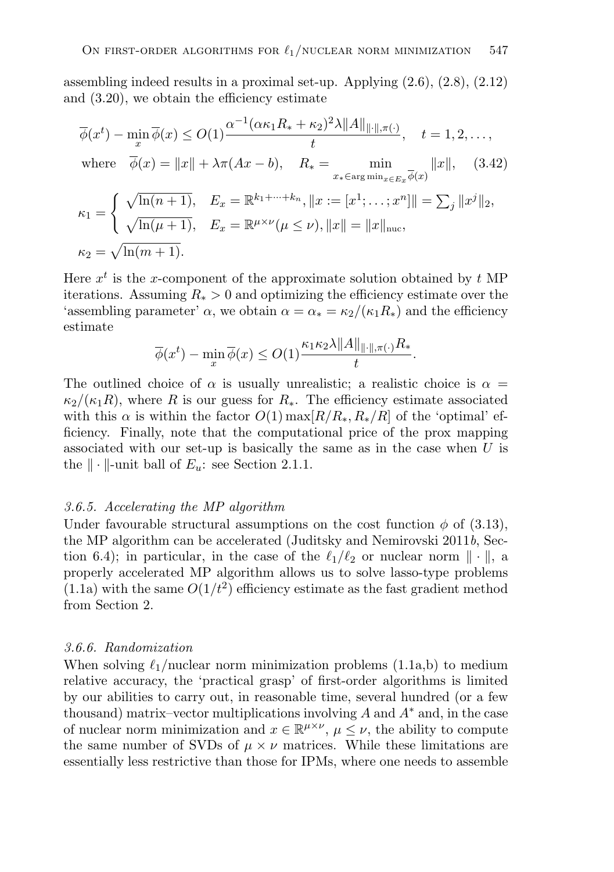assembling indeed results in a proximal set-up. Applying (2.6), (2.8), (2.12) and (3.20), we obtain the efficiency estimate

$$
\overline{\phi}(x^{t}) - \min_{x} \overline{\phi}(x) \le O(1) \frac{\alpha^{-1} (\alpha \kappa_{1} R_{*} + \kappa_{2})^{2} \lambda ||A||_{\|\cdot\|, \pi(\cdot)}}{t}, \quad t = 1, 2, ...,
$$
  
where  $\overline{\phi}(x) = ||x|| + \lambda \pi (Ax - b), \quad R_{*} = \min_{x_{*} \in \arg \min_{x \in E_{x}} \overline{\phi}(x)} ||x||, \quad (3.42)$   

$$
\kappa_{1} = \begin{cases} \sqrt{\ln(n+1)}, & E_{x} = \mathbb{R}^{k_{1} + \dots + k_{n}}, ||x := [x^{1}; \dots; x^{n}]|| = \sum_{j} ||x^{j}||_{2}, \\ \sqrt{\ln(\mu + 1)}, & E_{x} = \mathbb{R}^{\mu \times \nu} (\mu \le \nu), ||x|| = ||x||_{\text{nuc}}, \\ \kappa_{2} = \sqrt{\ln(m+1)}. \end{cases}
$$

Here  $x^t$  is the x-component of the approximate solution obtained by t MP iterations. Assuming  $R_* > 0$  and optimizing the efficiency estimate over the 'assembling parameter'  $\alpha$ , we obtain  $\alpha = \alpha_* = \frac{\kappa_2}{\kappa_1 R_*}$  and the efficiency estimate

$$
\overline{\phi}(x^t) - \min_x \overline{\phi}(x) \le O(1) \frac{\kappa_1 \kappa_2 \lambda ||A||_{\|\cdot\|, \pi(\cdot)} R_*}{t}.
$$

The outlined choice of  $\alpha$  is usually unrealistic; a realistic choice is  $\alpha =$  $\kappa_2/(\kappa_1R)$ , where R is our guess for  $R_*$ . The efficiency estimate associated with this  $\alpha$  is within the factor  $O(1)$  max $[R/R_*, R_*/R]$  of the 'optimal' efficiency. Finally, note that the computational price of the prox mapping associated with our set-up is basically the same as in the case when  $U$  is the  $\|\cdot\|$ -unit ball of  $E_u$ : see Section 2.1.1.

#### *3.6.5. Accelerating the MP algorithm*

Under favourable structural assumptions on the cost function  $\phi$  of (3.13), the MP algorithm can be accelerated (Juditsky and Nemirovski 2011*b*, Section 6.4); in particular, in the case of the  $\ell_1/\ell_2$  or nuclear norm  $\|\cdot\|$ , a properly accelerated MP algorithm allows us to solve lasso-type problems  $(1.1a)$  with the same  $O(1/t^2)$  efficiency estimate as the fast gradient method from Section 2.

#### *3.6.6. Randomization*

When solving  $\ell_1$ /nuclear norm minimization problems (1.1a,b) to medium relative accuracy, the 'practical grasp' of first-order algorithms is limited by our abilities to carry out, in reasonable time, several hundred (or a few thousand) matrix–vector multiplications involving  $A$  and  $A^*$  and, in the case of nuclear norm minimization and  $x \in \mathbb{R}^{\mu \times \nu}$ ,  $\mu \leq \nu$ , the ability to compute the same number of SVDs of  $\mu \times \nu$  matrices. While these limitations are essentially less restrictive than those for IPMs, where one needs to assemble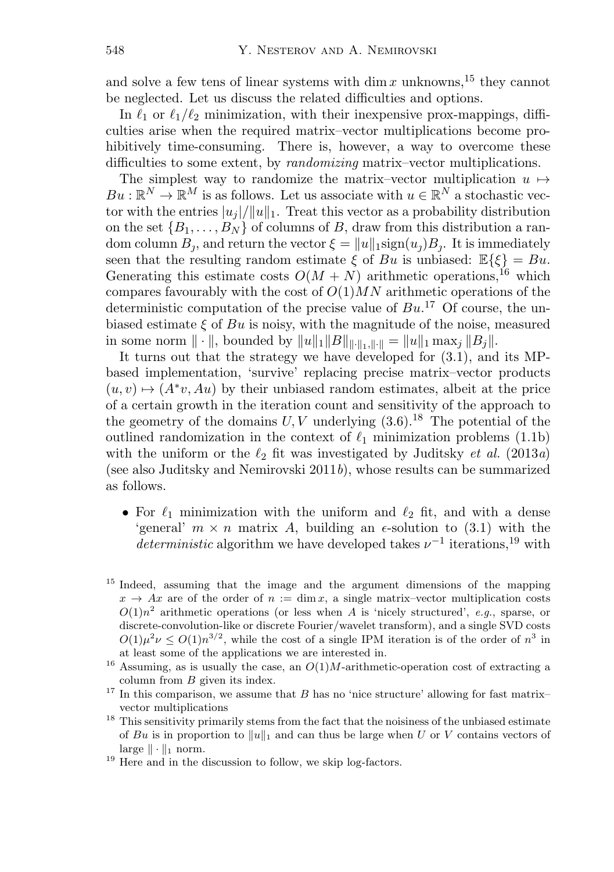and solve a few tens of linear systems with  $\dim x$  unknowns,<sup>15</sup> they cannot be neglected. Let us discuss the related difficulties and options.

In  $\ell_1$  or  $\ell_1/\ell_2$  minimization, with their inexpensive prox-mappings, difficulties arise when the required matrix–vector multiplications become prohibitively time-consuming. There is, however, a way to overcome these difficulties to some extent, by *randomizing* matrix–vector multiplications.

The simplest way to randomize the matrix–vector multiplication  $u \mapsto$  $Bu : \mathbb{R}^N \to \mathbb{R}^M$  is as follows. Let us associate with  $u \in \mathbb{R}^N$  a stochastic vector with the entries  $|u_i|/||u||_1$ . Treat this vector as a probability distribution on the set  $\{B_1,\ldots,B_N\}$  of columns of B, draw from this distribution a random column  $B_i$ , and return the vector  $\xi = ||u||_1$ sign $(u_j)B_j$ . It is immediately seen that the resulting random estimate  $\xi$  of Bu is unbiased:  $\mathbb{E}\{\xi\} = Bu$ . Generating this estimate costs  $O(M + N)$  arithmetic operations,<sup>16</sup> which compares favourably with the cost of  $O(1)MN$  arithmetic operations of the deterministic computation of the precise value of  $Bu$ <sup>17</sup> Of course, the unbiased estimate  $\xi$  of Bu is noisy, with the magnitude of the noise, measured in some norm  $\|\cdot\|$ , bounded by  $\|u\|_1\|B\|_{\|\cdot\|_1\|\cdot\|_1}=\|u\|_1\max_i\|B_i\|.$ 

It turns out that the strategy we have developed for (3.1), and its MPbased implementation, 'survive' replacing precise matrix–vector products  $(u, v) \mapsto (A^*v, Au)$  by their unbiased random estimates, albeit at the price of a certain growth in the iteration count and sensitivity of the approach to the geometry of the domains  $U, V$  underlying  $(3.6)$ .<sup>18</sup> The potential of the outlined randomization in the context of  $\ell_1$  minimization problems (1.1b) with the uniform or the  $\ell_2$  fit was investigated by Juditsky *et al.* (2013*a*) (see also Juditsky and Nemirovski 2011*b*), whose results can be summarized as follows.

- For  $\ell_1$  minimization with the uniform and  $\ell_2$  fit, and with a dense 'general'  $m \times n$  matrix A, building an  $\epsilon$ -solution to (3.1) with the *deterministic* algorithm we have developed takes  $\nu^{-1}$  iterations,<sup>19</sup> with
- <sup>15</sup> Indeed, assuming that the image and the argument dimensions of the mapping  $x \to Ax$  are of the order of  $n := \dim x$ , a single matrix-vector multiplication costs  $O(1)n^2$  arithmetic operations (or less when A is 'nicely structured', *e.g.*, sparse, or discrete-convolution-like or discrete Fourier/wavelet transform), and a single SVD costs  $O(1)\mu^2 \nu \leq O(1)n^{3/2}$ , while the cost of a single IPM iteration is of the order of  $n^3$  in at least some of the applications we are interested in.
- <sup>16</sup> Assuming, as is usually the case, an  $O(1)M$ -arithmetic-operation cost of extracting a column from B given its index.
- $17$  In this comparison, we assume that B has no 'nice structure' allowing for fast matrixvector multiplications
- $18$  This sensitivity primarily stems from the fact that the noisiness of the unbiased estimate of Bu is in proportion to  $||u||_1$  and can thus be large when U or V contains vectors of large  $\|\cdot\|_1$  norm.
- <sup>19</sup> Here and in the discussion to follow, we skip log-factors.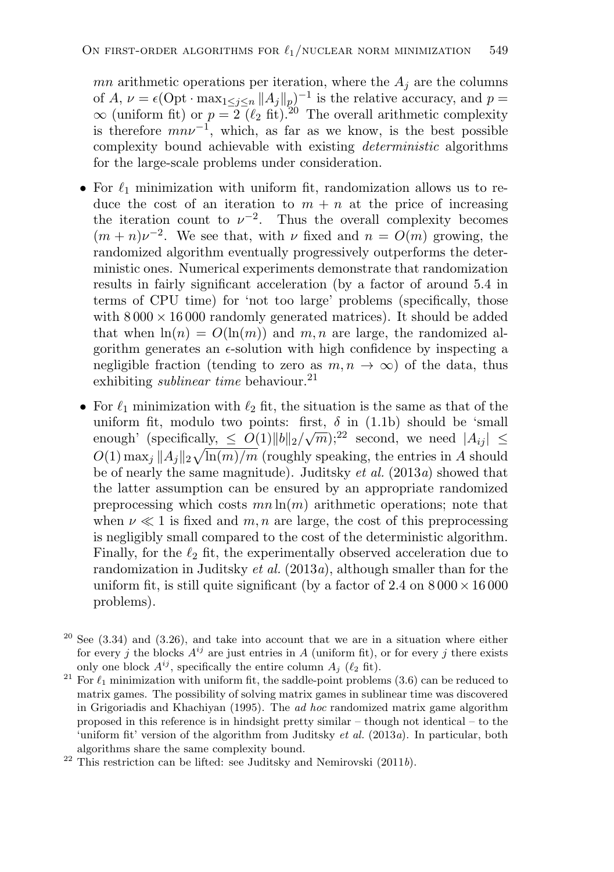mn arithmetic operations per iteration, where the  $A_i$  are the columns of  $A, \nu = \epsilon \left( \mathrm{Opt} \cdot \max_{1 \leq j \leq n} ||A_j||_p \right)^{-1}$  is the relative accuracy, and  $p =$  $\infty$  (uniform fit) or  $p = 2$  ( $\ell_2$  fit).<sup>20</sup> The overall arithmetic complexity is therefore  $mn\nu^{-1}$ , which, as far as we know, is the best possible complexity bound achievable with existing *deterministic* algorithms for the large-scale problems under consideration.

- For  $\ell_1$  minimization with uniform fit, randomization allows us to reduce the cost of an iteration to  $m + n$  at the price of increasing the iteration count to  $\nu^{-2}$ . Thus the overall complexity becomes  $(m + n)\nu^{-2}$ . We see that, with  $\nu$  fixed and  $n = O(m)$  growing, the randomized algorithm eventually progressively outperforms the deterministic ones. Numerical experiments demonstrate that randomization results in fairly significant acceleration (by a factor of around 5.4 in terms of CPU time) for 'not too large' problems (specifically, those with  $8000 \times 16000$  randomly generated matrices). It should be added that when  $\ln(n) = O(\ln(m))$  and m, n are large, the randomized algorithm generates an  $\epsilon$ -solution with high confidence by inspecting a negligible fraction (tending to zero as  $m, n \to \infty$ ) of the data, thus exhibiting *sublinear time* behaviour.<sup>21</sup>
- For  $\ell_1$  minimization with  $\ell_2$  fit, the situation is the same as that of the uniform fit, modulo two points: first,  $\delta$  in (1.1b) should be 'small enough' (specifically,  $\leq O(1) ||b||_2 / \sqrt{m}$ );<sup>22</sup> second, we need  $|A_{ij}| \leq$  $O(1) \max_j ||A_j||_2 \sqrt{\ln(m)/m}$  (roughly speaking, the entries in A should be of nearly the same magnitude). Juditsky *et al.* (2013*a*) showed that the latter assumption can be ensured by an appropriate randomized preprocessing which costs  $mn \ln(m)$  arithmetic operations; note that when  $\nu \ll 1$  is fixed and m, n are large, the cost of this preprocessing is negligibly small compared to the cost of the deterministic algorithm. Finally, for the  $\ell_2$  fit, the experimentally observed acceleration due to randomization in Juditsky *et al.* (2013*a*), although smaller than for the uniform fit, is still quite significant (by a factor of 2.4 on  $8000 \times 16000$ problems).
- $20$  See (3.34) and (3.26), and take into account that we are in a situation where either for every j the blocks  $A^{ij}$  are just entries in A (uniform fit), or for every j there exists only one block  $A^{ij}$ , specifically the entire column  $A_i$  ( $\ell_2$  fit).
- <sup>21</sup> For  $\ell_1$  minimization with uniform fit, the saddle-point problems (3.6) can be reduced to matrix games. The possibility of solving matrix games in sublinear time was discovered in Grigoriadis and Khachiyan (1995). The *ad hoc* randomized matrix game algorithm proposed in this reference is in hindsight pretty similar – though not identical – to the 'uniform fit' version of the algorithm from Juditsky *et al.* (2013*a*). In particular, both algorithms share the same complexity bound.

<sup>22</sup> This restriction can be lifted: see Juditsky and Nemirovski (2011*b*).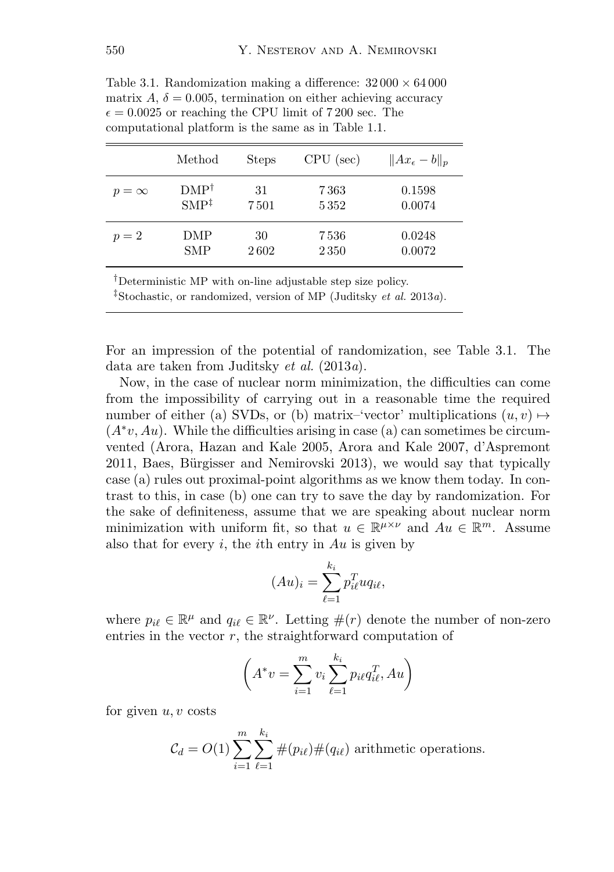|              | Method           | <b>Steps</b> | $CPU$ (sec) | $  Ax_{\epsilon}-b  _p$ |
|--------------|------------------|--------------|-------------|-------------------------|
| $p = \infty$ | $DMP^{\dagger}$  | 31           | 7363        | 0.1598                  |
|              | $SMP^{\ddagger}$ | 7501         | 5352        | 0.0074                  |
| $p=2$        | DMP              | 30           | 7536        | 0.0248                  |
|              | <b>SMP</b>       | 2602         | 2350        | 0.0072                  |

Table 3.1. Randomization making a difference:  $32\,000 \times 64\,000$ matrix  $A, \delta = 0.005$ , termination on either achieving accuracy  $\epsilon = 0.0025$  or reaching the CPU limit of 7 200 sec. The computational platform is the same as in Table 1.1.

<sup>†</sup>Deterministic MP with on-line adjustable step size policy.

*‡*Stochastic, or randomized, version of MP (Juditsky *et al.* 2013*a*).

For an impression of the potential of randomization, see Table 3.1. The data are taken from Juditsky *et al.* (2013*a*).

Now, in the case of nuclear norm minimization, the difficulties can come from the impossibility of carrying out in a reasonable time the required number of either (a) SVDs, or (b) matrix–'vector' multiplications  $(u, v) \mapsto$  $(A^*v, Au)$ . While the difficulties arising in case (a) can sometimes be circumvented (Arora, Hazan and Kale 2005, Arora and Kale 2007, d'Aspremont 2011, Baes, Bürgisser and Nemirovski 2013), we would say that typically case (a) rules out proximal-point algorithms as we know them today. In contrast to this, in case (b) one can try to save the day by randomization. For the sake of definiteness, assume that we are speaking about nuclear norm minimization with uniform fit, so that  $u \in \mathbb{R}^{\mu \times \nu}$  and  $Au \in \mathbb{R}^m$ . Assume also that for every i, the ith entry in  $Au$  is given by

$$
(Au)_i = \sum_{\ell=1}^{k_i} p_{i\ell}^T u q_{i\ell},
$$

where  $p_{i\ell} \in \mathbb{R}^{\mu}$  and  $q_{i\ell} \in \mathbb{R}^{\nu}$ . Letting  $\#(r)$  denote the number of non-zero entries in the vector  $r$ , the straightforward computation of

$$
\left(A^*v = \sum_{i=1}^m v_i \sum_{\ell=1}^{k_i} p_{i\ell} q_{i\ell}^T, Au\right)
$$

for given  $u, v$  costs

$$
C_d = O(1) \sum_{i=1}^{m} \sum_{\ell=1}^{k_i} \#(p_{i\ell}) \#(q_{i\ell})
$$
 arithmetic operations.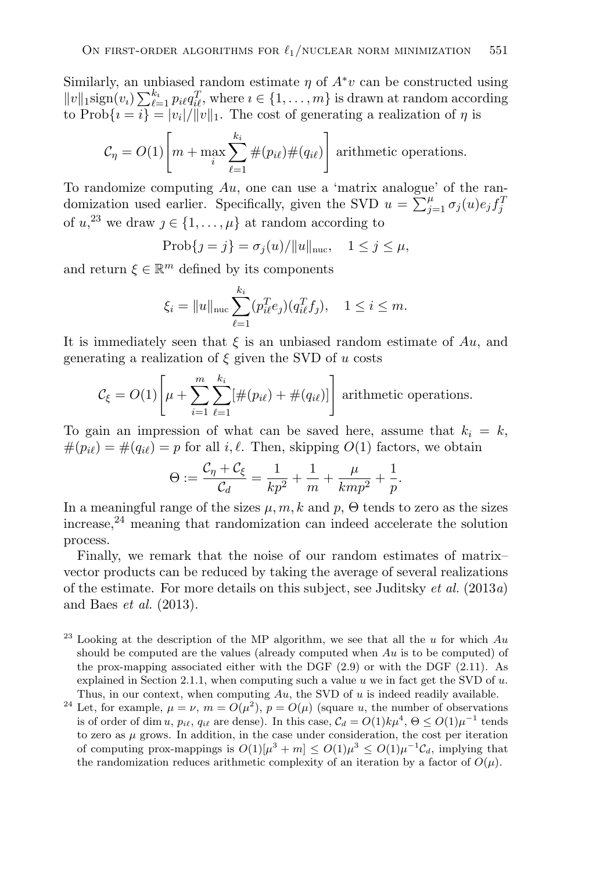Similarly, an unbiased random estimate  $\eta$  of  $A^*v$  can be constructed using  $||v||_1 \operatorname{sign}(v_i) \sum_{\ell=1}^{k_i} p_{i\ell} q_{i\ell}^T$ , where  $i \in \{1, \ldots, m\}$  is drawn at random according to  $\text{Prob}\{i = i\} = |v_i|/||v||_1$ . The cost of generating a realization of  $\eta$  is

$$
C_{\eta} = O(1) \left[ m + \max_{i} \sum_{\ell=1}^{k_i} \#(p_{i\ell}) \#(q_{i\ell}) \right]
$$
 arithmetic operations.

To randomize computing  $Au$ , one can use a 'matrix analogue' of the randomization used earlier. Specifically, given the SVD  $u = \sum_{j=1}^{\mu} \sigma_j(u) e_j f_j^T$ of  $u,^{23}$  we draw  $j \in \{1, \ldots, \mu\}$  at random according to

$$
Prob{j = j} = \sigma_j(u) / ||u||_{\text{nuc}}, \quad 1 \le j \le \mu,
$$

and return  $\xi \in \mathbb{R}^m$  defined by its components

$$
\xi_i = \|u\|_{\text{nuc}} \sum_{\ell=1}^{k_i} (p_{i\ell}^T e_j)(q_{i\ell}^T f_j), \quad 1 \le i \le m.
$$

It is immediately seen that  $\xi$  is an unbiased random estimate of  $Au$ , and generating a realization of  $\xi$  given the SVD of u costs

$$
C_{\xi} = O(1) \left[ \mu + \sum_{i=1}^{m} \sum_{\ell=1}^{k_i} [\#(p_{i\ell}) + \#(q_{i\ell})] \right] \text{ arithmetic operations.}
$$

To gain an impression of what can be saved here, assume that  $k_i = k$ ,  $#(p_{i\ell}) = #(q_{i\ell}) = p$  for all i,  $\ell$ . Then, skipping  $O(1)$  factors, we obtain

$$
\Theta := \frac{\mathcal{C}_{\eta} + \mathcal{C}_{\xi}}{\mathcal{C}_{d}} = \frac{1}{kp^2} + \frac{1}{m} + \frac{\mu}{kmp^2} + \frac{1}{p}.
$$

In a meaningful range of the sizes  $\mu$ ,  $m$ ,  $k$  and  $p$ ,  $\Theta$  tends to zero as the sizes  $i$ increase,<sup>24</sup> meaning that randomization can indeed accelerate the solution process.

Finally, we remark that the noise of our random estimates of matrix– vector products can be reduced by taking the average of several realizations of the estimate. For more details on this subject, see Juditsky *et al.* (2013*a*) and Baes *et al.* (2013).

- $^{23}$  Looking at the description of the MP algorithm, we see that all the u for which  $Au$ should be computed are the values (already computed when  $Au$  is to be computed) of the prox-mapping associated either with the DGF (2.9) or with the DGF (2.11). As explained in Section 2.1.1, when computing such a value  $u$  we in fact get the SVD of  $u$ . Thus, in our context, when computing  $Au$ , the SVD of u is indeed readily available.
- <sup>24</sup> Let, for example,  $\mu = \nu$ ,  $m = O(\mu^2)$ ,  $p = O(\mu)$  (square u, the number of observations is of order of dim u,  $p_{i\ell}$ ,  $q_{i\ell}$  are dense). In this case,  $C_d = O(1)k\mu^4$ ,  $\Theta \leq O(1)\mu^{-1}$  tends to zero as  $\mu$  grows. In addition, in the case under consideration, the cost per iteration of computing prox-mappings is  $O(1)[\mu^3 + m] < O(1)\mu^3 < O(1)\mu^{-1}\mathcal{C}_d$ , implying that the randomization reduces arithmetic complexity of an iteration by a factor of  $O(\mu)$ .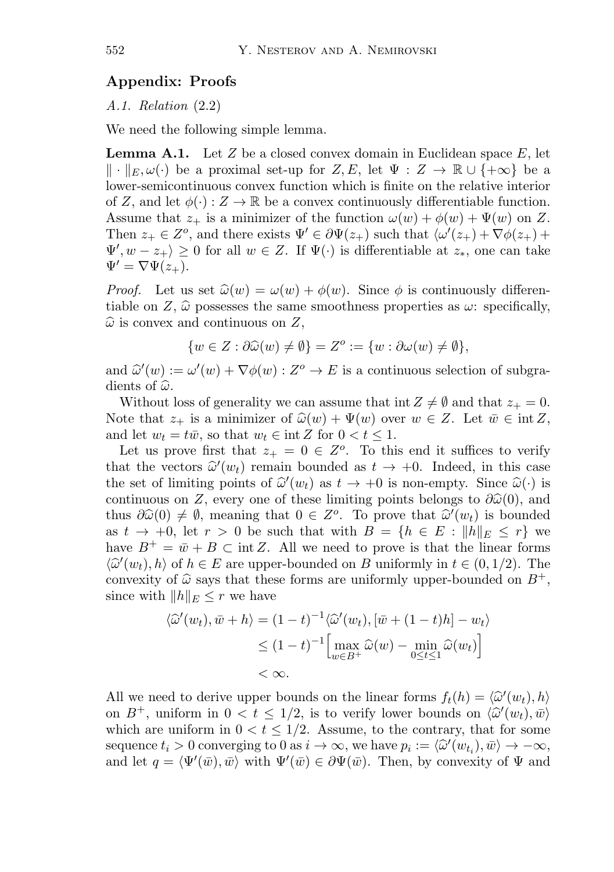## **Appendix: Proofs**

*A.1. Relation* (2.2)

We need the following simple lemma.

**Lemma A.1.** Let  $Z$  be a closed convex domain in Euclidean space  $E$ , let  $\|\cdot\|_E, \omega(\cdot)$  be a proximal set-up for  $Z, E$ , let  $\Psi: Z \to \mathbb{R} \cup \{+\infty\}$  be a lower-semicontinuous convex function which is finite on the relative interior of Z, and let  $\phi(\cdot): Z \to \mathbb{R}$  be a convex continuously differentiable function. Assume that  $z_+$  is a minimizer of the function  $\omega(w) + \phi(w) + \Psi(w)$  on Z. Then  $z_+ \in Z^o$ , and there exists  $\Psi' \in \partial \Psi(z_+)$  such that  $\langle \omega'(z_+) + \nabla \phi(z_+) + \nabla \phi(z_+) \rangle$  $\Psi'$ ,  $w - z_+$ )  $\geq 0$  for all  $w \in Z$ . If  $\Psi(\cdot)$  is differentiable at  $z_*$ , one can take  $\Psi' = \nabla \Psi(z_+).$ 

*Proof.* Let us set  $\hat{\omega}(w) = \omega(w) + \phi(w)$ . Since  $\phi$  is continuously differentiable on Z,  $\hat{\omega}$  possesses the same smoothness properties as  $\omega$ : specifically,  $\widehat{\omega}$  is convex and continuous on Z,

$$
\{w \in Z : \partial \widehat{\omega}(w) \neq \emptyset\} = Z^o := \{w : \partial \omega(w) \neq \emptyset\},\
$$

and  $\hat{\omega}'(w) := \omega'(w) + \nabla \phi(w) : Z^{\circ} \to E$  is a continuous selection of subgradients of  $\widehat{\omega}$ .

Without loss of generality we can assume that int  $Z \neq \emptyset$  and that  $z_+ = 0$ . Note that  $z_+$  is a minimizer of  $\widehat{\omega}(w) + \Psi(w)$  over  $w \in Z$ . Let  $\overline{w} \in \text{int } Z$ , and let  $w_t = t\overline{w}$ , so that  $w_t \in \text{int } Z$  for  $0 < t \leq 1$ .

Let us prove first that  $z_+ = 0 \in Z^o$ . To this end it suffices to verify that the vectors  $\hat{\omega}'(w_t)$  remain bounded as  $t \to +0$ . Indeed, in this case the set of limiting points of  $\hat{\omega}'(w_t)$  as  $t \to +0$  is non-empty. Since  $\hat{\omega}(\cdot)$  is continuous on Z, every one of these limiting points belongs to  $\partial \hat{\omega}(0)$ , and thus  $\partial \widehat{\omega}(0) \neq \emptyset$ , meaning that  $0 \in Z^o$ . To prove that  $\widehat{\omega}'(w_t)$  is bounded as  $t \to +0$ , let  $r > 0$  be such that with  $B = \{h \in E : ||h||_E \leq r\}$  we have  $B^+ = \bar{w} + B \subset \text{int } Z$ . All we need to prove is that the linear forms  $\langle \hat{\omega}'(w_t), h \rangle$  of  $h \in E$  are upper-bounded on B uniformly in  $t \in (0, 1/2)$ . The convexity of  $\hat{\omega}$  says that these forms are uniformly upper-bounded on  $B^+$ , since with  $||h||_E \leq r$  we have

$$
\langle \hat{\omega}'(w_t), \bar{w} + h \rangle = (1 - t)^{-1} \langle \hat{\omega}'(w_t), [\bar{w} + (1 - t)h] - w_t \rangle
$$
  

$$
\leq (1 - t)^{-1} \Big[ \max_{w \in B^+} \hat{\omega}(w) - \min_{0 \leq t \leq 1} \hat{\omega}(w_t) \Big]
$$
  
< \infty.

All we need to derive upper bounds on the linear forms  $f_t(h) = \langle \hat{\omega}'(w_t), h \rangle$ <br>on  $R^+$ , writing in  $0 \le t \le 1/2$  is to verify large hounds on  $\langle \hat{\omega}'(w_t), \hat{\omega} \rangle$ on  $B^+$ , uniform in  $0 < t \le 1/2$ , is to verify lower bounds on  $\langle \tilde{\omega}'(w_t), \tilde{w} \rangle$ which are uniform in  $0 < t \leq 1/2$ . Assume, to the contrary, that for some sequence  $t_i > 0$  converging to  $0$  as  $i \to \infty$ , we have  $p_i := \langle \hat{\omega}'(w_{t_i}), \bar{w} \rangle \to -\infty$ , and let  $q = \langle \Psi'(\bar{w}), \bar{w} \rangle$  with  $\Psi'(\bar{w}) \in \partial \Psi(\bar{w})$ . Then, by convexity of  $\Psi$  and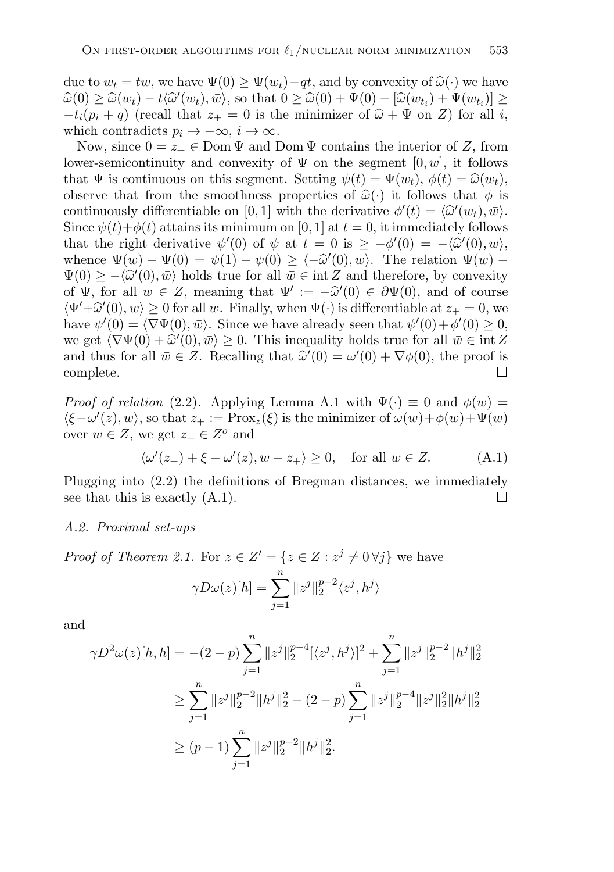due to  $w_t = t\bar{w}$ , we have  $\Psi(0) \geq \Psi(w_t) - qt$ , and by convexity of  $\hat{\omega}(\cdot)$  we have  $\widehat{\omega}(0) \geq \widehat{\omega}(w_t) - t \langle \widehat{\omega}'(w_t), \bar{w} \rangle$ , so that  $0 \geq \widehat{\omega}(0) + \Psi(0) - [\widehat{\omega}(w_{t_i}) + \Psi(w_{t_i})] \geq$  $-t_i(p_i + q)$  (recall that  $z_+ = 0$  is the minimizer of  $\hat{\omega} + \Psi$  on Z) for all i, which contradicts  $p_i \to -\infty$ ,  $i \to \infty$ .

Now, since  $0 = z_+ \in \text{Dom } \Psi$  and  $\text{Dom } \Psi$  contains the interior of Z, from lower-semicontinuity and convexity of  $\Psi$  on the segment  $[0, \bar{w}]$ , it follows that  $\Psi$  is continuous on this segment. Setting  $\psi(t) = \Psi(w_t)$ ,  $\phi(t) = \hat{\omega}(w_t)$ , observe that from the smoothness properties of  $\hat{\omega}(\cdot)$  it follows that  $\phi$  is continuously differentiable on [0, 1] with the derivative  $\phi'(t) = \langle \hat{\omega}'(w_t), \bar{w} \rangle$ . Since  $\psi(t)+\phi(t)$  attains its minimum on [0, 1] at  $t=0$ , it immediately follows that the right derivative  $\psi'(0)$  of  $\psi$  at  $t = 0$  is  $\geq -\phi'(0) = -\langle \hat{\omega}'(0), \bar{\omega} \rangle$ , whence  $\Psi(\bar{w}) - \Psi(0) = \psi(1) - \psi(0) \ge \langle -\hat{\omega}'(0), \bar{w} \rangle$ . The relation  $\Psi(\bar{w}) - \Psi(0) \ge \langle \hat{\omega}'(0), \bar{w} \rangle$ .  $\Psi(0) \ge -\langle \hat{\omega}'(0), \bar{w} \rangle$  holds true for all  $\bar{w} \in \text{int } Z$  and therefore, by convexity of  $\Psi$ , for all  $w \in Z$ , meaning that  $\Psi' := -\hat{\omega}'(0) \in \partial \Psi(0)$ , and of course  $\langle \Psi' + \hat{\omega}'(0), w \rangle \ge 0$  for all w. Finally, when  $\Psi(\cdot)$  is differentiable at  $z_+ = 0$ , we have also  $\psi(0)$ have  $\psi'(0) = \langle \nabla \Psi(0), \bar{w} \rangle$ . Since we have already seen that  $\psi'(0) + \phi'(0) \geq 0$ , we get  $\langle \nabla \Psi(0) + \hat{\omega}'(0), \bar{w} \rangle \geq 0$ . This inequality holds true for all  $\bar{w} \in \text{int } Z$ <br>and thus fan all  $\bar{w} \in Z$ . Recalling that  $\hat{\omega}'(0) = \omega'(0) + \nabla \phi(0)$  the nuclei and thus for all  $\bar{w} \in Z$ . Recalling that  $\hat{\omega}'(0) = \omega'(0) + \nabla \phi(0)$ , the proof is complete.  $\Box$ 

*Proof of relation* (2.2). Applying Lemma A.1 with  $\Psi(\cdot) \equiv 0$  and  $\phi(w) =$  $\langle \xi - \omega'(z), w \rangle$ , so that  $z_+ := \text{Prox}_z(\xi)$  is the minimizer of  $\omega(w) + \phi(w) + \Psi(w)$ over  $w \in Z$ , we get  $z_+ \in Z^o$  and

$$
\langle \omega'(z_+) + \xi - \omega'(z), w - z_+ \rangle \ge 0, \quad \text{for all } w \in Z. \tag{A.1}
$$

Plugging into (2.2) the definitions of Bregman distances, we immediately see that this is exactly (A.1).  $\Box$ 

#### *A.2. Proximal set-ups*

*Proof of Theorem 2.1.* For  $z \in Z' = \{z \in Z : z^{j} \neq 0 \forall j\}$  we have  $\gamma D\omega(z)[h] = \sum_{n=1}^{\infty}$  $||z^j||_2^{p-2}\langle z^j, h^j\rangle$ 

and

$$
\gamma D^{2}\omega(z)[h,h] = -(2-p)\sum_{j=1}^{n} ||z^{j}||_{2}^{p-4}[\langle z^{j},h^{j}\rangle]^{2} + \sum_{j=1}^{n} ||z^{j}||_{2}^{p-2}||h^{j}||_{2}^{2}
$$
  

$$
\geq \sum_{j=1}^{n} ||z^{j}||_{2}^{p-2}||h^{j}||_{2}^{2} - (2-p)\sum_{j=1}^{n} ||z^{j}||_{2}^{p-4}||z^{j}||_{2}^{2}||h^{j}||_{2}^{2}
$$
  

$$
\geq (p-1)\sum_{j=1}^{n} ||z^{j}||_{2}^{p-2}||h^{j}||_{2}^{2}.
$$

 $j=1$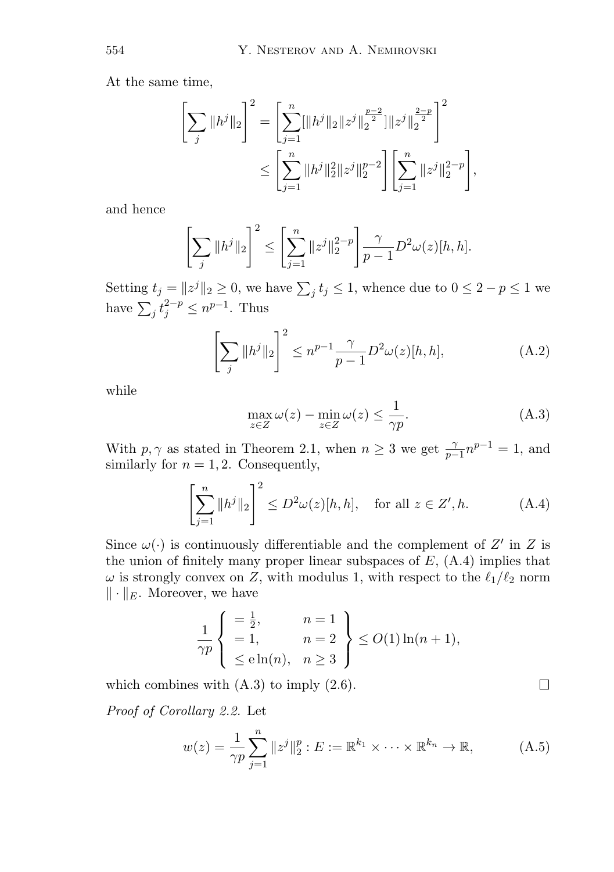At the same time,

$$
\left[\sum_{j} ||h^{j}||_{2}\right]^{2} = \left[\sum_{j=1}^{n} ||h^{j}||_{2} ||z^{j}||_{2}^{\frac{p-2}{2}}] ||z^{j}||_{2}^{\frac{2-p}{2}}\right]^{2}
$$

$$
\leq \left[\sum_{j=1}^{n} ||h^{j}||_{2}^{2} ||z^{j}||_{2}^{p-2}\right] \left[\sum_{j=1}^{n} ||z^{j}||_{2}^{2-p}\right],
$$

and hence

$$
\left[\sum_{j} \|h^{j}\|_{2}\right]^{2} \leq \left[\sum_{j=1}^{n} \|z^{j}\|_{2}^{2-p}\right] \frac{\gamma}{p-1} D^{2} \omega(z)[h, h].
$$

Setting  $t_j = \|z^j\|_2 \ge 0$ , we have  $\sum_j t_j \le 1$ , whence due to  $0 \le 2 - p \le 1$  we have  $\sum_j t_j^{2-p} \leq n^{p-1}$ . Thus

$$
\left[\sum_{j} \|h^{j}\|_{2}\right]^{2} \leq n^{p-1} \frac{\gamma}{p-1} D^{2} \omega(z)[h, h], \tag{A.2}
$$

while

$$
\max_{z \in Z} \omega(z) - \min_{z \in Z} \omega(z) \le \frac{1}{\gamma p}.\tag{A.3}
$$

With  $p, \gamma$  as stated in Theorem 2.1, when  $n \geq 3$  we get  $\frac{\gamma}{p-1}n^{p-1} = 1$ , and similarly for  $n = 1, 2$ . Consequently,

$$
\left[\sum_{j=1}^{n} \|h^j\|_2\right]^2 \le D^2 \omega(z)[h, h], \quad \text{for all } z \in Z', h. \tag{A.4}
$$

Since  $\omega(\cdot)$  is continuously differentiable and the complement of Z' in Z is the union of finitely many proper linear subspaces of  $E$ ,  $(A.4)$  implies that  $\omega$  is strongly convex on Z, with modulus 1, with respect to the  $\ell_1/\ell_2$  norm  $\|\cdot\|_E$ . Moreover, we have

$$
\frac{1}{\gamma p} \begin{cases} = \frac{1}{2}, & n = 1 \\ = 1, & n = 2 \\ \leq e \ln(n), & n \geq 3 \end{cases} \leq O(1) \ln(n+1),
$$

which combines with  $(A.3)$  to imply  $(2.6)$ .

*Proof of Corollary 2.2.* Let

$$
w(z) = \frac{1}{\gamma p} \sum_{j=1}^{n} \|z^{j}\|_{2}^{p} : E := \mathbb{R}^{k_{1}} \times \dots \times \mathbb{R}^{k_{n}} \to \mathbb{R},
$$
 (A.5)

 $\Box$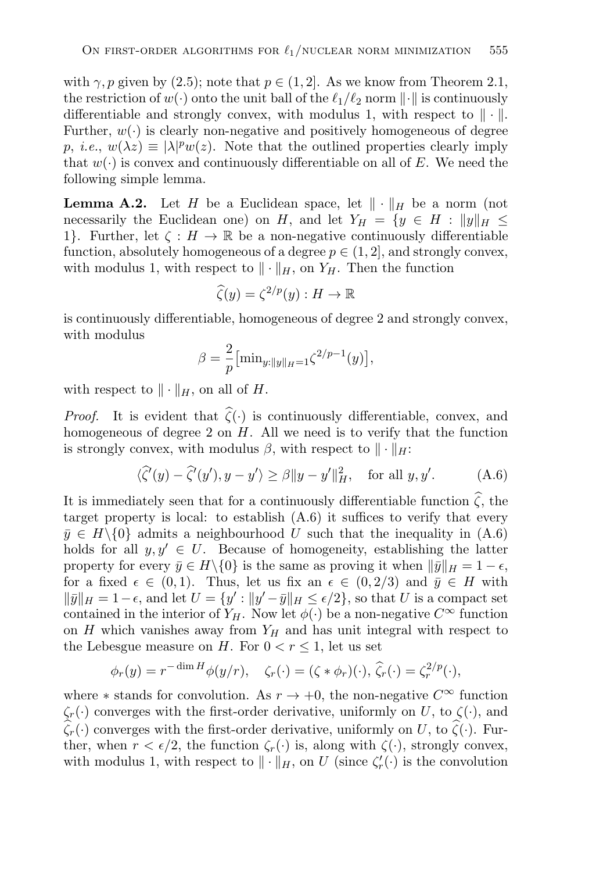with  $\gamma$ , p given by (2.5); note that  $p \in (1, 2]$ . As we know from Theorem 2.1, the restriction of  $w(\cdot)$  onto the unit ball of the  $\ell_1/\ell_2$  norm  $\|\cdot\|$  is continuously differentiable and strongly convex, with modulus 1, with respect to  $\|\cdot\|$ . Further,  $w(\cdot)$  is clearly non-negative and positively homogeneous of degree  $p, i.e., w(\lambda z) \equiv |\lambda|^p w(z).$  Note that the outlined properties clearly imply that  $w(\cdot)$  is convex and continuously differentiable on all of E. We need the following simple lemma.

**Lemma A.2.** Let H be a Euclidean space, let  $\|\cdot\|_H$  be a norm (not necessarily the Euclidean one) on H, and let  $Y_H = \{y \in H : ||y||_H \le$ 1}. Further, let  $\zeta : H \to \mathbb{R}$  be a non-negative continuously differentiable function, absolutely homogeneous of a degree  $p \in (1, 2]$ , and strongly convex, with modulus 1, with respect to  $\|\cdot\|_H$ , on  $Y_H$ . Then the function

$$
\widehat{\zeta}(y) = \zeta^{2/p}(y) : H \to \mathbb{R}
$$

is continuously differentiable, homogeneous of degree 2 and strongly convex, with modulus

$$
\beta = \frac{2}{p} \left[ \min_{y:||y||_H = 1} \zeta^{2/p-1}(y) \right],
$$

with respect to  $\|\cdot\|_H$ , on all of H.

*Proof.* It is evident that  $\zeta(\cdot)$  is continuously differentiable, convex, and homogeneous of degree  $2$  on  $H$ . All we need is to verify that the function is strongly convex, with modulus  $\beta$ , with respect to  $\|\cdot\|_H$ :

$$
\langle \widehat{\zeta}'(y) - \widehat{\zeta}'(y'), y - y' \rangle \ge \beta \|y - y'\|_{H}^2, \quad \text{for all } y, y'. \tag{A.6}
$$

It is immediately seen that for a continuously differentiable function  $\zeta$ , the target property is local: to establish  $(A.6)$  it suffices to verify that every  $\bar{y} \in H \setminus \{0\}$  admits a neighbourhood U such that the inequality in  $(A.6)$ holds for all  $y, y' \in U$ . Because of homogeneity, establishing the latter property for every  $\bar{y} \in H \setminus \{0\}$  is the same as proving it when  $\|\bar{y}\|_{H} = 1 - \epsilon$ , for a fixed  $\epsilon \in (0,1)$ . Thus, let us fix an  $\epsilon \in (0,2/3)$  and  $\bar{y} \in H$  with  $\|\bar{y}\|_{H} = 1 - \epsilon$ , and let  $U = \{y' : \|y' - \bar{y}\|_{H} \leq \epsilon/2\}$ , so that U is a compact set contained in the interior of  $Y_H$ . Now let  $\phi(\cdot)$  be a non-negative  $C^{\infty}$  function on H which vanishes away from  $Y_H$  and has unit integral with respect to the Lebesgue measure on H. For  $0 < r \leq 1$ , let us set

$$
\phi_r(y) = r^{-\dim H} \phi(y/r), \quad \zeta_r(\cdot) = (\zeta * \phi_r)(\cdot), \, \widehat{\zeta}_r(\cdot) = \zeta_r^{2/p}(\cdot),
$$

where  $*$  stands for convolution. As  $r \to +0$ , the non-negative  $C^{\infty}$  function  $\zeta_r(\cdot)$  converges with the first-order derivative, uniformly on U, to  $\zeta(\cdot)$ , and  $\zeta_r(\cdot)$  converges with the first-order derivative, uniformly on U, to  $\zeta(\cdot)$ . Further, when  $r < \epsilon/2$ , the function  $\zeta_r(\cdot)$  is, along with  $\zeta(\cdot)$ , strongly convex, with modulus 1, with respect to  $\|\cdot\|_H$ , on U (since  $\zeta'_r(\cdot)$  is the convolution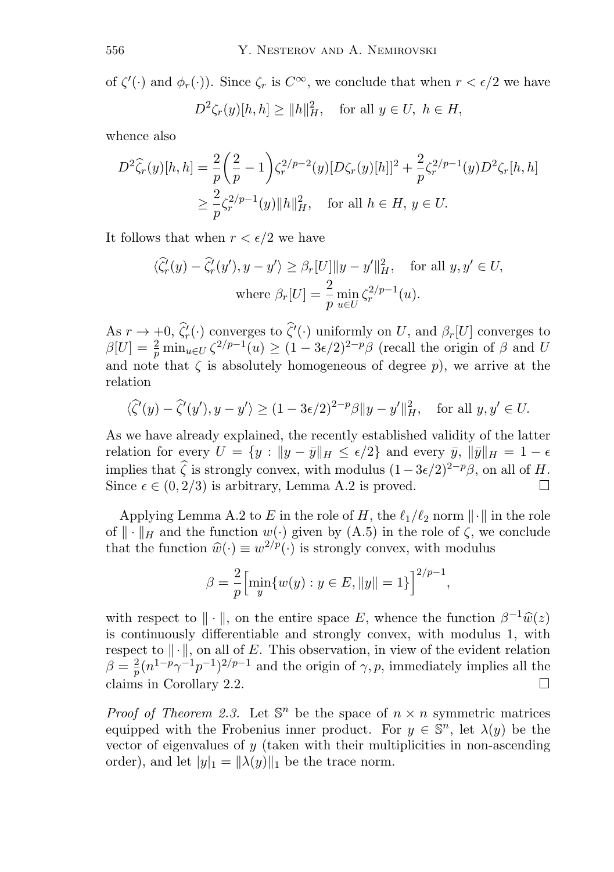of  $\zeta'(\cdot)$  and  $\phi_r(\cdot)$ ). Since  $\zeta_r$  is  $C^{\infty}$ , we conclude that when  $r < \epsilon/2$  we have

$$
D^2\zeta_r(y)[h,h]\geq \|h\|_H^2, \quad \text{for all } y\in U, \ h\in H,
$$

whence also

$$
D^{2}\widehat{\zeta}_{r}(y)[h,h] = \frac{2}{p} \left(\frac{2}{p} - 1\right) \zeta_{r}^{2/p-2}(y)[D\zeta_{r}(y)[h]]^{2} + \frac{2}{p} \zeta_{r}^{2/p-1}(y)D^{2}\zeta_{r}[h,h]
$$
  

$$
\geq \frac{2}{p} \zeta_{r}^{2/p-1}(y)||h||_{H}^{2}, \text{ for all } h \in H, y \in U.
$$

It follows that when  $r < \epsilon/2$  we have

$$
\langle \widehat{\zeta}'_r(y) - \widehat{\zeta}'_r(y'), y - y' \rangle \ge \beta_r[U] \|y - y'\|^2_H, \quad \text{for all } y, y' \in U,
$$
  
where  $\beta_r[U] = \frac{2}{p} \min_{u \in U} \zeta_r^{2/p-1}(u).$ 

As  $r \to +0$ ,  $\zeta'_r(\cdot)$  converges to  $\zeta'(\cdot)$  uniformly on U, and  $\beta_r[U]$  converges to  $\beta[U] = \frac{2}{p} \min_{u \in U} \zeta^{2/p-1}(u) \ge (1 - 3\epsilon/2)^{2-p} \beta$  (recall the origin of  $\beta$  and U and note that  $\zeta$  is absolutely homogeneous of degree p), we arrive at the relation

$$
\langle \widehat{\zeta}'(y) - \widehat{\zeta}'(y'), y - y' \rangle \ge (1 - 3\epsilon/2)^{2-p} \beta \|y - y'\|_H^2, \quad \text{for all } y, y' \in U.
$$

As we have already explained, the recently established validity of the latter relation for every  $U = \{y : ||y - \bar{y}||_H \le \epsilon/2\}$  and every  $\bar{y}$ ,  $||\bar{y}||_H = 1 - \epsilon$ implies that  $\hat{\zeta}$  is strongly convex, with modulus  $(1-3\epsilon/2)^{2-p}\beta$ , on all of H. Since  $\epsilon \in (0, 2/3)$  is arbitrary, Lemma A.2 is proved.

Applying Lemma A.2 to E in the role of H, the  $\ell_1/\ell_2$  norm  $\|\cdot\|$  in the role of  $\|\cdot\|_H$  and the function  $w(\cdot)$  given by  $(A.5)$  in the role of  $\zeta$ , we conclude that the function  $\hat{w}(\cdot) \equiv w^{2/p}(\cdot)$  is strongly convex, with modulus

$$
\beta = \frac{2}{p} \Big[ \min_{y} \{ w(y) : y \in E, ||y|| = 1 \} \Big]^{2/p-1},
$$

with respect to  $\|\cdot\|$ , on the entire space E, whence the function  $\beta^{-1}\hat{w}(z)$ is continuously differentiable and strongly convex, with modulus 1, with respect to  $\|\cdot\|$ , on all of E. This observation, in view of the evident relation  $\beta = \frac{2}{p} (n^{1-p} \gamma^{-1} p^{-1})^{2/p-1}$  and the origin of  $\gamma, p$ , immediately implies all the claims in Corollary 2.2.  $\Box$ 

*Proof of Theorem 2.3.* Let  $\mathbb{S}^n$  be the space of  $n \times n$  symmetric matrices equipped with the Frobenius inner product. For  $y \in \mathbb{S}^n$ , let  $\lambda(y)$  be the vector of eigenvalues of  $y$  (taken with their multiplicities in non-ascending order), and let  $|y|_1 = ||\lambda(y)||_1$  be the trace norm.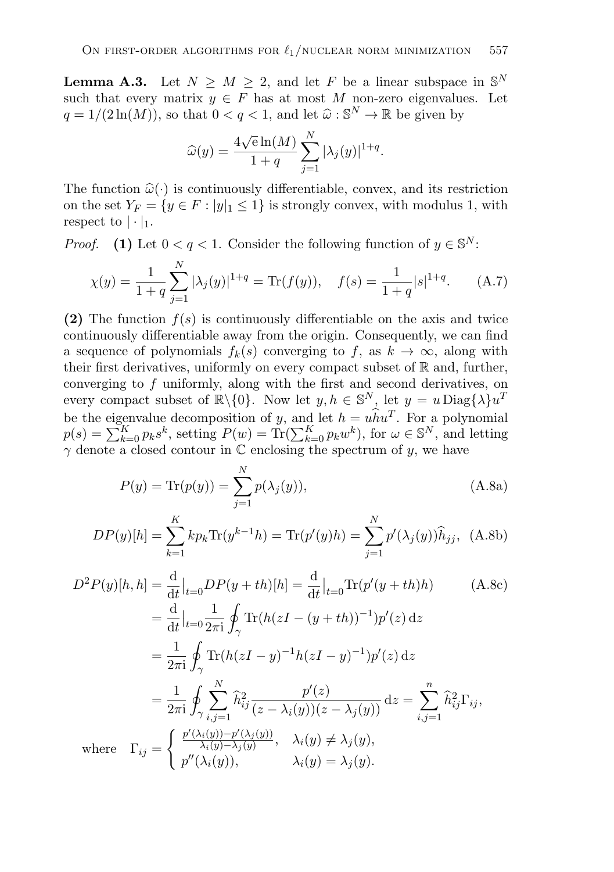**Lemma A.3.** Let  $N \geq M \geq 2$ , and let F be a linear subspace in  $\mathbb{S}^N$ such that every matrix  $y \in F$  has at most M non-zero eigenvalues. Let  $q = 1/(2 \ln(M))$ , so that  $0 < q < 1$ , and let  $\hat{\omega} : \mathbb{S}^N \to \mathbb{R}$  be given by

$$
\widehat{\omega}(y) = \frac{4\sqrt{e}\ln(M)}{1+q} \sum_{j=1}^{N} |\lambda_j(y)|^{1+q}.
$$

The function  $\hat{\omega}(\cdot)$  is continuously differentiable, convex, and its restriction on the set  $Y_F = \{y \in F : |y|_1 \leq 1\}$  is strongly convex, with modulus 1, with respect to  $|\cdot|_1$ .

*Proof.* **(1)** Let  $0 < q < 1$ . Consider the following function of  $y \in \mathbb{S}^N$ :

$$
\chi(y) = \frac{1}{1+q} \sum_{j=1}^{N} |\lambda_j(y)|^{1+q} = \text{Tr}(f(y)), \quad f(s) = \frac{1}{1+q} |s|^{1+q}.
$$
 (A.7)

**(2)** The function  $f(s)$  is continuously differentiable on the axis and twice continuously differentiable away from the origin. Consequently, we can find a sequence of polynomials  $f_k(s)$  converging to f, as  $k \to \infty$ , along with their first derivatives, uniformly on every compact subset of  $\mathbb R$  and, further, converging to f uniformly, along with the first and second derivatives, on every compact subset of  $\mathbb{R}\setminus\{0\}$ . Now let  $y, h \in \mathbb{S}^N$ , let  $y = u \text{Diag}\{\lambda\}u^T$ be the eigenvalue decomposition of y, and let  $h = u\hat{h}u^T$ . For a polynomial  $p(s) = \sum_{k=0}^{K} p_k s^k$ , setting  $P(w) = \text{Tr}(\sum_{k=0}^{K} p_k w^k)$ , for  $\omega \in \mathbb{S}^N$ , and letting  $\gamma$  denote a closed contour in  $\mathbb C$  enclosing the spectrum of y, we have

$$
P(y) = \text{Tr}(p(y)) = \sum_{j=1}^{N} p(\lambda_j(y)),
$$
 (A.8a)

$$
DP(y)[h] = \sum_{k=1}^{K} k p_k \text{Tr}(y^{k-1}h) = \text{Tr}(p'(y)h) = \sum_{j=1}^{N} p'(\lambda_j(y))\hat{h}_{jj}, \text{ (A.8b)}
$$

$$
D^2 P(y)[h, h] = \frac{d}{dt}|_{t=0} D P(y+th)[h] = \frac{d}{dt}|_{t=0} \text{Tr}(p'(y+th)h)
$$
(A.8c)  

$$
= \frac{d}{dt}|_{t=0} \frac{1}{2\pi i} \oint_{\gamma} \text{Tr}(h( zI - (y+th))^{-1}) p'(z) dz
$$
  

$$
= \frac{1}{2\pi i} \oint_{\gamma} \text{Tr}(h( zI - y)^{-1} h( zI - y)^{-1}) p'(z) dz
$$
  

$$
= \frac{1}{2\pi i} \oint_{\gamma} \sum_{i,j=1}^{N} \hat{h}_{ij}^2 \frac{p'(z)}{(z - \lambda_i(y))(z - \lambda_j(y))} dz = \sum_{i,j=1}^{n} \hat{h}_{ij}^2 \Gamma_{ij},
$$
  
where  $\Gamma_{ij} = \begin{cases} \frac{p'(\lambda_i(y)) - p'(\lambda_j(y))}{\lambda_i(y) - \lambda_j(y)}, & \lambda_i(y) \neq \lambda_j(y), \\ p''(\lambda_i(y)), & \lambda_i(y) = \lambda_j(y). \end{cases}$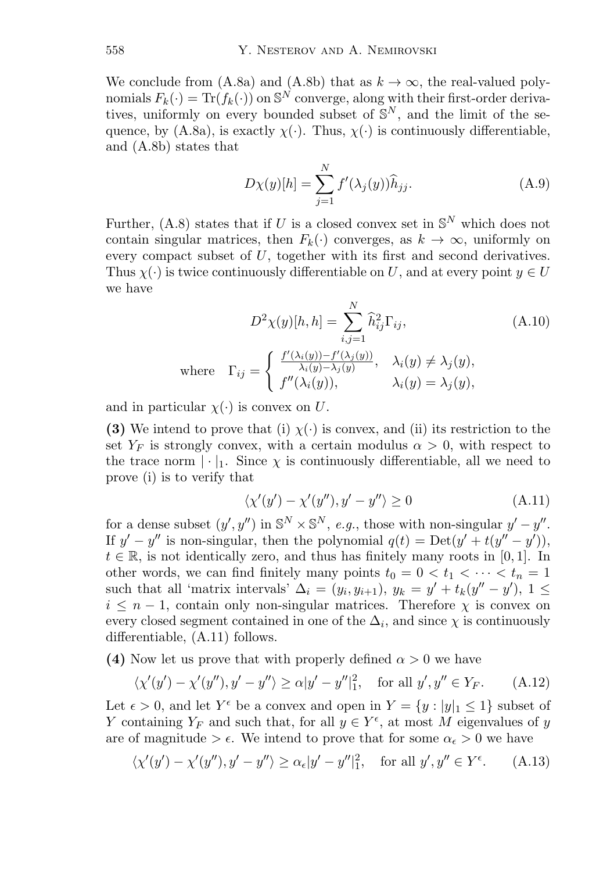We conclude from (A.8a) and (A.8b) that as  $k \to \infty$ , the real-valued polynomials  $F_k(\cdot) = \text{Tr}(f_k(\cdot))$  on  $\mathbb{S}^N$  converge, along with their first-order derivatives, uniformly on every bounded subset of  $S^N$ , and the limit of the sequence, by (A.8a), is exactly  $\chi(\cdot)$ . Thus,  $\chi(\cdot)$  is continuously differentiable, and (A.8b) states that

$$
D\chi(y)[h] = \sum_{j=1}^{N} f'(\lambda_j(y)) \widehat{h}_{jj}.
$$
 (A.9)

Further, (A.8) states that if U is a closed convex set in  $\mathbb{S}^N$  which does not contain singular matrices, then  $F_k(\cdot)$  converges, as  $k \to \infty$ , uniformly on every compact subset of U, together with its first and second derivatives. Thus  $\chi(\cdot)$  is twice continuously differentiable on U, and at every point  $y \in U$ we have

$$
D^{2}\chi(y)[h,h] = \sum_{i,j=1}^{N} \hat{h}_{ij}^{2} \Gamma_{ij},
$$
\n(A.10)  
\nwhere  $\Gamma_{ij} = \begin{cases} \frac{f'(\lambda_{i}(y)) - f'(\lambda_{j}(y))}{\lambda_{i}(y) - \lambda_{j}(y)}, & \lambda_{i}(y) \neq \lambda_{j}(y), \\ f''(\lambda_{i}(y)), & \lambda_{i}(y) = \lambda_{j}(y), \end{cases}$ 

and in particular  $\chi(\cdot)$  is convex on U.

**(3)** We intend to prove that (i)  $\chi(\cdot)$  is convex, and (ii) its restriction to the set  $Y_F$  is strongly convex, with a certain modulus  $\alpha > 0$ , with respect to the trace norm  $|\cdot|_1$ . Since  $\chi$  is continuously differentiable, all we need to prove (i) is to verify that

$$
\langle \chi'(y') - \chi'(y''), y' - y'' \rangle \ge 0 \tag{A.11}
$$

for a dense subset  $(y', y'')$  in  $\mathbb{S}^N \times \mathbb{S}^N$ , *e.g.*, those with non-singular  $y' - y''$ . If  $y' - y''$  is non-singular, then the polynomial  $q(t) = \text{Det}(y' + t(y'' - y'))$ ,  $t \in \mathbb{R}$ , is not identically zero, and thus has finitely many roots in [0,1]. In other words, we can find finitely many points  $t_0 = 0 < t_1 < \cdots < t_n = 1$ such that all 'matrix intervals'  $\Delta_i = (y_i, y_{i+1}), y_k = y' + t_k(y'' - y'), 1 \leq$  $i \leq n-1$ , contain only non-singular matrices. Therefore  $\chi$  is convex on every closed segment contained in one of the  $\Delta_i$ , and since  $\chi$  is continuously differentiable, (A.11) follows.

**(4)** Now let us prove that with properly defined  $\alpha > 0$  we have

$$
\langle \chi'(y') - \chi'(y''), y' - y'' \rangle \ge \alpha |y' - y''|_1^2, \quad \text{for all } y', y'' \in Y_F. \tag{A.12}
$$

Let  $\epsilon > 0$ , and let  $Y^{\epsilon}$  be a convex and open in  $Y = \{y : |y|_1 \leq 1\}$  subset of Y containing  $Y_F$  and such that, for all  $y \in Y^{\epsilon}$ , at most M eigenvalues of y are of magnitude  $\geq \epsilon$ . We intend to prove that for some  $\alpha_{\epsilon} > 0$  we have

$$
\langle \chi'(y') - \chi'(y''), y' - y'' \rangle \ge \alpha_{\epsilon} |y' - y''|_1^2, \quad \text{for all } y', y'' \in Y^{\epsilon}.
$$
 (A.13)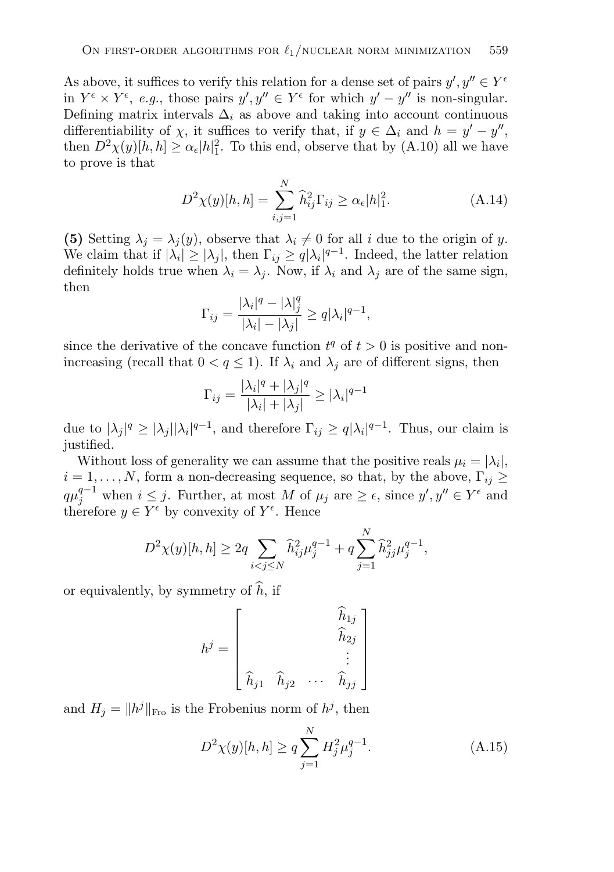As above, it suffices to verify this relation for a dense set of pairs  $y', y'' \in Y^{\epsilon}$ in  $Y^{\epsilon} \times Y^{\epsilon}$ , *e.g.*, those pairs  $y', y'' \in Y^{\epsilon}$  for which  $y' - y''$  is non-singular. Defining matrix intervals  $\Delta_i$  as above and taking into account continuous differentiability of  $\chi$ , it suffices to verify that, if  $y \in \Delta_i$  and  $h = y' - y''$ , then  $D^2 \chi(y) [\dot{h}, h] \geq \alpha_{\epsilon} |h|_1^2$ . To this end, observe that by (A.10) all we have to prove is that

$$
D^{2}\chi(y)[h,h] = \sum_{i,j=1}^{N} \hat{h}_{ij}^{2} \Gamma_{ij} \ge \alpha_{\epsilon} |h|_{1}^{2}.
$$
 (A.14)

**(5)** Setting  $\lambda_i = \lambda_i(y)$ , observe that  $\lambda_i \neq 0$  for all i due to the origin of y. We claim that if  $|\lambda_i| \geq |\lambda_j|$ , then  $\Gamma_{ij} \geq q |\lambda_i|^{q-1}$ . Indeed, the latter relation definitely holds true when  $\lambda_i = \lambda_j$ . Now, if  $\lambda_i$  and  $\lambda_j$  are of the same sign, then

$$
\Gamma_{ij} = \frac{|\lambda_i|^q - |\lambda|_j^q}{|\lambda_i| - |\lambda_j|} \ge q |\lambda_i|^{q-1},
$$

since the derivative of the concave function  $t^q$  of  $t > 0$  is positive and nonincreasing (recall that  $0 < q \leq 1$ ). If  $\lambda_i$  and  $\lambda_j$  are of different signs, then

$$
\Gamma_{ij} = \frac{|\lambda_i|^q + |\lambda_j|^q}{|\lambda_i| + |\lambda_j|} \ge |\lambda_i|^{q-1}
$$

due to  $|\lambda_j|^q \geq |\lambda_j||\lambda_i|^{q-1}$ , and therefore  $\Gamma_{ij} \geq q|\lambda_i|^{q-1}$ . Thus, our claim is justified.

Without loss of generality we can assume that the positive reals  $\mu_i = |\lambda_i|$ ,  $i = 1, \ldots, N$ , form a non-decreasing sequence, so that, by the above,  $\Gamma_{ij} \geq$  $q\mu_j^{q-1}$  when  $i \leq j$ . Further, at most M of  $\mu_j$  are  $\geq \epsilon$ , since  $y', y'' \in Y^{\epsilon}$  and therefore  $y \in Y^{\epsilon}$  by convexity of  $Y^{\epsilon}$ . Hence

$$
D^{2}\chi(y)[h,h] \geq 2q \sum_{i < j \leq N} \widehat{h}_{ij}^{2} \mu_{j}^{q-1} + q \sum_{j=1}^{N} \widehat{h}_{jj}^{2} \mu_{j}^{q-1},
$$

or equivalently, by symmetry of  $h$ , if

$$
h^{j} = \begin{bmatrix} \hat{h}_{1j} \\ \hat{h}_{2j} \\ \vdots \\ \hat{h}_{j1} & \hat{h}_{j2} & \cdots & \hat{h}_{jj} \end{bmatrix}
$$

and  $H_j = ||h^j||_{\text{Fro}}$  is the Frobenius norm of  $h^j$ , then

$$
D^{2}\chi(y)[h,h] \geq q \sum_{j=1}^{N} H_{j}^{2} \mu_{j}^{q-1}.
$$
 (A.15)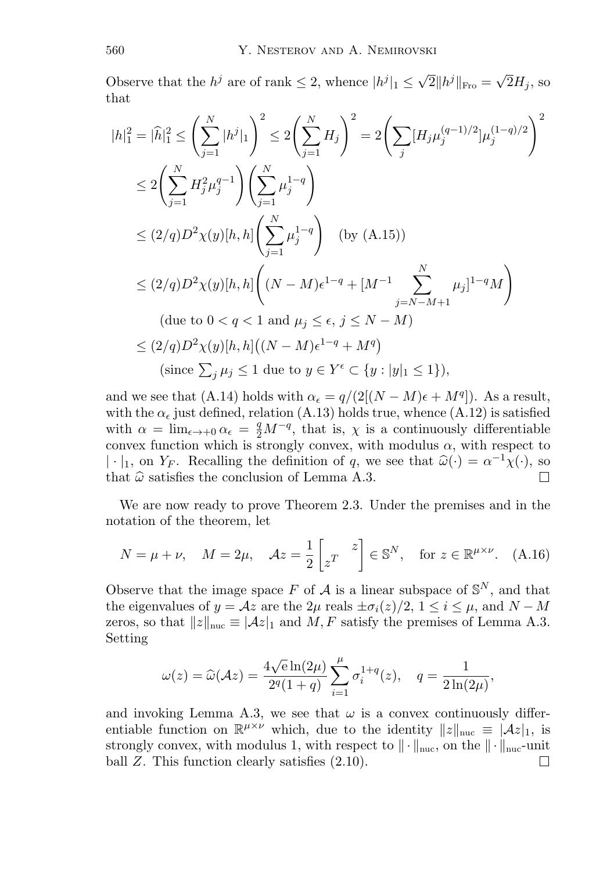Observe that the  $h^j$  are of rank  $\leq 2$ , whence  $|h^j|_1 \leq \sqrt{2} ||h^j||_{\text{Fro}} = \sqrt{2}H_i$ , so that

$$
|h|_{1}^{2} = |\widehat{h}|_{1}^{2} \le \left(\sum_{j=1}^{N} |h^{j}|_{1}\right)^{2} \le 2\left(\sum_{j=1}^{N} H_{j}\right)^{2} = 2\left(\sum_{j} [H_{j}\mu_{j}^{(q-1)/2}]\mu_{j}^{(1-q)/2}\right)^{2}
$$
  
\n
$$
\le 2\left(\sum_{j=1}^{N} H_{j}^{2}\mu_{j}^{q-1}\right)\left(\sum_{j=1}^{N} \mu_{j}^{1-q}\right)
$$
  
\n
$$
\le (2/q)D^{2}\chi(y)[h, h]\left(\sum_{j=1}^{N} \mu_{j}^{1-q}\right) \quad \text{(by (A.15))}
$$
  
\n
$$
\le (2/q)D^{2}\chi(y)[h, h]\left((N-M)\epsilon^{1-q} + [M^{-1}\sum_{j=N-M+1}^{N} \mu_{j}]^{1-q}M\right)
$$
  
\n(due to  $0 < q < 1$  and  $\mu_{j} \le \epsilon, j \le N - M$ )  
\n
$$
\le (2/q)D^{2}\chi(y)[h, h]\left((N-M)\epsilon^{1-q} + M^{q}\right)
$$
  
\n(since  $\sum_{j} \mu_{j} \le 1$  due to  $y \in Y^{\epsilon} \subset \{y : |y|_{1} \le 1\},$ 

and we see that (A.14) holds with  $\alpha_{\epsilon} = q/(2[(N-M)\epsilon + M^q])$ . As a result, with the  $\alpha_{\epsilon}$  just defined, relation (A.13) holds true, whence (A.12) is satisfied with  $\alpha = \lim_{\epsilon \to +0} \alpha_{\epsilon} = \frac{q}{2} M^{-q}$ , that is,  $\chi$  is a continuously differentiable convex function which is strongly convex, with modulus  $\alpha$ , with respect to |·|<sub>1</sub>, on Y<sub>F</sub>. Recalling the definition of q, we see that  $\hat{\omega}(\cdot) = \alpha^{-1}\chi(\cdot)$ , so that  $\hat{\omega}$  satisfies the conclusion of Lemma A.3. that  $\hat{\omega}$  satisfies the conclusion of Lemma A.3.

We are now ready to prove Theorem 2.3. Under the premises and in the notation of the theorem, let

$$
N = \mu + \nu, \quad M = 2\mu, \quad \mathcal{A}z = \frac{1}{2} \begin{bmatrix} z \\ z^T \end{bmatrix} \in \mathbb{S}^N, \quad \text{for } z \in \mathbb{R}^{\mu \times \nu}. \quad \text{(A.16)}
$$

Observe that the image space F of A is a linear subspace of  $\mathbb{S}^N$ , and that the eigenvalues of  $y = Az$  are the  $2\mu$  reals  $\pm \sigma_i(z)/2$ ,  $1 \leq i \leq \mu$ , and  $N - M$ zeros, so that  $||z||_{\text{nuc}} \equiv |Az|_1$  and  $M, F$  satisfy the premises of Lemma A.3. Setting

$$
\omega(z) = \widehat{\omega}(\mathcal{A}z) = \frac{4\sqrt{e}\ln(2\mu)}{2^q(1+q)} \sum_{i=1}^{\mu} \sigma_i^{1+q}(z), \quad q = \frac{1}{2\ln(2\mu)},
$$

and invoking Lemma A.3, we see that  $\omega$  is a convex continuously differentiable function on  $\mathbb{R}^{\mu\times\nu}$  which, due to the identity  $||z||_{\text{nuc}} \equiv |\mathcal{A}z|_1$ , is strongly convex, with modulus 1, with respect to  $\|\cdot\|_{\text{nuc}}$ , on the  $\|\cdot\|_{\text{nuc}}$ -unit ball Z. This function clearly satisfies (2.10). ball Z. This function clearly satisfies (2.10).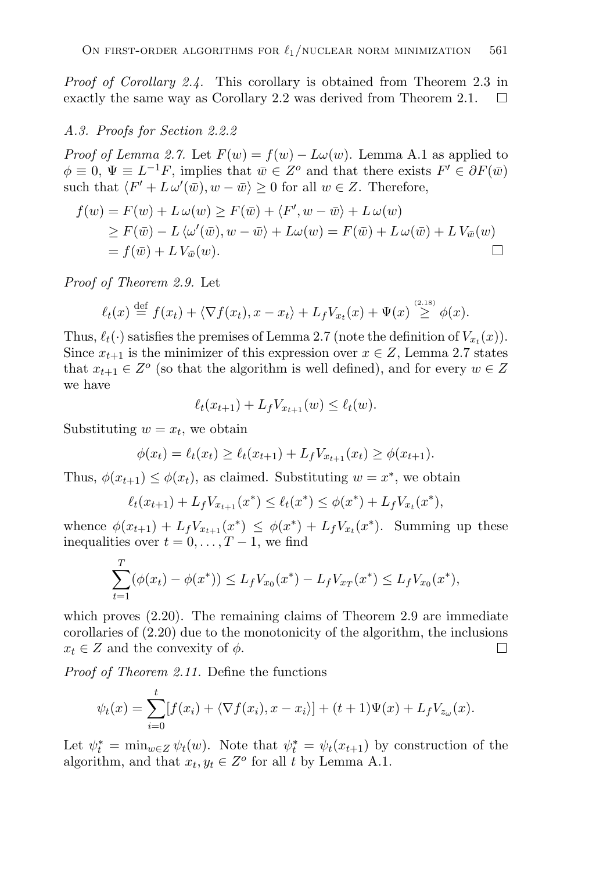*Proof of Corollary 2.4.* This corollary is obtained from Theorem 2.3 in exactly the same way as Corollary 2.2 was derived from Theorem 2.1.  $\Box$ 

#### *A.3. Proofs for Section 2.2.2*

*Proof of Lemma 2.7.* Let  $F(w) = f(w) - L\omega(w)$ . Lemma A.1 as applied to  $\phi \equiv 0, \Psi \equiv L^{-1}F$ , implies that  $\bar{w} \in Z^{\circ}$  and that there exists  $F' \in \partial F(\bar{w})$ such that  $\langle F' + L \omega'(\bar{w}), w - \bar{w} \rangle \ge 0$  for all  $w \in Z$ . Therefore,

$$
f(w) = F(w) + L\omega(w) \ge F(\bar{w}) + \langle F', w - \bar{w} \rangle + L\omega(w)
$$
  
\n
$$
\ge F(\bar{w}) - L\langle \omega'(\bar{w}), w - \bar{w} \rangle + L\omega(w) = F(\bar{w}) + L\omega(\bar{w}) + LV_{\bar{w}}(w)
$$
  
\n
$$
= f(\bar{w}) + LV_{\bar{w}}(w).
$$

*Proof of Theorem 2.9.* Let

$$
\ell_t(x) \stackrel{\text{def}}{=} f(x_t) + \langle \nabla f(x_t), x - x_t \rangle + L_f V_{x_t}(x) + \Psi(x) \stackrel{\text{(2.18)}}{\geq} \phi(x).
$$

Thus,  $\ell_t(\cdot)$  satisfies the premises of Lemma 2.7 (note the definition of  $V_{x_t}(x)$ ). Since  $x_{t+1}$  is the minimizer of this expression over  $x \in Z$ , Lemma 2.7 states that  $x_{t+1} \in Z^{\circ}$  (so that the algorithm is well defined), and for every  $w \in Z$ we have

$$
\ell_t(x_{t+1}) + L_f V_{x_{t+1}}(w) \leq \ell_t(w).
$$

Substituting  $w = x_t$ , we obtain

 $\overline{a}$ 

$$
\phi(x_t) = \ell_t(x_t) \ge \ell_t(x_{t+1}) + L_f V_{x_{t+1}}(x_t) \ge \phi(x_{t+1}).
$$

Thus,  $\phi(x_{t+1}) \leq \phi(x_t)$ , as claimed. Substituting  $w = x^*$ , we obtain

$$
\ell_t(x_{t+1}) + L_f V_{x_{t+1}}(x^*) \leq \ell_t(x^*) \leq \phi(x^*) + L_f V_{x_t}(x^*),
$$

whence  $\phi(x_{t+1}) + L_f V_{x_{t+1}}(x^*) \leq \phi(x^*) + L_f V_{x_t}(x^*)$ . Summing up these inequalities over  $t = 0, \ldots, T-1$ , we find

$$
\sum_{t=1}^T (\phi(x_t) - \phi(x^*)) \le L_f V_{x_0}(x^*) - L_f V_{x_T}(x^*) \le L_f V_{x_0}(x^*),
$$

which proves (2.20). The remaining claims of Theorem 2.9 are immediate corollaries of (2.20) due to the monotonicity of the algorithm, the inclusions  $x_t \in Z$  and the convexity of  $\phi$ .  $\Box$ 

*Proof of Theorem 2.11.* Define the functions

$$
\psi_t(x) = \sum_{i=0}^t [f(x_i) + \langle \nabla f(x_i), x - x_i \rangle] + (t+1)\Psi(x) + L_f V_{z_{\omega}}(x).
$$

Let  $\psi_t^* = \min_{w \in Z} \psi_t(w)$ . Note that  $\psi_t^* = \psi_t(x_{t+1})$  by construction of the algorithm, and that  $x_t, y_t \in Z^o$  for all t by Lemma A.1.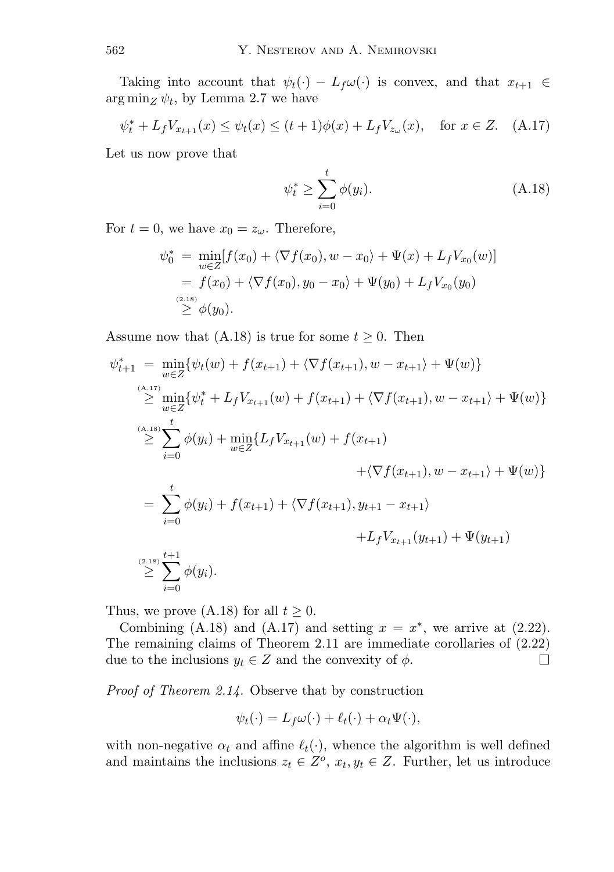Taking into account that  $\psi_t(\cdot) - L_f \omega(\cdot)$  is convex, and that  $x_{t+1} \in$  $\arg \min_Z \psi_t$ , by Lemma 2.7 we have

$$
\psi_t^* + L_f V_{x_{t+1}}(x) \le \psi_t(x) \le (t+1)\phi(x) + L_f V_{z_{\omega}}(x), \quad \text{for } x \in Z. \tag{A.17}
$$

Let us now prove that

$$
\psi_t^* \ge \sum_{i=0}^t \phi(y_i). \tag{A.18}
$$

For  $t = 0$ , we have  $x_0 = z_\omega$ . Therefore,

$$
\psi_0^* = \min_{w \in Z} [f(x_0) + \langle \nabla f(x_0), w - x_0 \rangle + \Psi(x) + L_f V_{x_0}(w)]
$$
  
=  $f(x_0) + \langle \nabla f(x_0), y_0 - x_0 \rangle + \Psi(y_0) + L_f V_{x_0}(y_0)$   
 $\geq \phi(y_0).$ 

Assume now that (A.18) is true for some  $t \geq 0$ . Then

$$
\psi_{t+1}^{*} = \min_{w \in Z} \{ \psi_{t}(w) + f(x_{t+1}) + \langle \nabla f(x_{t+1}), w - x_{t+1} \rangle + \Psi(w) \}
$$
\n
$$
\geq \min_{w \in Z} \{ \psi_{t}^{*} + L_{f}V_{x_{t+1}}(w) + f(x_{t+1}) + \langle \nabla f(x_{t+1}), w - x_{t+1} \rangle + \Psi(w) \}
$$
\n
$$
\geq \sum_{i=0}^{(A,18)} \phi(y_{i}) + \min_{w \in Z} \{ L_{f}V_{x_{t+1}}(w) + f(x_{t+1}) + \langle \nabla f(x_{t+1}), w - x_{t+1} \rangle + \Psi(w) \}
$$
\n
$$
= \sum_{i=0}^{t} \phi(y_{i}) + f(x_{t+1}) + \langle \nabla f(x_{t+1}), y_{t+1} - x_{t+1} \rangle + L_{f}V_{x_{t+1}}(y_{t+1}) + \Psi(y_{t+1}) + \sum_{i=0}^{(2,18)} \phi(y_{i}).
$$

Thus, we prove (A.18) for all  $t \geq 0$ .

Combining (A.18) and (A.17) and setting  $x = x^*$ , we arrive at (2.22). The remaining claims of Theorem 2.11 are immediate corollaries of (2.22) due to the inclusions  $y_t \in Z$  and the convexity of  $\phi$ .  $\Box$ 

*Proof of Theorem 2.14.* Observe that by construction

$$
\psi_t(\cdot) = L_f \omega(\cdot) + \ell_t(\cdot) + \alpha_t \Psi(\cdot),
$$

with non-negative  $\alpha_t$  and affine  $\ell_t(\cdot)$ , whence the algorithm is well defined and maintains the inclusions  $z_t \in Z^o$ ,  $x_t, y_t \in Z$ . Further, let us introduce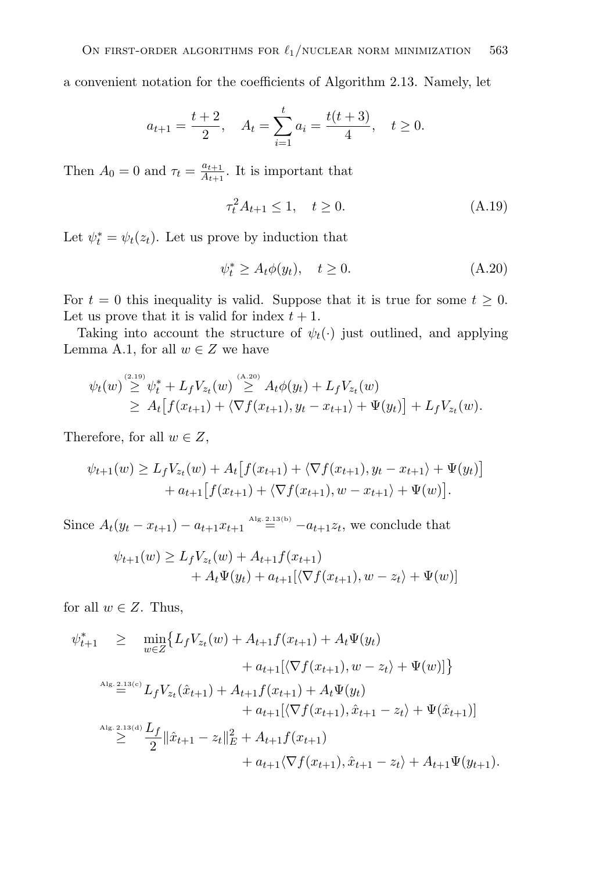a convenient notation for the coefficients of Algorithm 2.13. Namely, let

$$
a_{t+1} = \frac{t+2}{2}
$$
,  $A_t = \sum_{i=1}^t a_i = \frac{t(t+3)}{4}$ ,  $t \ge 0$ .

Then  $A_0 = 0$  and  $\tau_t = \frac{a_{t+1}}{A_{t+1}}$ . It is important that

$$
\tau_t^2 A_{t+1} \le 1, \quad t \ge 0. \tag{A.19}
$$

Let  $\psi_t^* = \psi_t(z_t)$ . Let us prove by induction that

$$
\psi_t^* \ge A_t \phi(y_t), \quad t \ge 0. \tag{A.20}
$$

For  $t = 0$  this inequality is valid. Suppose that it is true for some  $t \geq 0$ . Let us prove that it is valid for index  $t + 1$ .

Taking into account the structure of  $\psi_t(\cdot)$  just outlined, and applying Lemma A.1, for all  $w \in Z$  we have

$$
\psi_t(w) \stackrel{\text{(2.19)}}{\geq} \psi_t^* + L_f V_{z_t}(w) \stackrel{\text{(A.20)}}{\geq} A_t \phi(y_t) + L_f V_{z_t}(w) \geq A_t \big[ f(x_{t+1}) + \langle \nabla f(x_{t+1}), y_t - x_{t+1} \rangle + \Psi(y_t) \big] + L_f V_{z_t}(w).
$$

Therefore, for all  $w \in Z$ ,

$$
\psi_{t+1}(w) \ge L_f V_{z_t}(w) + A_t \big[ f(x_{t+1}) + \langle \nabla f(x_{t+1}), y_t - x_{t+1} \rangle + \Psi(y_t) \big] + a_{t+1} \big[ f(x_{t+1}) + \langle \nabla f(x_{t+1}), w - x_{t+1} \rangle + \Psi(w) \big].
$$

Since  $A_t(y_t - x_{t+1}) - a_{t+1}x_{t+1} \stackrel{A_{lg.2,13(b)}}{=} -a_{t+1}z_t$ , we conclude that

$$
\psi_{t+1}(w) \ge L_f V_{z_t}(w) + A_{t+1} f(x_{t+1}) + A_t \Psi(y_t) + a_{t+1} [\langle \nabla f(x_{t+1}), w - z_t \rangle + \Psi(w)]
$$

for all  $w \in Z$ . Thus,

$$
\psi_{t+1}^* \geq \min_{w \in Z} \{ L_f V_{z_t}(w) + A_{t+1} f(x_{t+1}) + A_t \Psi(y_t) \n+ a_{t+1} [\langle \nabla f(x_{t+1}), w - z_t \rangle + \Psi(w)] \}
$$
\n
$$
\lim_{\Delta \text{lg. 2.13(c)}} L_f V_{z_t}(\hat{x}_{t+1}) + A_{t+1} f(x_{t+1}) + A_t \Psi(y_t) \n+ a_{t+1} [\langle \nabla f(x_{t+1}), \hat{x}_{t+1} - z_t \rangle + \Psi(\hat{x}_{t+1})] \n\geq \frac{\Delta f}{2} \|\hat{x}_{t+1} - z_t\|_E^2 + A_{t+1} f(x_{t+1}) \n+ a_{t+1} \langle \nabla f(x_{t+1}), \hat{x}_{t+1} - z_t \rangle + A_{t+1} \Psi(y_{t+1}).
$$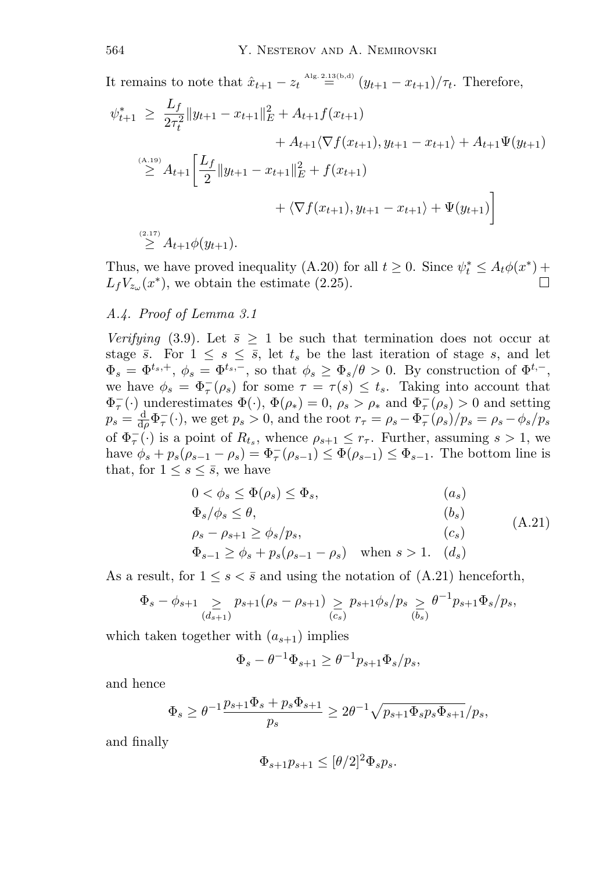It remains to note that  $\hat{x}_{t+1} - z_t \stackrel{\text{Alg. 2.13(b,d)}}{=} (y_{t+1} - x_{t+1})/\tau_t$ . Therefore,  $\overline{r}$ 

$$
\psi_{t+1}^* \geq \frac{L_f}{2\tau_t^2} \|y_{t+1} - x_{t+1}\|_E^2 + A_{t+1}f(x_{t+1})
$$
  
+  $A_{t+1} \langle \nabla f(x_{t+1}), y_{t+1} - x_{t+1} \rangle + A_{t+1} \Psi(y_{t+1})$   
 $\geq A_{t+1} \left[ \frac{L_f}{2} \|y_{t+1} - x_{t+1}\|_E^2 + f(x_{t+1}) + \langle \nabla f(x_{t+1}), y_{t+1} - x_{t+1} \rangle + \Psi(y_{t+1}) \right]$   
 $\geq A_{t+1} \phi(y_{t+1}).$ 

Thus, we have proved inequality (A.20) for all  $t \geq 0$ . Since  $\psi_t^* \leq A_t \phi(x^*)$  +  $L_fV_{z_\omega}(x^*)$ , we obtain the estimate (2.25).

## *A.4. Proof of Lemma 3.1*

*Verifying* (3.9). Let  $\bar{s} > 1$  be such that termination does not occur at stage  $\bar{s}$ . For  $1 \leq s \leq \bar{s}$ , let  $t_s$  be the last iteration of stage  $s$ , and let  $\Phi_s = \Phi^{t_s,+}, \ \phi_s = \Phi^{t_s,-},$  so that  $\phi_s \geq \Phi_s/\theta > 0$ . By construction of  $\Phi^{t,-}$ , we have  $\phi_s = \Phi_\tau^-(\rho_s)$  for some  $\tau = \tau(s) \leq t_s$ . Taking into account that  $\Phi_{\tau}^{-}(\cdot)$  underestimates  $\Phi(\cdot), \Phi(\rho_*) = 0, \rho_s > \rho_*$  and  $\Phi_{\tau}^{-}(\rho_s) > 0$  and setting  $p_s = \frac{d}{dp}\Phi_\tau^-(\cdot)$ , we get  $p_s > 0$ , and the root  $r_\tau = \rho_s - \Phi_\tau^-(\rho_s)/p_s = \rho_s - \phi_s/p_s$ of  $\Phi_{\tau}^{-}(\cdot)$  is a point of  $R_{t_s}$ , whence  $\rho_{s+1} \leq r_{\tau}$ . Further, assuming  $s > 1$ , we have  $\phi_s + p_s(\rho_{s-1} - \rho_s) = \Phi_\tau^-(\rho_{s-1}) \leq \Phi(\rho_{s-1}) \leq \Phi_{s-1}$ . The bottom line is that, for  $1 \leq s \leq \bar{s}$ , we have

$$
0 < \phi_s \le \Phi(\rho_s) \le \Phi_s, \qquad (a_s)
$$
  
\n
$$
\Phi_s/\phi_s \le \theta, \qquad (b_s)
$$
  
\n
$$
\rho_s - \rho_{s+1} \ge \phi_s/p_s, \qquad (c_s)
$$
  
\n
$$
\Phi_{s-1} \ge \phi_s + p_s(\rho_{s-1} - \rho_s) \quad \text{when } s > 1. \quad (d_s)
$$
\n(A.21)

As a result, for  $1 \leq s < \bar{s}$  and using the notation of (A.21) henceforth,

$$
\Phi_s - \phi_{s+1} \sum_{(d_{s+1})} p_{s+1} (\rho_s - \rho_{s+1}) \sum_{(c_s)} p_{s+1} \phi_s / p_s \sum_{(b_s)} \theta^{-1} p_{s+1} \Phi_s / p_s,
$$

which taken together with  $(a_{s+1})$  implies

$$
\Phi_s - \theta^{-1} \Phi_{s+1} \ge \theta^{-1} p_{s+1} \Phi_s / p_s,
$$

and hence

$$
\Phi_s\geq \theta^{-1}\frac{p_{s+1}\Phi_s+p_s\Phi_{s+1}}{p_s}\geq 2\theta^{-1}\sqrt{p_{s+1}\Phi_sp_s\Phi_{s+1}}/p_s,
$$

and finally

$$
\Phi_{s+1}p_{s+1} \leq [\theta/2]^2 \Phi_s p_s.
$$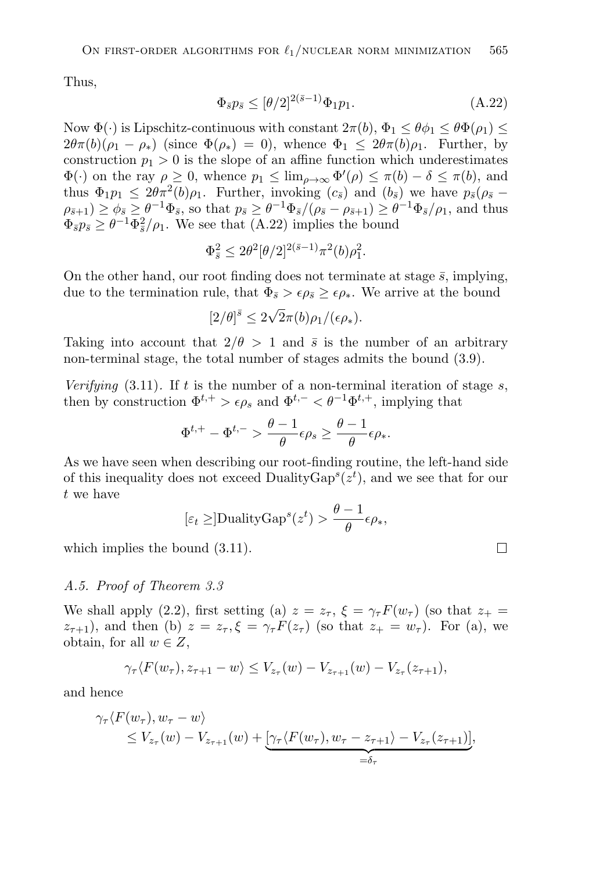Thus,

$$
\Phi_{\bar{s}} p_{\bar{s}} \leq [\theta/2]^{2(\bar{s}-1)} \Phi_1 p_1. \tag{A.22}
$$

Now  $\Phi(\cdot)$  is Lipschitz-continuous with constant  $2\pi(b)$ ,  $\Phi_1 \leq \theta \Phi_1 \leq \theta \Phi(\rho_1) \leq$  $2\theta\pi(b)(\rho_1 - \rho_*)$  (since  $\Phi(\rho_*) = 0$ ), whence  $\Phi_1 \leq 2\theta\pi(b)\rho_1$ . Further, by construction  $p_1 > 0$  is the slope of an affine function which underestimates  $\Phi(\cdot)$  on the ray  $\rho \geq 0$ , whence  $p_1 \leq \lim_{\rho \to \infty} \Phi'(\rho) \leq \pi(b) - \delta \leq \pi(b)$ , and thus  $\Phi_1 p_1 \leq 2\theta \pi^2(b)\rho_1$ . Further, invoking  $(c_{\bar{s}})$  and  $(b_{\bar{s}})$  we have  $p_{\bar{s}}(\rho_{\bar{s}} \rho_{\bar{s}+1}) \geq \phi_{\bar{s}} \geq \theta^{-1} \Phi_{\bar{s}},$  so that  $p_{\bar{s}} \geq \theta^{-1} \Phi_{\bar{s}}/(\rho_{\bar{s}} - \rho_{\bar{s}+1}) \geq \theta^{-1} \Phi_{\bar{s}}/\rho_1$ , and thus  $\Phi_{\bar{s}}p_{\bar{s}} \geq \theta^{-1}\overline{\Phi}_{\bar{s}}^2/\rho_1$ . We see that  $(A.22)$  implies the bound

$$
\Phi_{\bar{s}}^2 \le 2\theta^2 [\theta/2]^{2(\bar{s}-1)} \pi^2(b)\rho_1^2.
$$

On the other hand, our root finding does not terminate at stage  $\bar{s}$ , implying, due to the termination rule, that  $\Phi_{\bar{s}} > \epsilon \rho_{\bar{s}} \geq \epsilon \rho_{*}$ . We arrive at the bound

$$
[2/\theta]^{\bar{s}} \le 2\sqrt{2}\pi(b)\rho_1/(\epsilon \rho_*).
$$

Taking into account that  $2/\theta > 1$  and  $\bar{s}$  is the number of an arbitrary non-terminal stage, the total number of stages admits the bound (3.9).

*Verifying*  $(3.11)$ *.* If t is the number of a non-terminal iteration of stage s, then by construction  $\Phi^{t,+} > \epsilon \rho_s$  and  $\Phi^{t,-} < \theta^{-1} \Phi^{t,+}$ , implying that

$$
\Phi^{t,+} - \Phi^{t,-} > \frac{\theta - 1}{\theta} \epsilon \rho_s \ge \frac{\theta - 1}{\theta} \epsilon \rho_*.
$$

As we have seen when describing our root-finding routine, the left-hand side of this inequality does not exceed Duality $\text{Gap}^s(z^t)$ , and we see that for our t we have

$$
[\varepsilon_t \geq] \text{DualityGap}^s(z^t) > \frac{\theta - 1}{\theta} \epsilon \rho_*,
$$

 $\Box$ 

which implies the bound  $(3.11)$ .

#### *A.5. Proof of Theorem 3.3*

We shall apply (2.2), first setting (a)  $z = z_\tau$ ,  $\xi = \gamma_\tau F(w_\tau)$  (so that  $z_+ = z_\tau$ )  $z_{\tau+1}$ , and then (b)  $z = z_{\tau}$ ,  $\xi = \gamma_{\tau} F(z_{\tau})$  (so that  $z_{+} = w_{\tau}$ ). For (a), we obtain, for all  $w \in Z$ ,

$$
\gamma_{\tau}\langle F(w_{\tau}), z_{\tau+1} - w \rangle \leq V_{z_{\tau}}(w) - V_{z_{\tau+1}}(w) - V_{z_{\tau}}(z_{\tau+1}),
$$

and hence

$$
\gamma_{\tau}\langle F(w_{\tau}), w_{\tau} - w \rangle \leq V_{z_{\tau}}(w) - V_{z_{\tau+1}}(w) + \underbrace{[\gamma_{\tau}\langle F(w_{\tau}), w_{\tau} - z_{\tau+1} \rangle - V_{z_{\tau}}(z_{\tau+1})]}_{=\delta_{\tau}},
$$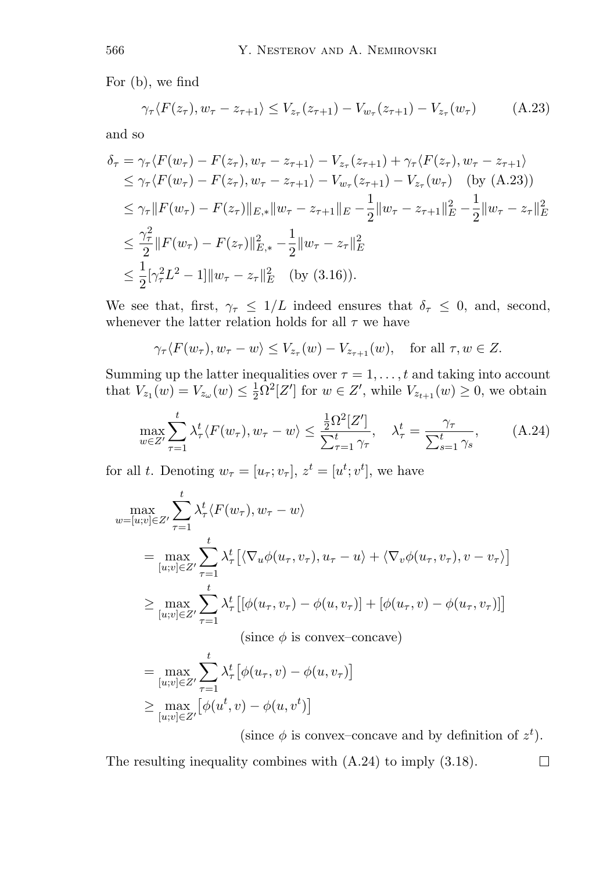For (b), we find

$$
\gamma_{\tau} \langle F(z_{\tau}), w_{\tau} - z_{\tau+1} \rangle \le V_{z_{\tau}}(z_{\tau+1}) - V_{w_{\tau}}(z_{\tau+1}) - V_{z_{\tau}}(w_{\tau}) \tag{A.23}
$$

and so

$$
\delta_{\tau} = \gamma_{\tau} \langle F(w_{\tau}) - F(z_{\tau}), w_{\tau} - z_{\tau+1} \rangle - V_{z_{\tau}}(z_{\tau+1}) + \gamma_{\tau} \langle F(z_{\tau}), w_{\tau} - z_{\tau+1} \rangle
$$
  
\n
$$
\leq \gamma_{\tau} \langle F(w_{\tau}) - F(z_{\tau}), w_{\tau} - z_{\tau+1} \rangle - V_{w_{\tau}}(z_{\tau+1}) - V_{z_{\tau}}(w_{\tau}) \quad \text{(by (A.23))}
$$
  
\n
$$
\leq \gamma_{\tau} || F(w_{\tau}) - F(z_{\tau}) ||_{E,*} ||w_{\tau} - z_{\tau+1} ||_{E} - \frac{1}{2} ||w_{\tau} - z_{\tau+1} ||_{E}^{2} - \frac{1}{2} ||w_{\tau} - z_{\tau} ||_{E}^{2}
$$
  
\n
$$
\leq \frac{\gamma_{\tau}^{2}}{2} || F(w_{\tau}) - F(z_{\tau}) ||_{E,*}^{2} - \frac{1}{2} ||w_{\tau} - z_{\tau} ||_{E}^{2}
$$
  
\n
$$
\leq \frac{1}{2} [\gamma_{\tau}^{2} L^{2} - 1] ||w_{\tau} - z_{\tau} ||_{E}^{2} \quad \text{(by (3.16))}.
$$

We see that, first,  $\gamma_{\tau} \leq 1/L$  indeed ensures that  $\delta_{\tau} \leq 0$ , and, second, whenever the latter relation holds for all  $\tau$  we have

$$
\gamma_{\tau} \langle F(w_{\tau}), w_{\tau} - w \rangle \le V_{z_{\tau}}(w) - V_{z_{\tau+1}}(w)
$$
, for all  $\tau, w \in Z$ .

Summing up the latter inequalities over  $\tau = 1, \ldots, t$  and taking into account that  $V_{z_1}(w) = V_{z_{\omega}}(w) \leq \frac{1}{2} \Omega^2[Z']$  for  $w \in Z'$ , while  $V_{z_{t+1}}(w) \geq 0$ , we obtain

$$
\max_{w \in Z'} \sum_{\tau=1}^t \lambda_\tau^t \langle F(w_\tau), w_\tau - w \rangle \le \frac{\frac{1}{2} \Omega^2 [Z']}{\sum_{\tau=1}^t \gamma_\tau}, \quad \lambda_\tau^t = \frac{\gamma_\tau}{\sum_{s=1}^t \gamma_s}, \quad (A.24)
$$

for all t. Denoting  $w_{\tau} = [u_{\tau}; v_{\tau}], z^t = [u^t; v^t],$  we have

$$
\max_{w=[u;v]\in Z'} \sum_{\tau=1}^{t} \lambda_{\tau}^{t} \langle F(w_{\tau}), w_{\tau} - w \rangle
$$
\n
$$
= \max_{[u;v]\in Z'} \sum_{\tau=1}^{t} \lambda_{\tau}^{t} \left[ \langle \nabla_{u} \phi(u_{\tau}, v_{\tau}), u_{\tau} - u \rangle + \langle \nabla_{v} \phi(u_{\tau}, v_{\tau}), v - v_{\tau} \rangle \right]
$$
\n
$$
\geq \max_{[u;v]\in Z'} \sum_{\tau=1}^{t} \lambda_{\tau}^{t} \left[ \phi(u_{\tau}, v_{\tau}) - \phi(u, v_{\tau}) \right] + \left[ \phi(u_{\tau}, v) - \phi(u_{\tau}, v_{\tau}) \right]
$$
\n(since  $\phi$  is convex-concave)\n
$$
= \max_{[u;v]\in Z'} \sum_{\tau=1}^{t} \lambda_{\tau}^{t} \left[ \phi(u_{\tau}, v) - \phi(u, v_{\tau}) \right]
$$
\n
$$
\geq \max_{[u;v]\in Z'} \left[ \phi(u^t, v) - \phi(u, v^t) \right]
$$

(since  $\phi$  is convex-concave and by definition of  $z^t$ ).

 $\Box$ 

The resulting inequality combines with (A.24) to imply (3.18).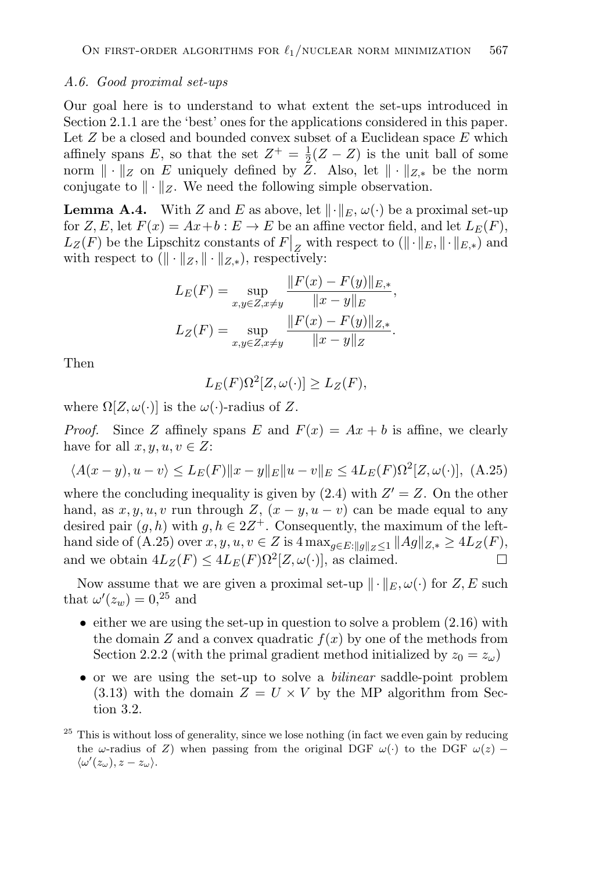#### *A.6. Good proximal set-ups*

Our goal here is to understand to what extent the set-ups introduced in Section 2.1.1 are the 'best' ones for the applications considered in this paper. Let  $Z$  be a closed and bounded convex subset of a Euclidean space  $E$  which affinely spans E, so that the set  $Z^+ = \frac{1}{2}(Z - Z)$  is the unit ball of some norm  $\|\cdot\|_Z$  on E uniquely defined by  $\overline{Z}$ . Also, let  $\|\cdot\|_{Z^*}$  be the norm conjugate to  $\|\cdot\|_Z$ . We need the following simple observation.

**Lemma A.4.** With Z and E as above, let  $\|\cdot\|_E$ ,  $\omega(\cdot)$  be a proximal set-up for Z, E, let  $F(x) = Ax + b : E \to E$  be an affine vector field, and let  $L_E(F)$ ,  $L_Z(F)$  be the Lipschitz constants of  $F|_Z$  with respect to  $(\|\cdot\|_E, \|\cdot\|_{E,*})$  and with respect to  $(\|\cdot\|_Z, \|\cdot\|_{Z,*})$ , respectively:

$$
L_E(F) = \sup_{x,y \in Z, x \neq y} \frac{\|F(x) - F(y)\|_{E,*}}{\|x - y\|_E},
$$
  

$$
L_Z(F) = \sup_{x,y \in Z, x \neq y} \frac{\|F(x) - F(y)\|_{Z,*}}{\|x - y\|_Z}.
$$

Then

$$
L_E(F)\Omega^2[Z,\omega(\cdot)] \ge L_Z(F),
$$

where  $\Omega[Z,\omega(\cdot)]$  is the  $\omega(\cdot)$ -radius of Z.

*Proof.* Since Z affinely spans E and  $F(x) = Ax + b$  is affine, we clearly have for all  $x, y, u, v \in Z$ :

$$
\langle A(x - y), u - v \rangle \le L_E(F) \|x - y\|_E \|u - v\|_E \le 4L_E(F)\Omega^2[Z, \omega(\cdot)], \ (A.25)
$$

where the concluding inequality is given by  $(2.4)$  with  $Z' = Z$ . On the other hand, as  $x, y, u, v$  run through  $Z, (x - y, u - v)$  can be made equal to any desired pair  $(g, h)$  with  $g, h \in 2\mathbb{Z}^+$ . Consequently, the maximum of the lefthand side of (A.25) over  $x, y, u, v \in Z$  is  $4 \max_{g \in E: ||g||_Z \le 1} ||Ag||_{Z,*} \ge 4L_Z(F)$ ,<br>and we obtain  $4L_Z(F) \le 4L_E(F)Q^2[Z,\omega(\cdot)]$  as claimed and we obtain  $4L_Z(F) \leq 4L_E(F)\Omega^2[Z,\omega(\cdot)]$ , as claimed.

Now assume that we are given a proximal set-up  $\|\cdot\|_E, \omega(\cdot)$  for  $Z, E$  such that  $\omega'(z_w) = 0,^{25}$  and

- $\bullet$  either we are using the set-up in question to solve a problem  $(2.16)$  with the domain Z and a convex quadratic  $f(x)$  by one of the methods from Section 2.2.2 (with the primal gradient method initialized by  $z_0 = z_\omega$ )
- or we are using the set-up to solve a *bilinear* saddle-point problem  $(3.13)$  with the domain  $Z = U \times V$  by the MP algorithm from Section 3.2.
- $25$  This is without loss of generality, since we lose nothing (in fact we even gain by reducing the  $\omega$ -radius of Z) when passing from the original DGF  $\omega(\cdot)$  to the DGF  $\omega(z)$  –  $\langle \omega'(z_\omega), z-z_\omega \rangle.$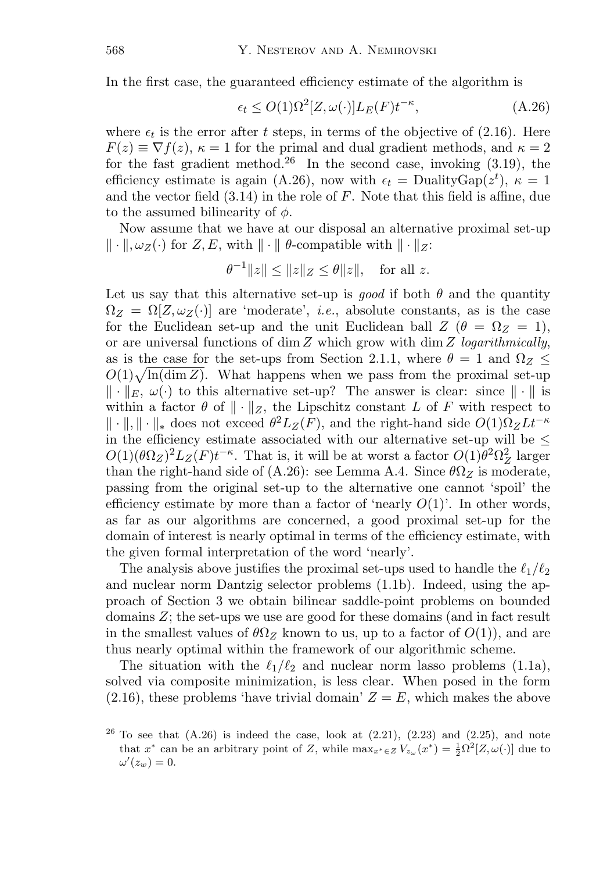In the first case, the guaranteed efficiency estimate of the algorithm is

$$
\epsilon_t \le O(1)\Omega^2[Z,\omega(\cdot)]L_E(F)t^{-\kappa},\tag{A.26}
$$

where  $\epsilon_t$  is the error after t steps, in terms of the objective of (2.16). Here  $F(z) \equiv \nabla f(z)$ ,  $\kappa = 1$  for the primal and dual gradient methods, and  $\kappa = 2$ for the fast gradient method.<sup>26</sup> In the second case, invoking  $(3.19)$ , the efficiency estimate is again (A.26), now with  $\epsilon_t = \text{DualityGap}(z^t)$ ,  $\kappa = 1$ and the vector field  $(3.14)$  in the role of F. Note that this field is affine, due to the assumed bilinearity of  $\phi$ .

Now assume that we have at our disposal an alternative proximal set-up  $\|\cdot\|$ ,  $\omega_Z(\cdot)$  for  $Z, E$ , with  $\|\cdot\|$   $\theta$ -compatible with  $\|\cdot\|_Z$ :

$$
\theta^{-1} \|z\| \le \|z\|_Z \le \theta \|z\|
$$
, for all z.

Let us say that this alternative set-up is *good* if both  $\theta$  and the quantity  $\Omega_Z = \Omega[Z, \omega_Z(\cdot)]$  are 'moderate', *i.e.*, absolute constants, as is the case for the Euclidean set-up and the unit Euclidean ball  $Z(\theta = \Omega_Z = 1)$ , or are universal functions of dim Z which grow with dim Z *logarithmically*, as is the case for the set-ups from Section 2.1.1, where  $\theta = 1$  and  $\Omega_Z \leq$  $O(1)\sqrt{\ln(\dim Z)}$ . What happens when we pass from the proximal set-up  $\|\cdot\|_E, \omega(\cdot)$  to this alternative set-up? The answer is clear: since  $\|\cdot\|$  is within a factor  $\theta$  of  $\|\cdot\|_Z$ , the Lipschitz constant L of F with respect to  $\|\cdot\|$ ,  $\|\cdot\|_*$  does not exceed  $\theta^2L_Z(F)$ , and the right-hand side  $O(1)\Omega_Z L t^{-\kappa}$ in the efficiency estimate associated with our alternative set-up will be  $\leq$  $O(1)(\theta \Omega_Z)^2 L_Z(F) t^{-\kappa}$ . That is, it will be at worst a factor  $O(1) \theta^2 \Omega_Z^2$  larger than the right-hand side of (A.26): see Lemma A.4. Since  $\theta\Omega_Z$  is moderate, passing from the original set-up to the alternative one cannot 'spoil' the efficiency estimate by more than a factor of 'nearly  $O(1)$ '. In other words, as far as our algorithms are concerned, a good proximal set-up for the domain of interest is nearly optimal in terms of the efficiency estimate, with the given formal interpretation of the word 'nearly'.

The analysis above justifies the proximal set-ups used to handle the  $\ell_1/\ell_2$ and nuclear norm Dantzig selector problems (1.1b). Indeed, using the approach of Section 3 we obtain bilinear saddle-point problems on bounded domains Z; the set-ups we use are good for these domains (and in fact result in the smallest values of  $\theta \Omega_Z$  known to us, up to a factor of  $O(1)$ , and are thus nearly optimal within the framework of our algorithmic scheme.

The situation with the  $\ell_1/\ell_2$  and nuclear norm lasso problems (1.1a), solved via composite minimization, is less clear. When posed in the form  $(2.16)$ , these problems 'have trivial domain'  $Z = E$ , which makes the above

 $26$  To see that  $(A.26)$  is indeed the case, look at  $(2.21)$ ,  $(2.23)$  and  $(2.25)$ , and note that  $x^*$  can be an arbitrary point of Z, while  $\max_{x^* \in Z} V_{z_\omega}(x^*) = \frac{1}{2} \Omega^2[Z, \omega(\cdot)]$  due to  $\omega'(z_w)=0.$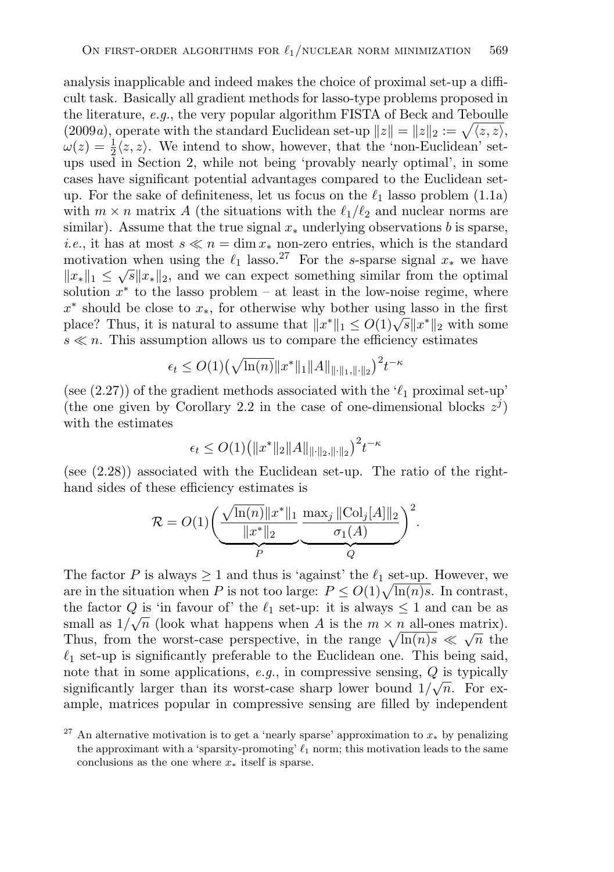analysis inapplicable and indeed makes the choice of proximal set-up a difficult task. Basically all gradient methods for lasso-type problems proposed in the literature, *e.g.*, the very popular algorithm FISTA of Beck and Teboulle  $(2009a)$ , operate with the standard Euclidean set-up  $||z|| = ||z||_2 := \sqrt{\langle z, z \rangle}$ ,  $\omega(z) = \frac{1}{2} \langle z, z \rangle$ . We intend to show, however, that the 'non-Euclidean' setups used in Section 2, while not being 'provably nearly optimal', in some cases have significant potential advantages compared to the Euclidean setup. For the sake of definiteness, let us focus on the  $\ell_1$  lasso problem (1.1a) with  $m \times n$  matrix A (the situations with the  $\ell_1/\ell_2$  and nuclear norms are similar). Assume that the true signal  $x_*$  underlying observations b is sparse, *i.e.*, it has at most  $s \ll n = \dim x_*$  non-zero entries, which is the standard motivation when using the  $\ell_1$  lasso.<sup>27</sup> For the s-sparse signal  $x_*$  we have  $||x_*||_1 \leq \sqrt{s}||x_*||_2$ , and we can expect something similar from the optimal solution  $x^*$  to the lasso problem – at least in the low-noise regime, where  $x^*$  should be close to  $x_*,$  for otherwise why bother using lasso in the first place? Thus, it is natural to assume that  $||x^*||_1 \leq O(1)\sqrt{s}||x^*||_2$  with some  $s \ll n$ . This assumption allows us to compare the efficiency estimates

$$
\epsilon_t \le O(1) \left(\sqrt{\ln(n)} \|x^*\|_1 \|A\|_{\|\cdot\|_1, \|\cdot\|_2} \right)^2 t^{-\kappa}
$$

(see  $(2.27)$ ) of the gradient methods associated with the ' $\ell_1$  proximal set-up' (the one given by Corollary 2.2 in the case of one-dimensional blocks  $z^{j}$ ) with the estimates

$$
\epsilon_t \le O(1) \left( \|x^*\|_2 \|A\|_{\|\cdot\|_2, \|\cdot\|_2} \right)^2 t^{-\kappa}
$$

(see (2.28)) associated with the Euclidean set-up. The ratio of the righthand sides of these efficiency estimates is

$$
\mathcal{R} = O(1) \left( \underbrace{\frac{\sqrt{\ln(n)} \|x^*\|_1}{\|x^*\|_2}}_{P} \underbrace{\frac{\max_j \|\text{Col}_j[A]\|_2}{\sigma_1(A)}}_{Q} \right)^2.
$$

The factor P is always  $\geq 1$  and thus is 'against' the  $\ell_1$  set-up. However, we are in the situation when P is not too large:  $P \leq O(1)\sqrt{\ln(n)s}$ . In contrast, the factor Q is 'in favour of' the  $\ell_1$  set-up: it is always  $\leq 1$  and can be as small as  $1/\sqrt{n}$  (look what happens when A is the  $m \times n$  all-ones matrix). Thus, from the worst-case perspective, in the range  $\sqrt{\ln(n)}s \ll \sqrt{n}$  the  $\ell_1$  set-up is significantly preferable to the Euclidean one. This being said, note that in some applications, *e.g.*, in compressive sensing, Q is typically significantly larger than its worst-case sharp lower bound  $1/\sqrt{n}$ . For example, matrices popular in compressive sensing are filled by independent

<sup>&</sup>lt;sup>27</sup> An alternative motivation is to get a 'nearly sparse' approximation to  $x_*$  by penalizing the approximant with a 'sparsity-promoting'  $\ell_1$  norm; this motivation leads to the same conclusions as the one where  $x_*$  itself is sparse.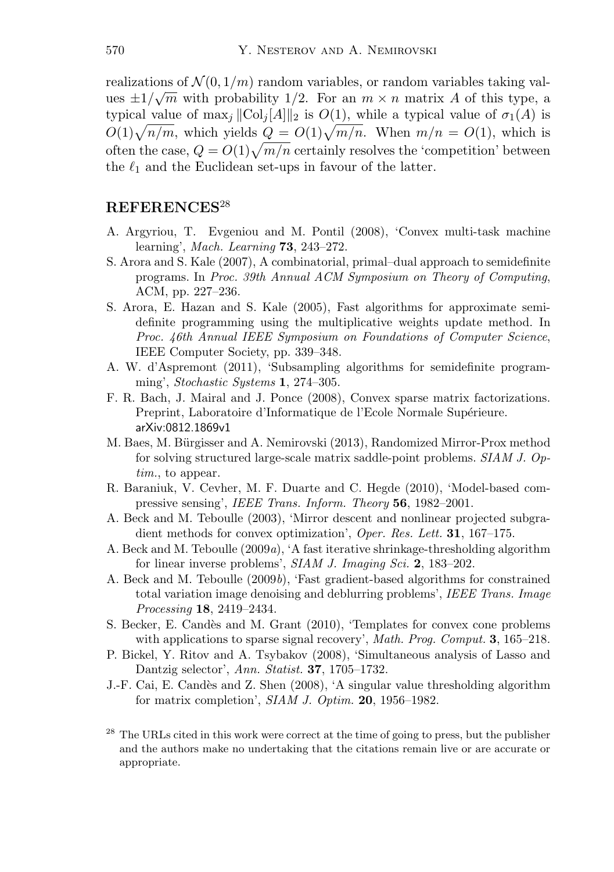realizations of  $\mathcal{N}(0, 1/m)$  random variables, or random variables taking valrealizations of  $N(0, 1/m)$  random variables, or random variables taking values  $\pm 1/\sqrt{m}$  with probability 1/2. For an  $m \times n$  matrix A of this type, a typical value of  $\max_i ||\text{Col}_i[A]||_2$  is  $O(1)$ , while a typical value of  $\sigma_1(A)$  is  $O(1)\sqrt{n/m}$ , which yields  $Q = O(1)\sqrt{m/n}$ . When  $m/n = O(1)$ , which is often the case,  $Q = O(1)\sqrt{m/n}$  certainly resolves the 'competition' between the  $\ell_1$  and the Euclidean set-ups in favour of the latter.

## **REFERENCES**<sup>28</sup>

- A. Argyriou, T. Evgeniou and M. Pontil (2008), 'Convex multi-task machine learning', *Mach. Learning* **73**, 243–272.
- S. Arora and S. Kale (2007), A combinatorial, primal–dual approach to semidefinite programs. In *Proc. 39th Annual ACM Symposium on Theory of Computing*, ACM, pp. 227–236.
- S. Arora, E. Hazan and S. Kale (2005), Fast algorithms for approximate semidefinite programming using the multiplicative weights update method. In *Proc. 46th Annual IEEE Symposium on Foundations of Computer Science*, IEEE Computer Society, pp. 339–348.
- A. W. d'Aspremont (2011), 'Subsampling algorithms for semidefinite programming', *Stochastic Systems* **1**, 274–305.
- F. R. Bach, J. Mairal and J. Ponce (2008), Convex sparse matrix factorizations. Preprint, Laboratoire d'Informatique de l'Ecole Normale Supérieure. arXiv:0812.1869v1
- M. Baes, M. Bürgisser and A. Nemirovski (2013), Randomized Mirror-Prox method for solving structured large-scale matrix saddle-point problems. *SIAM J. Optim.*, to appear.
- R. Baraniuk, V. Cevher, M. F. Duarte and C. Hegde (2010), 'Model-based compressive sensing', *IEEE Trans. Inform. Theory* **56**, 1982–2001.
- A. Beck and M. Teboulle (2003), 'Mirror descent and nonlinear projected subgradient methods for convex optimization', *Oper. Res. Lett.* **31**, 167–175.
- A. Beck and M. Teboulle (2009*a*), 'A fast iterative shrinkage-thresholding algorithm for linear inverse problems', *SIAM J. Imaging Sci.* **2**, 183–202.
- A. Beck and M. Teboulle (2009*b*), 'Fast gradient-based algorithms for constrained total variation image denoising and deblurring problems', *IEEE Trans. Image Processing* **18**, 2419–2434.
- S. Becker, E. Candès and M. Grant (2010), 'Templates for convex cone problems with applications to sparse signal recovery', *Math. Prog. Comput.* **3**, 165–218.
- P. Bickel, Y. Ritov and A. Tsybakov (2008), 'Simultaneous analysis of Lasso and Dantzig selector', *Ann. Statist.* **37**, 1705–1732.
- J.-F. Cai, E. Cand`es and Z. Shen (2008), 'A singular value thresholding algorithm for matrix completion', *SIAM J. Optim.* **20**, 1956–1982.
- <sup>28</sup> The URLs cited in this work were correct at the time of going to press, but the publisher and the authors make no undertaking that the citations remain live or are accurate or appropriate.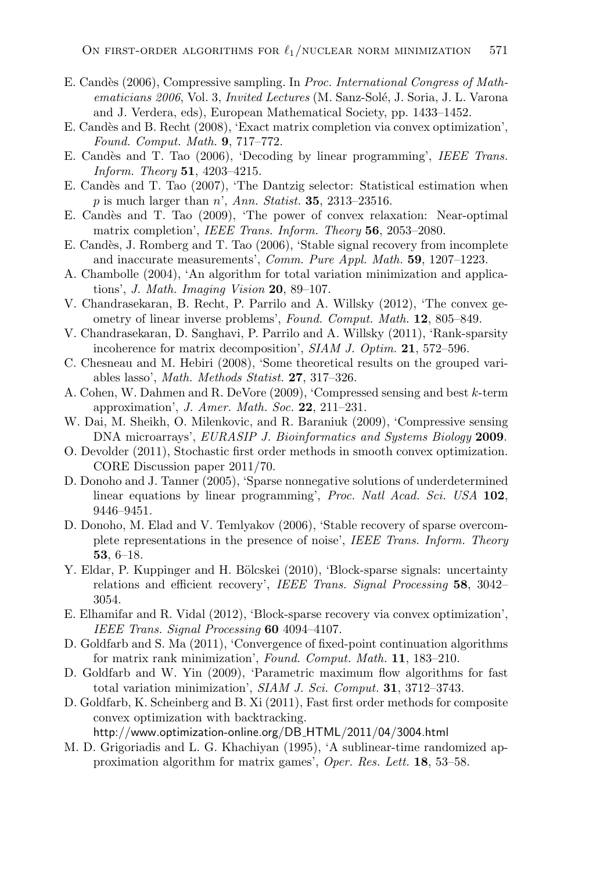- E. Cand`es (2006), Compressive sampling. In *Proc. International Congress of Mathematicians 2006*, Vol. 3, *Invited Lectures* (M. Sanz-Solé, J. Soria, J. L. Varona and J. Verdera, eds), European Mathematical Society, pp. 1433–1452.
- E. Candès and B. Recht (2008), 'Exact matrix completion via convex optimization', *Found. Comput. Math.* **9**, 717–772.
- E. Cand`es and T. Tao (2006), 'Decoding by linear programming', *IEEE Trans. Inform. Theory* **51**, 4203–4215.
- E. Candès and T. Tao (2007), 'The Dantzig selector: Statistical estimation when p is much larger than n', *Ann. Statist.* **35**, 2313–23516.
- E. Cand`es and T. Tao (2009), 'The power of convex relaxation: Near-optimal matrix completion', *IEEE Trans. Inform. Theory* **56**, 2053–2080.
- E. Candès, J. Romberg and T. Tao (2006), 'Stable signal recovery from incomplete and inaccurate measurements', *Comm. Pure Appl. Math.* **59**, 1207–1223.
- A. Chambolle (2004), 'An algorithm for total variation minimization and applications', *J. Math. Imaging Vision* **20**, 89–107.
- V. Chandrasekaran, B. Recht, P. Parrilo and A. Willsky (2012), 'The convex geometry of linear inverse problems', *Found. Comput. Math.* **12**, 805–849.
- V. Chandrasekaran, D. Sanghavi, P. Parrilo and A. Willsky (2011), 'Rank-sparsity incoherence for matrix decomposition', *SIAM J. Optim.* **21**, 572–596.
- C. Chesneau and M. Hebiri (2008), 'Some theoretical results on the grouped variables lasso', *Math. Methods Statist.* **27**, 317–326.
- A. Cohen, W. Dahmen and R. DeVore (2009), 'Compressed sensing and best k-term approximation', *J. Amer. Math. Soc.* **22**, 211–231.
- W. Dai, M. Sheikh, O. Milenkovic, and R. Baraniuk (2009), 'Compressive sensing DNA microarrays', *EURASIP J. Bioinformatics and Systems Biology* **2009**.
- O. Devolder (2011), Stochastic first order methods in smooth convex optimization. CORE Discussion paper 2011/70.
- D. Donoho and J. Tanner (2005), 'Sparse nonnegative solutions of underdetermined linear equations by linear programming', *Proc. Natl Acad. Sci. USA* **102**, 9446–9451.
- D. Donoho, M. Elad and V. Temlyakov (2006), 'Stable recovery of sparse overcomplete representations in the presence of noise', *IEEE Trans. Inform. Theory* **53**, 6–18.
- Y. Eldar, P. Kuppinger and H. Bölcskei (2010), 'Block-sparse signals: uncertainty relations and efficient recovery', *IEEE Trans. Signal Processing* **58**, 3042– 3054.
- E. Elhamifar and R. Vidal (2012), 'Block-sparse recovery via convex optimization', *IEEE Trans. Signal Processing* **60** 4094–4107.
- D. Goldfarb and S. Ma (2011), 'Convergence of fixed-point continuation algorithms for matrix rank minimization', *Found. Comput. Math.* **11**, 183–210.
- D. Goldfarb and W. Yin (2009), 'Parametric maximum flow algorithms for fast total variation minimization', *SIAM J. Sci. Comput.* **31**, 3712–3743.
- D. Goldfarb, K. Scheinberg and B. Xi (2011), Fast first order methods for composite convex optimization with backtracking. http://www.optimization-online.org/DB HTML/2011/04/3004.html
- M. D. Grigoriadis and L. G. Khachiyan (1995), 'A sublinear-time randomized approximation algorithm for matrix games', *Oper. Res. Lett.* **18**, 53–58.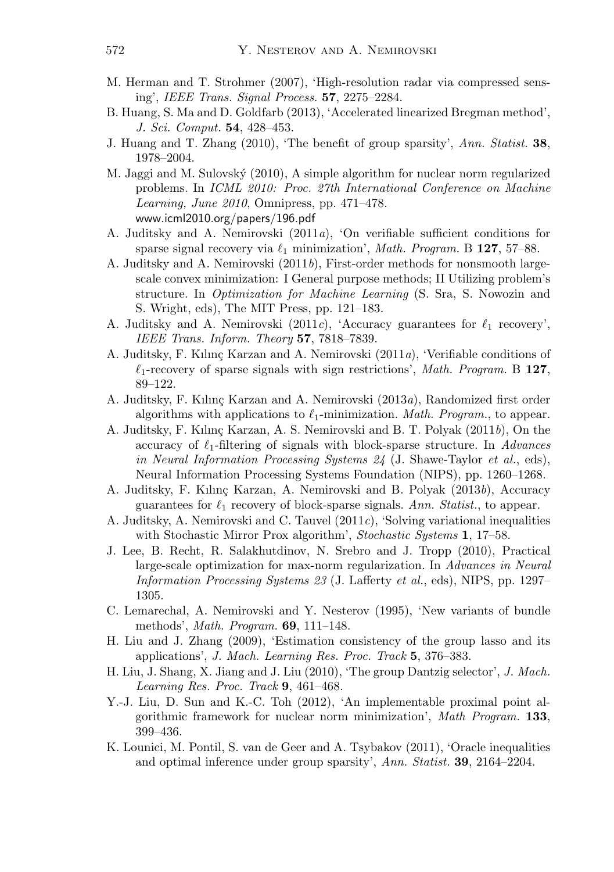- M. Herman and T. Strohmer (2007), 'High-resolution radar via compressed sensing', *IEEE Trans. Signal Process.* **57**, 2275–2284.
- B. Huang, S. Ma and D. Goldfarb (2013), 'Accelerated linearized Bregman method', *J. Sci. Comput.* **54**, 428–453.
- J. Huang and T. Zhang (2010), 'The benefit of group sparsity', *Ann. Statist.* **38**, 1978–2004.
- M. Jaggi and M. Sulovský (2010), A simple algorithm for nuclear norm regularized problems. In *ICML 2010: Proc. 27th International Conference on Machine Learning, June 2010*, Omnipress, pp. 471–478. www.icml2010.org/papers/196.pdf
- A. Juditsky and A. Nemirovski (2011*a*), 'On verifiable sufficient conditions for sparse signal recovery via  $\ell_1$  minimization', *Math. Program.* B 127, 57–88.
- A. Juditsky and A. Nemirovski (2011*b*), First-order methods for nonsmooth largescale convex minimization: I General purpose methods; II Utilizing problem's structure. In *Optimization for Machine Learning* (S. Sra, S. Nowozin and S. Wright, eds), The MIT Press, pp. 121–183.
- A. Juditsky and A. Nemirovski (2011*c*), 'Accuracy guarantees for  $\ell_1$  recovery', *IEEE Trans. Inform. Theory* **57**, 7818–7839.
- A. Juditsky, F. Kılınç Karzan and A. Nemirovski (2011*a*), 'Verifiable conditions of  $\ell_1$ -recovery of sparse signals with sign restrictions', *Math. Program.* B 127, 89–122.
- A. Juditsky, F. Kılınç Karzan and A. Nemirovski (2013*a*), Randomized first order algorithms with applications to  $\ell_1$ -minimization. *Math. Program.*, to appear.
- A. Juditsky, F. Kılınç Karzan, A. S. Nemirovski and B. T. Polyak (2011*b*), On the accuracy of  $\ell_1$ -filtering of signals with block-sparse structure. In *Advances in Neural Information Processing Systems 24* (J. Shawe-Taylor *et al.*, eds), Neural Information Processing Systems Foundation (NIPS), pp. 1260–1268.
- A. Juditsky, F. Kılınç Karzan, A. Nemirovski and B. Polyak (2013*b*), Accuracy guarantees for  $\ell_1$  recovery of block-sparse signals. Ann. Statist., to appear.
- A. Juditsky, A. Nemirovski and C. Tauvel (2011*c*), 'Solving variational inequalities with Stochastic Mirror Prox algorithm', *Stochastic Systems* **1**, 17–58.
- J. Lee, B. Recht, R. Salakhutdinov, N. Srebro and J. Tropp (2010), Practical large-scale optimization for max-norm regularization. In *Advances in Neural Information Processing Systems 23* (J. Lafferty *et al.*, eds), NIPS, pp. 1297– 1305.
- C. Lemarechal, A. Nemirovski and Y. Nesterov (1995), 'New variants of bundle methods', *Math. Program.* **69**, 111–148.
- H. Liu and J. Zhang (2009), 'Estimation consistency of the group lasso and its applications', *J. Mach. Learning Res. Proc. Track* **5**, 376–383.
- H. Liu, J. Shang, X. Jiang and J. Liu (2010), 'The group Dantzig selector', *J. Mach. Learning Res. Proc. Track* **9**, 461–468.
- Y.-J. Liu, D. Sun and K.-C. Toh (2012), 'An implementable proximal point algorithmic framework for nuclear norm minimization', *Math Program.* **133**, 399–436.
- K. Lounici, M. Pontil, S. van de Geer and A. Tsybakov (2011), 'Oracle inequalities and optimal inference under group sparsity', *Ann. Statist.* **39**, 2164–2204.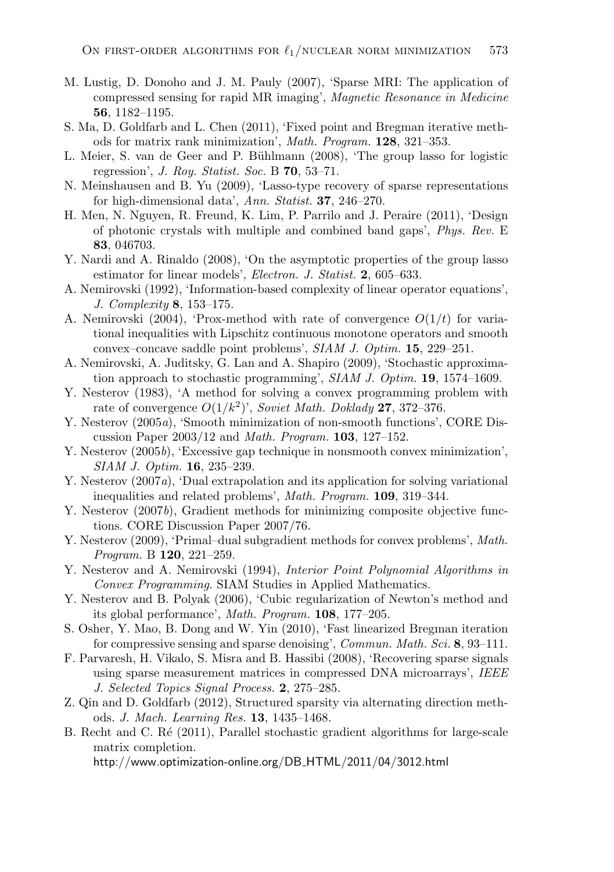- M. Lustig, D. Donoho and J. M. Pauly (2007), 'Sparse MRI: The application of compressed sensing for rapid MR imaging', *Magnetic Resonance in Medicine* **56**, 1182–1195.
- S. Ma, D. Goldfarb and L. Chen (2011), 'Fixed point and Bregman iterative methods for matrix rank minimization', *Math. Program.* **128**, 321–353.
- L. Meier, S. van de Geer and P. Bühlmann (2008), 'The group lasso for logistic regression', *J. Roy. Statist. Soc.* B **70**, 53–71.
- N. Meinshausen and B. Yu (2009), 'Lasso-type recovery of sparse representations for high-dimensional data', *Ann. Statist.* **37**, 246–270.
- H. Men, N. Nguyen, R. Freund, K. Lim, P. Parrilo and J. Peraire (2011), 'Design of photonic crystals with multiple and combined band gaps', *Phys. Rev.* E **83**, 046703.
- Y. Nardi and A. Rinaldo (2008), 'On the asymptotic properties of the group lasso estimator for linear models', *Electron. J. Statist.* **2**, 605–633.
- A. Nemirovski (1992), 'Information-based complexity of linear operator equations', *J. Complexity* **8**, 153–175.
- A. Nemirovski (2004), 'Prox-method with rate of convergence  $O(1/t)$  for variational inequalities with Lipschitz continuous monotone operators and smooth convex–concave saddle point problems', *SIAM J. Optim.* **15**, 229–251.
- A. Nemirovski, A. Juditsky, G. Lan and A. Shapiro (2009), 'Stochastic approximation approach to stochastic programming', *SIAM J. Optim.* **19**, 1574–1609.
- Y. Nesterov (1983), 'A method for solving a convex programming problem with rate of convergence  $O(1/k^2)$ <sup>'</sup>, *Soviet Math. Doklady* **27**, 372–376.
- Y. Nesterov (2005*a*), 'Smooth minimization of non-smooth functions', CORE Discussion Paper 2003/12 and *Math. Program.* **103**, 127–152.
- Y. Nesterov (2005*b*), 'Excessive gap technique in nonsmooth convex minimization', *SIAM J. Optim.* **16**, 235–239.
- Y. Nesterov (2007*a*), 'Dual extrapolation and its application for solving variational inequalities and related problems', *Math. Program.* **109**, 319–344.
- Y. Nesterov (2007*b*), Gradient methods for minimizing composite objective functions. CORE Discussion Paper 2007/76.
- Y. Nesterov (2009), 'Primal–dual subgradient methods for convex problems', *Math. Program.* B **120**, 221–259.
- Y. Nesterov and A. Nemirovski (1994), *Interior Point Polynomial Algorithms in Convex Programming*. SIAM Studies in Applied Mathematics.
- Y. Nesterov and B. Polyak (2006), 'Cubic regularization of Newton's method and its global performance', *Math. Program.* **108**, 177–205.
- S. Osher, Y. Mao, B. Dong and W. Yin (2010), 'Fast linearized Bregman iteration for compressive sensing and sparse denoising', *Commun. Math. Sci.* **8**, 93–111.
- F. Parvaresh, H. Vikalo, S. Misra and B. Hassibi (2008), 'Recovering sparse signals using sparse measurement matrices in compressed DNA microarrays', *IEEE J. Selected Topics Signal Process.* **2**, 275–285.
- Z. Qin and D. Goldfarb (2012), Structured sparsity via alternating direction methods. *J. Mach. Learning Res.* **13**, 1435–1468.
- B. Recht and C. Ré (2011), Parallel stochastic gradient algorithms for large-scale matrix completion.

http://www.optimization-online.org/DB HTML/2011/04/3012.html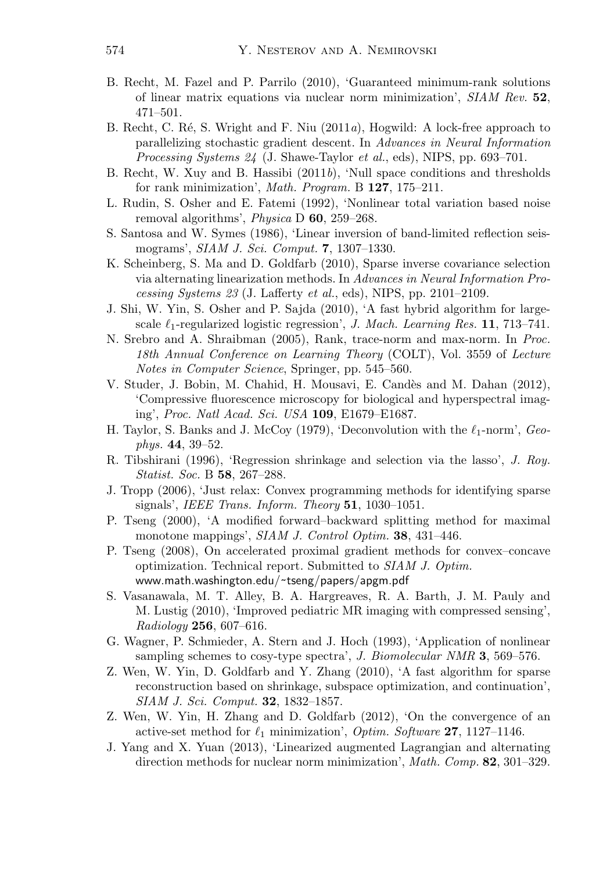- B. Recht, M. Fazel and P. Parrilo (2010), 'Guaranteed minimum-rank solutions of linear matrix equations via nuclear norm minimization', *SIAM Rev.* **52**, 471–501.
- B. Recht, C. R´e, S. Wright and F. Niu (2011*a*), Hogwild: A lock-free approach to parallelizing stochastic gradient descent. In *Advances in Neural Information Processing Systems 24* (J. Shawe-Taylor *et al.*, eds), NIPS, pp. 693–701.
- B. Recht, W. Xuy and B. Hassibi (2011*b*), 'Null space conditions and thresholds for rank minimization', *Math. Program.* B **127**, 175–211.
- L. Rudin, S. Osher and E. Fatemi (1992), 'Nonlinear total variation based noise removal algorithms', *Physica* D **60**, 259–268.
- S. Santosa and W. Symes (1986), 'Linear inversion of band-limited reflection seismograms', *SIAM J. Sci. Comput.* **7**, 1307–1330.
- K. Scheinberg, S. Ma and D. Goldfarb (2010), Sparse inverse covariance selection via alternating linearization methods. In *Advances in Neural Information Processing Systems 23* (J. Lafferty *et al.*, eds), NIPS, pp. 2101–2109.
- J. Shi, W. Yin, S. Osher and P. Sajda (2010), 'A fast hybrid algorithm for largescale  $\ell_1$ -regularized logistic regression', *J. Mach. Learning Res.* **11**, 713–741.
- N. Srebro and A. Shraibman (2005), Rank, trace-norm and max-norm. In *Proc. 18th Annual Conference on Learning Theory* (COLT), Vol. 3559 of *Lecture Notes in Computer Science*, Springer, pp. 545–560.
- V. Studer, J. Bobin, M. Chahid, H. Mousavi, E. Cand`es and M. Dahan (2012), 'Compressive fluorescence microscopy for biological and hyperspectral imaging', *Proc. Natl Acad. Sci. USA* **109**, E1679–E1687.
- H. Taylor, S. Banks and J. McCoy (1979), 'Deconvolution with the  $\ell_1$ -norm', *Geophys.* **44**, 39–52.
- R. Tibshirani (1996), 'Regression shrinkage and selection via the lasso', *J. Roy. Statist. Soc.* B **58**, 267–288.
- J. Tropp (2006), 'Just relax: Convex programming methods for identifying sparse signals', *IEEE Trans. Inform. Theory* **51**, 1030–1051.
- P. Tseng (2000), 'A modified forward–backward splitting method for maximal monotone mappings', *SIAM J. Control Optim.* **38**, 431–446.
- P. Tseng (2008), On accelerated proximal gradient methods for convex–concave optimization. Technical report. Submitted to *SIAM J. Optim.* www.math.washington.edu/˜tseng/papers/apgm.pdf
- S. Vasanawala, M. T. Alley, B. A. Hargreaves, R. A. Barth, J. M. Pauly and M. Lustig (2010), 'Improved pediatric MR imaging with compressed sensing', *Radiology* **256**, 607–616.
- G. Wagner, P. Schmieder, A. Stern and J. Hoch (1993), 'Application of nonlinear sampling schemes to cosy-type spectra', *J. Biomolecular NMR* **3**, 569–576.
- Z. Wen, W. Yin, D. Goldfarb and Y. Zhang (2010), 'A fast algorithm for sparse reconstruction based on shrinkage, subspace optimization, and continuation', *SIAM J. Sci. Comput.* **32**, 1832–1857.
- Z. Wen, W. Yin, H. Zhang and D. Goldfarb (2012), 'On the convergence of an active-set method for  $\ell_1$  minimization', *Optim. Software* **27**, 1127–1146.
- J. Yang and X. Yuan (2013), 'Linearized augmented Lagrangian and alternating direction methods for nuclear norm minimization', *Math. Comp.* **82**, 301–329.